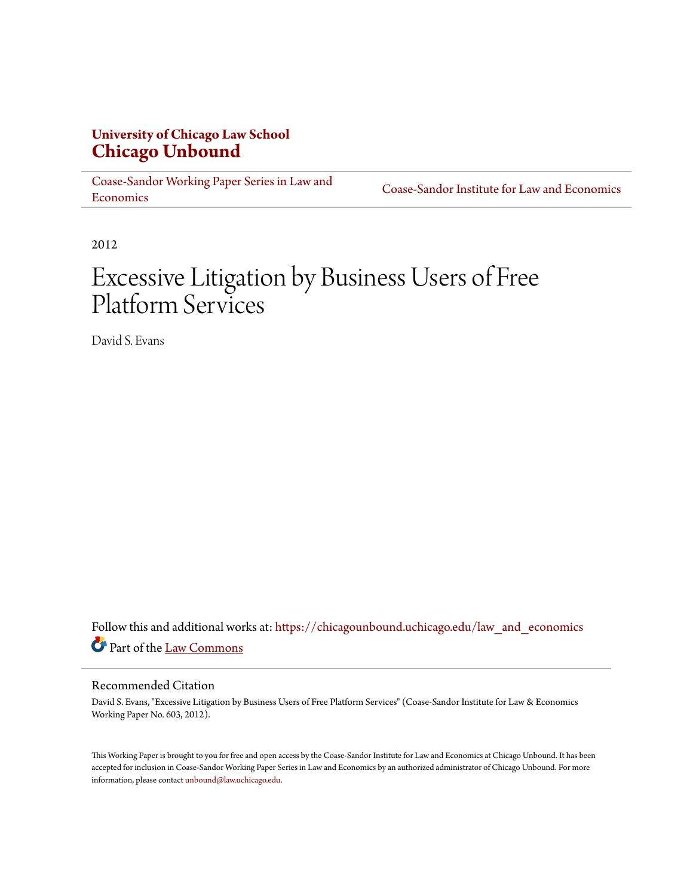# **University of Chicago Law School [Chicago Unbound](https://chicagounbound.uchicago.edu?utm_source=chicagounbound.uchicago.edu%2Flaw_and_economics%2F199&utm_medium=PDF&utm_campaign=PDFCoverPages)**

[Coase-Sandor Working Paper Series in Law and](https://chicagounbound.uchicago.edu/law_and_economics?utm_source=chicagounbound.uchicago.edu%2Flaw_and_economics%2F199&utm_medium=PDF&utm_campaign=PDFCoverPages) [Economics](https://chicagounbound.uchicago.edu/law_and_economics?utm_source=chicagounbound.uchicago.edu%2Flaw_and_economics%2F199&utm_medium=PDF&utm_campaign=PDFCoverPages)

[Coase-Sandor Institute for Law and Economics](https://chicagounbound.uchicago.edu/coase_sandor_institute?utm_source=chicagounbound.uchicago.edu%2Flaw_and_economics%2F199&utm_medium=PDF&utm_campaign=PDFCoverPages)

2012

# Excessive Litigation by Business Users of Free Platform Services

David S. Evans

Follow this and additional works at: [https://chicagounbound.uchicago.edu/law\\_and\\_economics](https://chicagounbound.uchicago.edu/law_and_economics?utm_source=chicagounbound.uchicago.edu%2Flaw_and_economics%2F199&utm_medium=PDF&utm_campaign=PDFCoverPages) Part of the [Law Commons](http://network.bepress.com/hgg/discipline/578?utm_source=chicagounbound.uchicago.edu%2Flaw_and_economics%2F199&utm_medium=PDF&utm_campaign=PDFCoverPages)

# Recommended Citation

David S. Evans, "Excessive Litigation by Business Users of Free Platform Services" (Coase-Sandor Institute for Law & Economics Working Paper No. 603, 2012).

This Working Paper is brought to you for free and open access by the Coase-Sandor Institute for Law and Economics at Chicago Unbound. It has been accepted for inclusion in Coase-Sandor Working Paper Series in Law and Economics by an authorized administrator of Chicago Unbound. For more information, please contact [unbound@law.uchicago.edu.](mailto:unbound@law.uchicago.edu)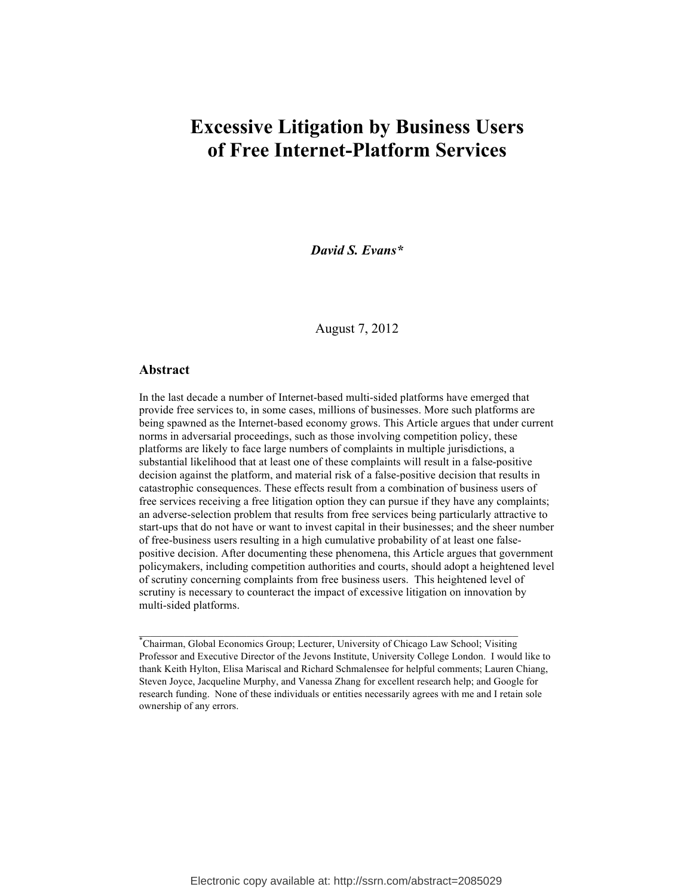# **Excessive Litigation by Business Users of Free Internet-Platform Services**

*David S. Evans\**

August 7, 2012

#### **Abstract**

In the last decade a number of Internet-based multi-sided platforms have emerged that provide free services to, in some cases, millions of businesses. More such platforms are being spawned as the Internet-based economy grows. This Article argues that under current norms in adversarial proceedings, such as those involving competition policy, these platforms are likely to face large numbers of complaints in multiple jurisdictions, a substantial likelihood that at least one of these complaints will result in a false-positive decision against the platform, and material risk of a false-positive decision that results in catastrophic consequences. These effects result from a combination of business users of free services receiving a free litigation option they can pursue if they have any complaints; an adverse-selection problem that results from free services being particularly attractive to start-ups that do not have or want to invest capital in their businesses; and the sheer number of free-business users resulting in a high cumulative probability of at least one falsepositive decision. After documenting these phenomena, this Article argues that government policymakers, including competition authorities and courts, should adopt a heightened level of scrutiny concerning complaints from free business users. This heightened level of scrutiny is necessary to counteract the impact of excessive litigation on innovation by multi-sided platforms.

 $\mathcal{L}_\text{max} = \frac{1}{2} \sum_{i=1}^n \mathcal{L}_\text{max} = \frac{1}{2} \sum_{i=1}^n \mathcal{L}_\text{max} = \frac{1}{2} \sum_{i=1}^n \mathcal{L}_\text{max} = \frac{1}{2} \sum_{i=1}^n \mathcal{L}_\text{max} = \frac{1}{2} \sum_{i=1}^n \mathcal{L}_\text{max} = \frac{1}{2} \sum_{i=1}^n \mathcal{L}_\text{max} = \frac{1}{2} \sum_{i=1}^n \mathcal{L}_\text{max} = \frac{1}{2} \sum_{i=$ 

<sup>\*</sup> Chairman, Global Economics Group; Lecturer, University of Chicago Law School; Visiting Professor and Executive Director of the Jevons Institute, University College London. I would like to thank Keith Hylton, Elisa Mariscal and Richard Schmalensee for helpful comments; Lauren Chiang, Steven Joyce, Jacqueline Murphy, and Vanessa Zhang for excellent research help; and Google for research funding. None of these individuals or entities necessarily agrees with me and I retain sole ownership of any errors.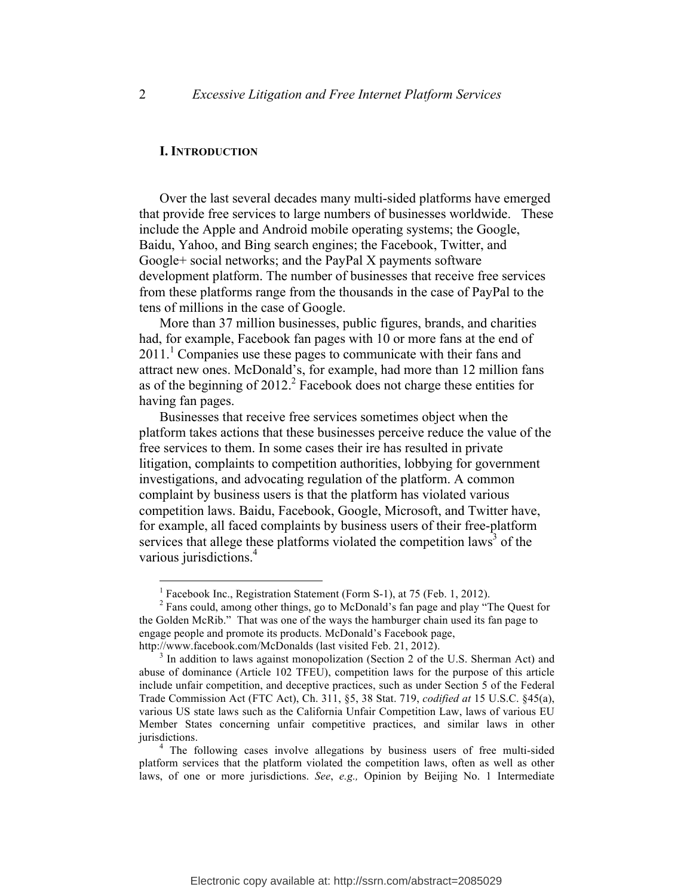#### **I. INTRODUCTION**

Over the last several decades many multi-sided platforms have emerged that provide free services to large numbers of businesses worldwide. These include the Apple and Android mobile operating systems; the Google, Baidu, Yahoo, and Bing search engines; the Facebook, Twitter, and Google+ social networks; and the PayPal X payments software development platform. The number of businesses that receive free services from these platforms range from the thousands in the case of PayPal to the tens of millions in the case of Google.

More than 37 million businesses, public figures, brands, and charities had, for example, Facebook fan pages with 10 or more fans at the end of  $2011<sup>1</sup>$  Companies use these pages to communicate with their fans and attract new ones. McDonald's, for example, had more than 12 million fans as of the beginning of  $2012<sup>2</sup>$  Facebook does not charge these entities for having fan pages.

Businesses that receive free services sometimes object when the platform takes actions that these businesses perceive reduce the value of the free services to them. In some cases their ire has resulted in private litigation, complaints to competition authorities, lobbying for government investigations, and advocating regulation of the platform. A common complaint by business users is that the platform has violated various competition laws. Baidu, Facebook, Google, Microsoft, and Twitter have, for example, all faced complaints by business users of their free-platform services that allege these platforms violated the competition laws<sup>3</sup> of the various jurisdictions. 4

<sup>&</sup>lt;sup>1</sup> Facebook Inc., Registration Statement (Form S-1), at 75 (Feb. 1, 2012).<br><sup>2</sup> Fans could, among other things, go to McDonald's fan page and play "The Quest for the Golden McRib." That was one of the ways the hamburger chain used its fan page to engage people and promote its products. McDonald's Facebook page,

http://www.facebook.com/McDonalds (last visited Feb. 21, 2012).<br><sup>3</sup> In addition to laws against monopolization (Section 2 of the U.S. Sherman Act) and abuse of dominance (Article 102 TFEU), competition laws for the purpose of this article include unfair competition, and deceptive practices, such as under Section 5 of the Federal Trade Commission Act (FTC Act), Ch. 311, §5, 38 Stat. 719, *codified at* 15 U.S.C. §45(a), various US state laws such as the California Unfair Competition Law, laws of various EU Member States concerning unfair competitive practices, and similar laws in other jurisdictions. 4 The following cases involve allegations by business users of free multi-sided

platform services that the platform violated the competition laws, often as well as other laws, of one or more jurisdictions. *See*, *e.g.,* Opinion by Beijing No. 1 Intermediate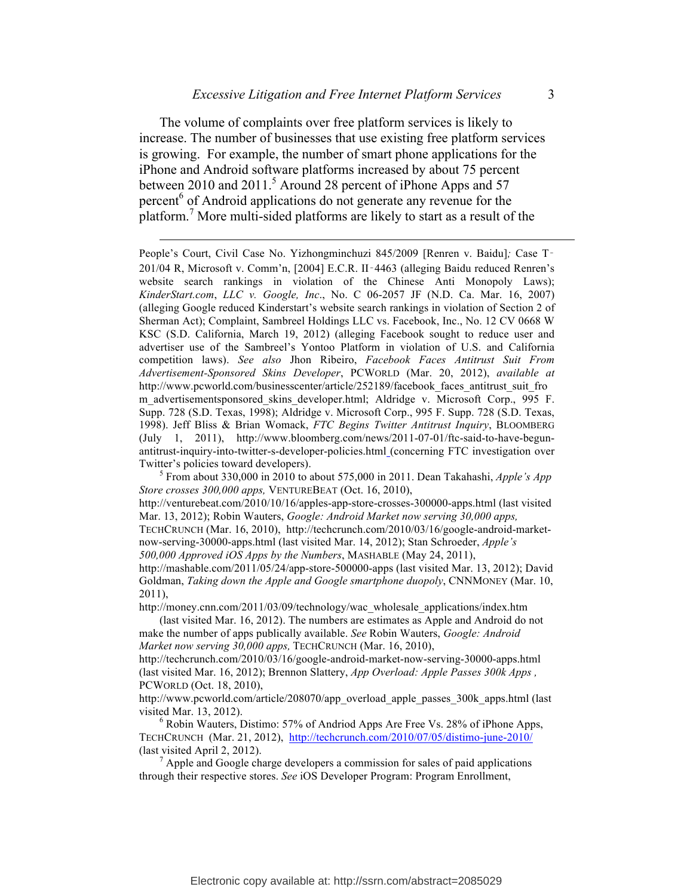The volume of complaints over free platform services is likely to increase. The number of businesses that use existing free platform services is growing. For example, the number of smart phone applications for the iPhone and Android software platforms increased by about 75 percent between 2010 and 2011.<sup>5</sup> Around 28 percent of iPhone Apps and 57 percent<sup>6</sup> of Android applications do not generate any revenue for the platform.<sup>7</sup> More multi-sided platforms are likely to start as a result of the

1

People's Court, Civil Case No. Yizhongminchuzi 845/2009 [Renren v. Baidu]*;* Case T‑ 201/04 R, Microsoft v. Comm'n, [2004] E.C.R. II‑4463 (alleging Baidu reduced Renren's website search rankings in violation of the Chinese Anti Monopoly Laws); *KinderStart.com*, *LLC v. Google, Inc*., No. C 06-2057 JF (N.D. Ca. Mar. 16, 2007) (alleging Google reduced Kinderstart's website search rankings in violation of Section 2 of Sherman Act); Complaint, Sambreel Holdings LLC vs. Facebook, Inc., No. 12 CV 0668 W KSC (S.D. California, March 19, 2012) (alleging Facebook sought to reduce user and advertiser use of the Sambreel's Yontoo Platform in violation of U.S. and California competition laws). *See also* Jhon Ribeiro, *Facebook Faces Antitrust Suit From Advertisement-Sponsored Skins Developer*, PCWORLD (Mar. 20, 2012), *available at* http://www.pcworld.com/businesscenter/article/252189/facebook\_faces\_antitrust\_suit\_fro m advertisementsponsored skins developer.html; Aldridge v. Microsoft Corp., 995 F. Supp. 728 (S.D. Texas, 1998); Aldridge v. Microsoft Corp., 995 F. Supp. 728 (S.D. Texas, 1998). Jeff Bliss & Brian Womack, *FTC Begins Twitter Antitrust Inquiry*, BLOOMBERG (July 1, 2011), http://www.bloomberg.com/news/2011-07-01/ftc-said-to-have-begunantitrust-inquiry-into-twitter-s-developer-policies.html (concerning FTC investigation over Twitter's policies toward developers). <sup>5</sup> From about 330,000 in 2010 to about 575,000 in 2011. Dean Takahashi, *Apple's App* 

*Store crosses 300,000 apps,* VENTUREBEAT (Oct. 16, 2010),

http://venturebeat.com/2010/10/16/apples-app-store-crosses-300000-apps.html (last visited Mar. 13, 2012); Robin Wauters, *Google: Android Market now serving 30,000 apps,*

TECHCRUNCH (Mar. 16, 2010), http://techcrunch.com/2010/03/16/google-android-marketnow-serving-30000-apps.html (last visited Mar. 14, 2012); Stan Schroeder, *Apple's 500,000 Approved iOS Apps by the Numbers*, MASHABLE (May 24, 2011),

http://mashable.com/2011/05/24/app-store-500000-apps (last visited Mar. 13, 2012); David Goldman, *Taking down the Apple and Google smartphone duopoly*, CNNMONEY (Mar. 10, 2011),

http://money.cnn.com/2011/03/09/technology/wac\_wholesale\_applications/index.htm

(last visited Mar. 16, 2012). The numbers are estimates as Apple and Android do not make the number of apps publically available. *See* Robin Wauters, *Google: Android Market now serving 30,000 apps,* TECHCRUNCH (Mar. 16, 2010),

http://techcrunch.com/2010/03/16/google-android-market-now-serving-30000-apps.html (last visited Mar. 16, 2012); Brennon Slattery, *App Overload: Apple Passes 300k Apps ,* PCWORLD (Oct. 18, 2010),

http://www.pcworld.com/article/208070/app\_overload\_apple\_passes\_300k\_apps.html (last visited Mar. 13, 2012).<br><sup>6</sup> Robin Wauters, Distimo: 57% of Andriod Apps Are Free Vs. 28% of iPhone Apps,

TECHCRUNCH (Mar. 21, 2012), http://techcrunch.com/2010/07/05/distimo-june-2010/ (last visited April 2, 2012). <sup>7</sup> Apple and Google charge developers a commission for sales of paid applications

through their respective stores. *See* iOS Developer Program: Program Enrollment,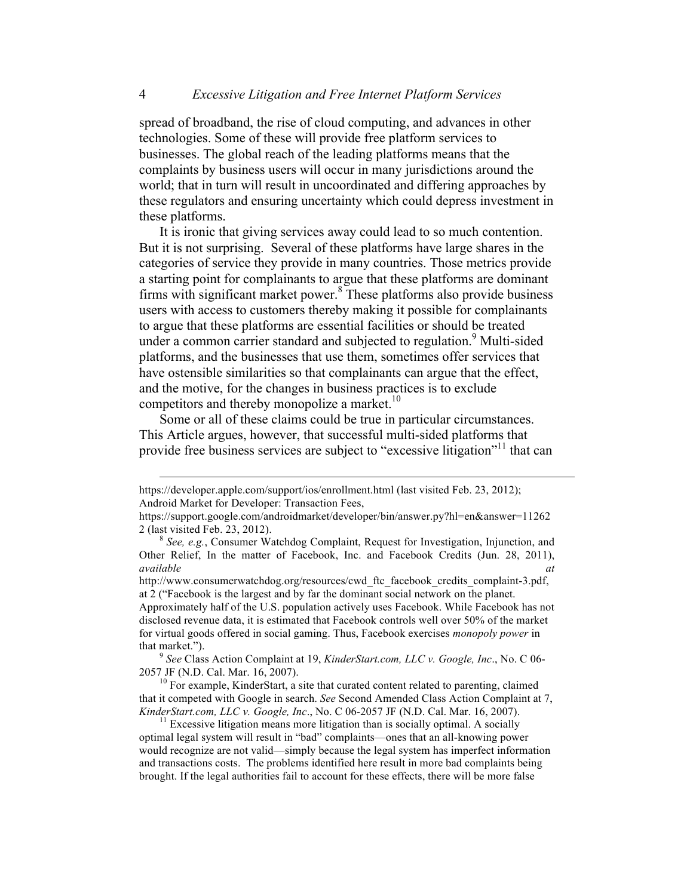spread of broadband, the rise of cloud computing, and advances in other technologies. Some of these will provide free platform services to businesses. The global reach of the leading platforms means that the complaints by business users will occur in many jurisdictions around the world; that in turn will result in uncoordinated and differing approaches by these regulators and ensuring uncertainty which could depress investment in these platforms.

It is ironic that giving services away could lead to so much contention. But it is not surprising. Several of these platforms have large shares in the categories of service they provide in many countries. Those metrics provide a starting point for complainants to argue that these platforms are dominant firms with significant market power. $8$  These platforms also provide business users with access to customers thereby making it possible for complainants to argue that these platforms are essential facilities or should be treated under a common carrier standard and subjected to regulation. <sup>9</sup> Multi-sided platforms, and the businesses that use them, sometimes offer services that have ostensible similarities so that complainants can argue that the effect, and the motive, for the changes in business practices is to exclude competitors and thereby monopolize a market.<sup>10</sup>

Some or all of these claims could be true in particular circumstances. This Article argues, however, that successful multi-sided platforms that provide free business services are subject to "excessive litigation"<sup>11</sup> that can

Approximately half of the U.S. population actively uses Facebook. While Facebook has not disclosed revenue data, it is estimated that Facebook controls well over 50% of the market for virtual goods offered in social gaming. Thus, Facebook exercises *monopoly power* in that market."). <sup>9</sup> *See* Class Action Complaint at 19, *KinderStart.com, LLC v. Google, Inc*., No. C 06-

2057 JF (N.D. Cal. Mar. 16, 2007).<br><sup>10</sup> For example, KinderStart, a site that curated content related to parenting, claimed

that it competed with Google in search. *See* Second Amended Class Action Complaint at 7, *KinderStart.com, LLC v. Google, Inc.*, No. C 06-2057 JF (N.D. Cal. Mar. 16, 2007).<br><sup>11</sup> Excessive litigation means more litigation than is socially optimal. A socially

optimal legal system will result in "bad" complaints—ones that an all-knowing power would recognize are not valid—simply because the legal system has imperfect information and transactions costs. The problems identified here result in more bad complaints being brought. If the legal authorities fail to account for these effects, there will be more false

https://developer.apple.com/support/ios/enrollment.html (last visited Feb. 23, 2012); Android Market for Developer: Transaction Fees,

https://support.google.com/androidmarket/developer/bin/answer.py?hl=en&answer=11262 <sup>2</sup> (last visited Feb. 23, 2012). <sup>8</sup> *See, e.g.*, Consumer Watchdog Complaint, Request for Investigation, Injunction, and

Other Relief, In the matter of Facebook, Inc. and Facebook Credits (Jun. 28, 2011), *available at* 

http://www.consumerwatchdog.org/resources/cwd\_ftc\_facebook\_credits\_complaint-3.pdf, at 2 ("Facebook is the largest and by far the dominant social network on the planet.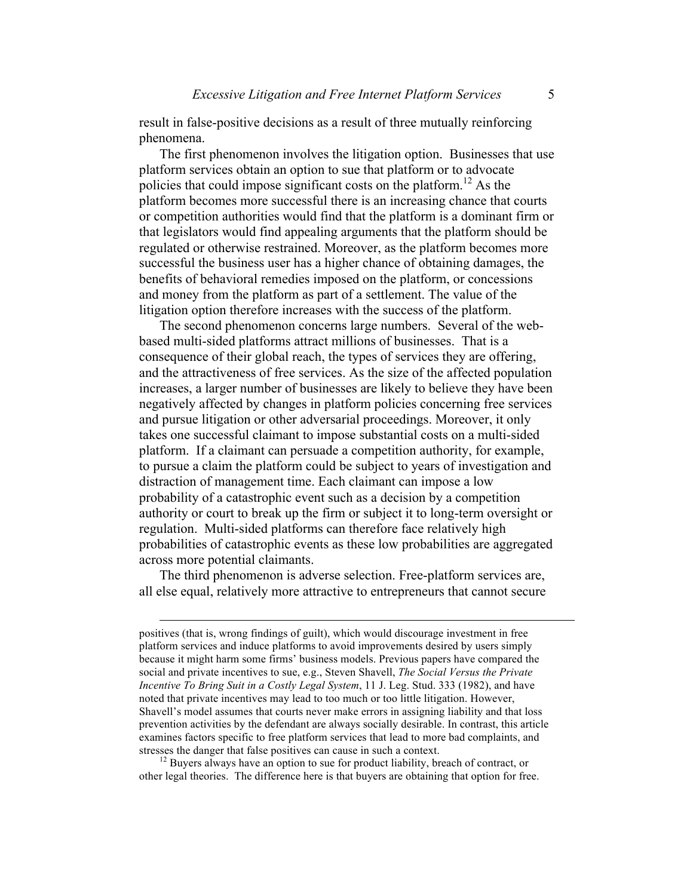result in false-positive decisions as a result of three mutually reinforcing phenomena.

The first phenomenon involves the litigation option. Businesses that use platform services obtain an option to sue that platform or to advocate policies that could impose significant costs on the platform.<sup>12</sup> As the platform becomes more successful there is an increasing chance that courts or competition authorities would find that the platform is a dominant firm or that legislators would find appealing arguments that the platform should be regulated or otherwise restrained. Moreover, as the platform becomes more successful the business user has a higher chance of obtaining damages, the benefits of behavioral remedies imposed on the platform, or concessions and money from the platform as part of a settlement. The value of the litigation option therefore increases with the success of the platform.

The second phenomenon concerns large numbers. Several of the webbased multi-sided platforms attract millions of businesses. That is a consequence of their global reach, the types of services they are offering, and the attractiveness of free services. As the size of the affected population increases, a larger number of businesses are likely to believe they have been negatively affected by changes in platform policies concerning free services and pursue litigation or other adversarial proceedings. Moreover, it only takes one successful claimant to impose substantial costs on a multi-sided platform. If a claimant can persuade a competition authority, for example, to pursue a claim the platform could be subject to years of investigation and distraction of management time. Each claimant can impose a low probability of a catastrophic event such as a decision by a competition authority or court to break up the firm or subject it to long-term oversight or regulation. Multi-sided platforms can therefore face relatively high probabilities of catastrophic events as these low probabilities are aggregated across more potential claimants.

The third phenomenon is adverse selection. Free-platform services are, all else equal, relatively more attractive to entrepreneurs that cannot secure

other legal theories. The difference here is that buyers are obtaining that option for free.

positives (that is, wrong findings of guilt), which would discourage investment in free platform services and induce platforms to avoid improvements desired by users simply because it might harm some firms' business models. Previous papers have compared the social and private incentives to sue, e.g., Steven Shavell, *The Social Versus the Private Incentive To Bring Suit in a Costly Legal System*, 11 J. Leg. Stud. 333 (1982), and have noted that private incentives may lead to too much or too little litigation. However, Shavell's model assumes that courts never make errors in assigning liability and that loss prevention activities by the defendant are always socially desirable. In contrast, this article examines factors specific to free platform services that lead to more bad complaints, and stresses the danger that false positives can cause in such a context. <sup>12</sup> Buyers always have an option to sue for product liability, breach of contract, or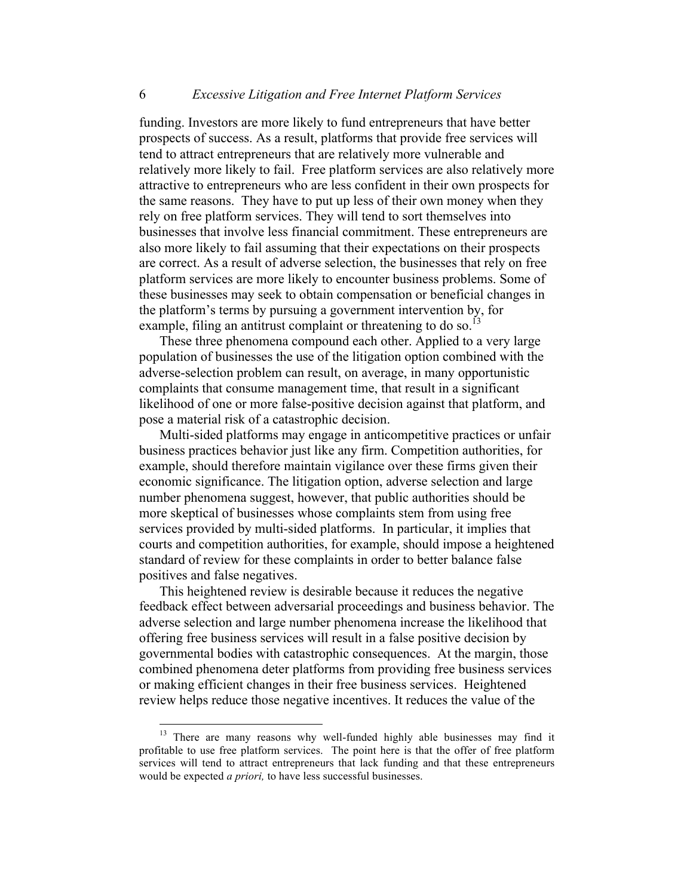funding. Investors are more likely to fund entrepreneurs that have better prospects of success. As a result, platforms that provide free services will tend to attract entrepreneurs that are relatively more vulnerable and relatively more likely to fail. Free platform services are also relatively more attractive to entrepreneurs who are less confident in their own prospects for the same reasons. They have to put up less of their own money when they rely on free platform services. They will tend to sort themselves into businesses that involve less financial commitment. These entrepreneurs are also more likely to fail assuming that their expectations on their prospects are correct. As a result of adverse selection, the businesses that rely on free platform services are more likely to encounter business problems. Some of these businesses may seek to obtain compensation or beneficial changes in the platform's terms by pursuing a government intervention by, for example, filing an antitrust complaint or threatening to do so.<sup>13</sup>

These three phenomena compound each other. Applied to a very large population of businesses the use of the litigation option combined with the adverse-selection problem can result, on average, in many opportunistic complaints that consume management time, that result in a significant likelihood of one or more false-positive decision against that platform, and pose a material risk of a catastrophic decision.

Multi-sided platforms may engage in anticompetitive practices or unfair business practices behavior just like any firm. Competition authorities, for example, should therefore maintain vigilance over these firms given their economic significance. The litigation option, adverse selection and large number phenomena suggest, however, that public authorities should be more skeptical of businesses whose complaints stem from using free services provided by multi-sided platforms. In particular, it implies that courts and competition authorities, for example, should impose a heightened standard of review for these complaints in order to better balance false positives and false negatives.

This heightened review is desirable because it reduces the negative feedback effect between adversarial proceedings and business behavior. The adverse selection and large number phenomena increase the likelihood that offering free business services will result in a false positive decision by governmental bodies with catastrophic consequences. At the margin, those combined phenomena deter platforms from providing free business services or making efficient changes in their free business services. Heightened review helps reduce those negative incentives. It reduces the value of the

<sup>&</sup>lt;sup>13</sup> There are many reasons why well-funded highly able businesses may find it profitable to use free platform services. The point here is that the offer of free platform services will tend to attract entrepreneurs that lack funding and that these entrepreneurs would be expected *a priori,* to have less successful businesses.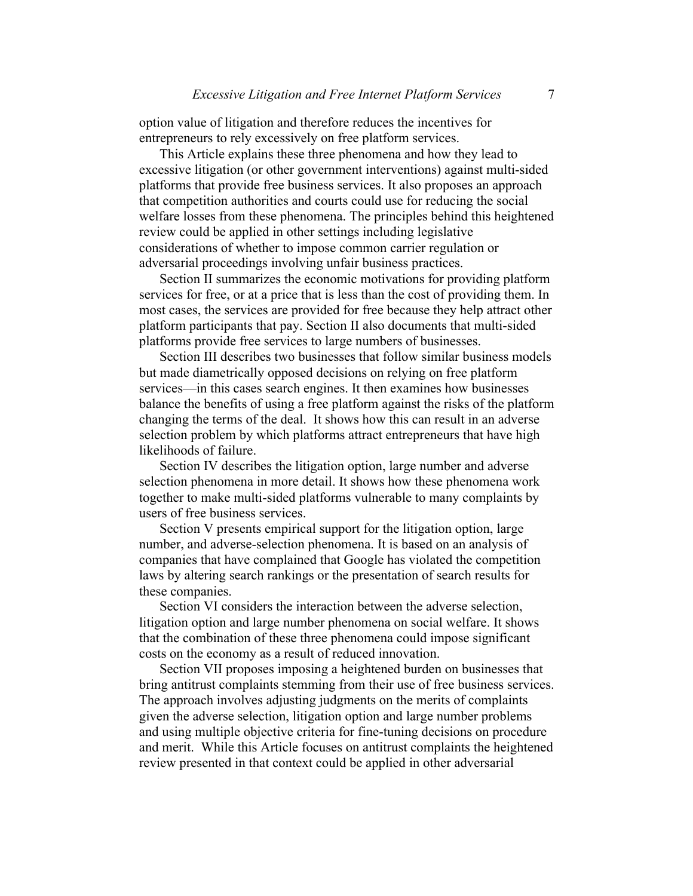option value of litigation and therefore reduces the incentives for entrepreneurs to rely excessively on free platform services.

This Article explains these three phenomena and how they lead to excessive litigation (or other government interventions) against multi-sided platforms that provide free business services. It also proposes an approach that competition authorities and courts could use for reducing the social welfare losses from these phenomena. The principles behind this heightened review could be applied in other settings including legislative considerations of whether to impose common carrier regulation or adversarial proceedings involving unfair business practices.

Section II summarizes the economic motivations for providing platform services for free, or at a price that is less than the cost of providing them. In most cases, the services are provided for free because they help attract other platform participants that pay. Section II also documents that multi-sided platforms provide free services to large numbers of businesses.

Section III describes two businesses that follow similar business models but made diametrically opposed decisions on relying on free platform services—in this cases search engines. It then examines how businesses balance the benefits of using a free platform against the risks of the platform changing the terms of the deal. It shows how this can result in an adverse selection problem by which platforms attract entrepreneurs that have high likelihoods of failure.

Section IV describes the litigation option, large number and adverse selection phenomena in more detail. It shows how these phenomena work together to make multi-sided platforms vulnerable to many complaints by users of free business services.

Section V presents empirical support for the litigation option, large number, and adverse-selection phenomena. It is based on an analysis of companies that have complained that Google has violated the competition laws by altering search rankings or the presentation of search results for these companies.

Section VI considers the interaction between the adverse selection, litigation option and large number phenomena on social welfare. It shows that the combination of these three phenomena could impose significant costs on the economy as a result of reduced innovation.

Section VII proposes imposing a heightened burden on businesses that bring antitrust complaints stemming from their use of free business services. The approach involves adjusting judgments on the merits of complaints given the adverse selection, litigation option and large number problems and using multiple objective criteria for fine-tuning decisions on procedure and merit. While this Article focuses on antitrust complaints the heightened review presented in that context could be applied in other adversarial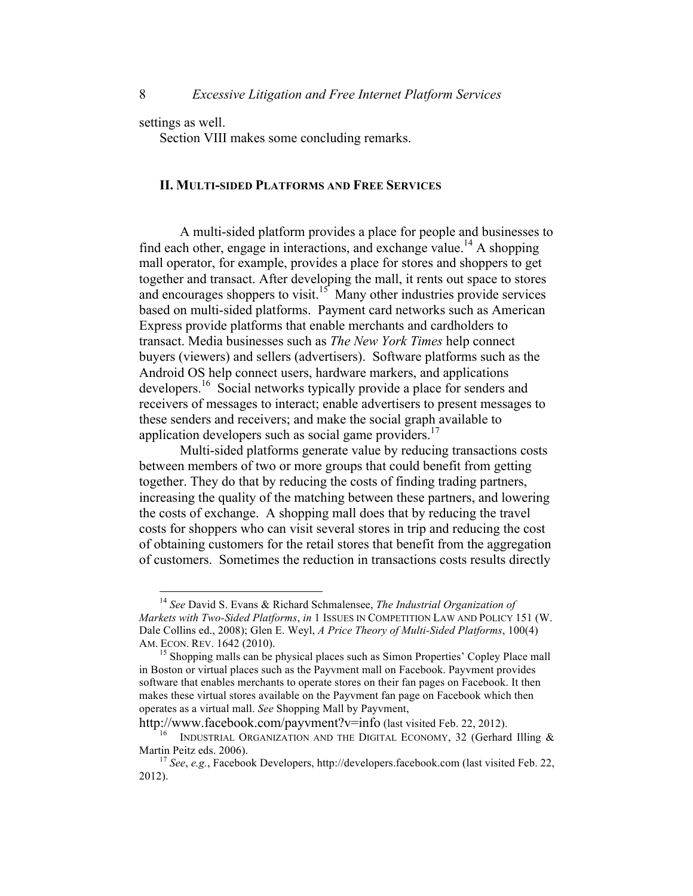settings as well.

Section VIII makes some concluding remarks.

#### **II. MULTI-SIDED PLATFORMS AND FREE SERVICES**

A multi-sided platform provides a place for people and businesses to find each other, engage in interactions, and exchange value.<sup>14</sup> A shopping mall operator, for example, provides a place for stores and shoppers to get together and transact. After developing the mall, it rents out space to stores and encourages shoppers to visit.<sup>15</sup> Many other industries provide services based on multi-sided platforms. Payment card networks such as American Express provide platforms that enable merchants and cardholders to transact. Media businesses such as *The New York Times* help connect buyers (viewers) and sellers (advertisers). Software platforms such as the Android OS help connect users, hardware markers, and applications developers.16 Social networks typically provide a place for senders and receivers of messages to interact; enable advertisers to present messages to these senders and receivers; and make the social graph available to application developers such as social game providers. $17$ 

Multi-sided platforms generate value by reducing transactions costs between members of two or more groups that could benefit from getting together. They do that by reducing the costs of finding trading partners, increasing the quality of the matching between these partners, and lowering the costs of exchange. A shopping mall does that by reducing the travel costs for shoppers who can visit several stores in trip and reducing the cost of obtaining customers for the retail stores that benefit from the aggregation of customers. Sometimes the reduction in transactions costs results directly

 <sup>14</sup> *See* David S. Evans & Richard Schmalensee, *The Industrial Organization of Markets with Two-Sided Platforms*, *in* 1 ISSUES IN COMPETITION LAW AND POLICY 151 (W. Dale Collins ed., 2008); Glen E. Weyl, *A Price Theory of Multi-Sided Platforms*, 100(4) AM. ECON. REV. 1642 (2010).<br><sup>15</sup> Shopping malls can be physical places such as Simon Properties' Copley Place mall

in Boston or virtual places such as the Payvment mall on Facebook. Payvment provides software that enables merchants to operate stores on their fan pages on Facebook. It then makes these virtual stores available on the Payvment fan page on Facebook which then operates as a virtual mall. *See* Shopping Mall by Payvment,

http://www.facebook.com/payvment?v=info (last visited Feb. 22, 2012).<br><sup>16</sup> INDUSTRIAL ORGANIZATION AND THE DIGITAL ECONOMY, 32 (Gerhard Illing & Martin Peitz eds. 2006).

<sup>&</sup>lt;sup>17</sup> *See*, *e.g.*, Facebook Developers, http://developers.facebook.com (last visited Feb. 22, 2012).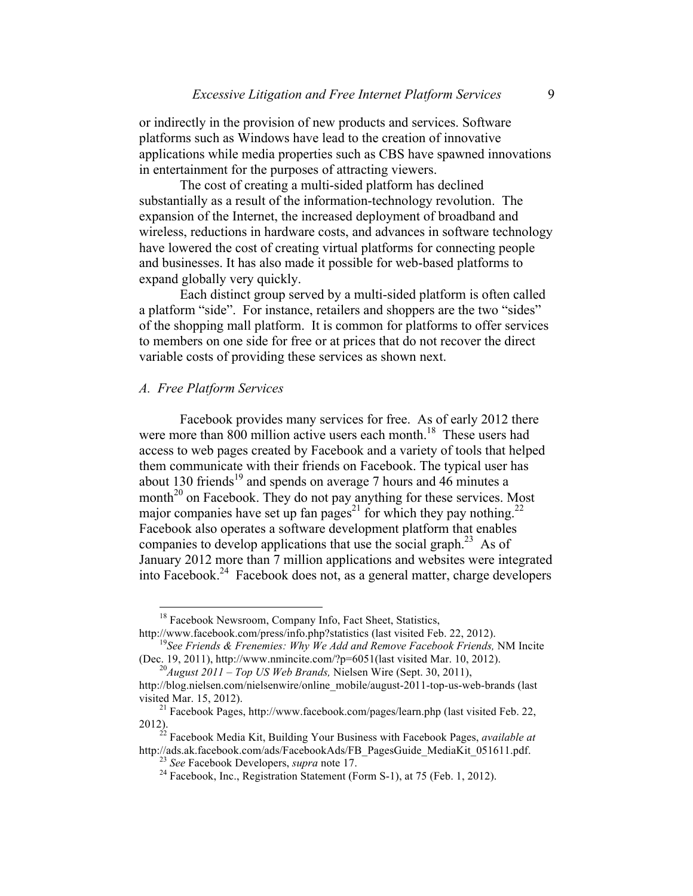or indirectly in the provision of new products and services. Software platforms such as Windows have lead to the creation of innovative applications while media properties such as CBS have spawned innovations in entertainment for the purposes of attracting viewers.

The cost of creating a multi-sided platform has declined substantially as a result of the information-technology revolution. The expansion of the Internet, the increased deployment of broadband and wireless, reductions in hardware costs, and advances in software technology have lowered the cost of creating virtual platforms for connecting people and businesses. It has also made it possible for web-based platforms to expand globally very quickly.

Each distinct group served by a multi-sided platform is often called a platform "side". For instance, retailers and shoppers are the two "sides" of the shopping mall platform. It is common for platforms to offer services to members on one side for free or at prices that do not recover the direct variable costs of providing these services as shown next.

# *A. Free Platform Services*

Facebook provides many services for free. As of early 2012 there were more than 800 million active users each month.<sup>18</sup> These users had access to web pages created by Facebook and a variety of tools that helped them communicate with their friends on Facebook. The typical user has about 130 friends<sup>19</sup> and spends on average 7 hours and 46 minutes a month<sup>20</sup> on Facebook. They do not pay anything for these services. Most major companies have set up fan pages<sup>21</sup> for which they pay nothing.<sup>22</sup> Facebook also operates a software development platform that enables companies to develop applications that use the social graph.<sup>23</sup> As of January 2012 more than 7 million applications and websites were integrated into Facebook.<sup>24</sup> Facebook does not, as a general matter, charge developers

<sup>&</sup>lt;sup>18</sup> Facebook Newsroom, Company Info, Fact Sheet, Statistics, http://www.facebook.com/press/info.php?statistics (last visited Feb. 22, 2012).

<sup>&</sup>lt;sup>19</sup>See Friends & Frenemies: Why We Add and Remove Facebook Friends, NM Incite (Dec. 19, 2011), http://www.nmincite.com/?p=6051(last visited Mar. 10, 2012).<br><sup>20</sup>*August 2011 – Top US Web Brands*, Nielsen Wire (Sept. 30, 2011),

http://blog.nielsen.com/nielsenwire/online\_mobile/august-2011-top-us-web-brands (last visited Mar. 15, 2012). <sup>21</sup> Facebook Pages, http://www.facebook.com/pages/learn.php (last visited Feb. 22,

<sup>2012).</sup> <sup>22</sup> Facebook Media Kit, Building Your Business with Facebook Pages, *available at*

<sup>&</sup>lt;sup>23</sup> See Facebook Developers, *supra* note 17.<br><sup>24</sup> Facebook, Inc., Registration Statement (Form S-1), at 75 (Feb. 1, 2012).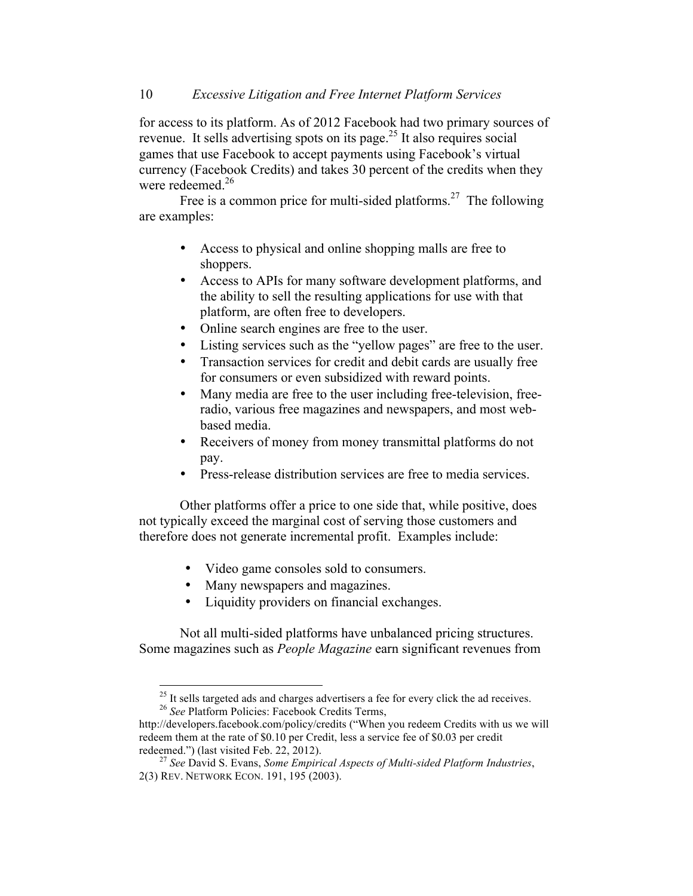for access to its platform. As of 2012 Facebook had two primary sources of revenue. It sells advertising spots on its page.<sup>25</sup> It also requires social games that use Facebook to accept payments using Facebook's virtual currency (Facebook Credits) and takes 30 percent of the credits when they were redeemed.<sup>26</sup>

Free is a common price for multi-sided platforms.<sup>27</sup> The following are examples:

- Access to physical and online shopping malls are free to shoppers.
- Access to APIs for many software development platforms, and the ability to sell the resulting applications for use with that platform, are often free to developers.
- Online search engines are free to the user.
- Listing services such as the "yellow pages" are free to the user.
- Transaction services for credit and debit cards are usually free for consumers or even subsidized with reward points.
- Many media are free to the user including free-television, freeradio, various free magazines and newspapers, and most webbased media.
- Receivers of money from money transmittal platforms do not pay.
- Press-release distribution services are free to media services.

Other platforms offer a price to one side that, while positive, does not typically exceed the marginal cost of serving those customers and therefore does not generate incremental profit. Examples include:

- Video game consoles sold to consumers.
- Many newspapers and magazines.
- Liquidity providers on financial exchanges.

Not all multi-sided platforms have unbalanced pricing structures. Some magazines such as *People Magazine* earn significant revenues from

<sup>25</sup> It sells targeted ads and charges advertisers a fee for every click the ad receives. <sup>26</sup> *See* Platform Policies: Facebook Credits Terms,

http://developers.facebook.com/policy/credits ("When you redeem Credits with us we will redeem them at the rate of \$0.10 per Credit, less a service fee of \$0.03 per credit redeemed.") (last visited Feb. 22, 2012). <sup>27</sup> *See* David S. Evans, *Some Empirical Aspects of Multi-sided Platform Industries*,

<sup>2(3)</sup> REV. NETWORK ECON. 191, 195 (2003).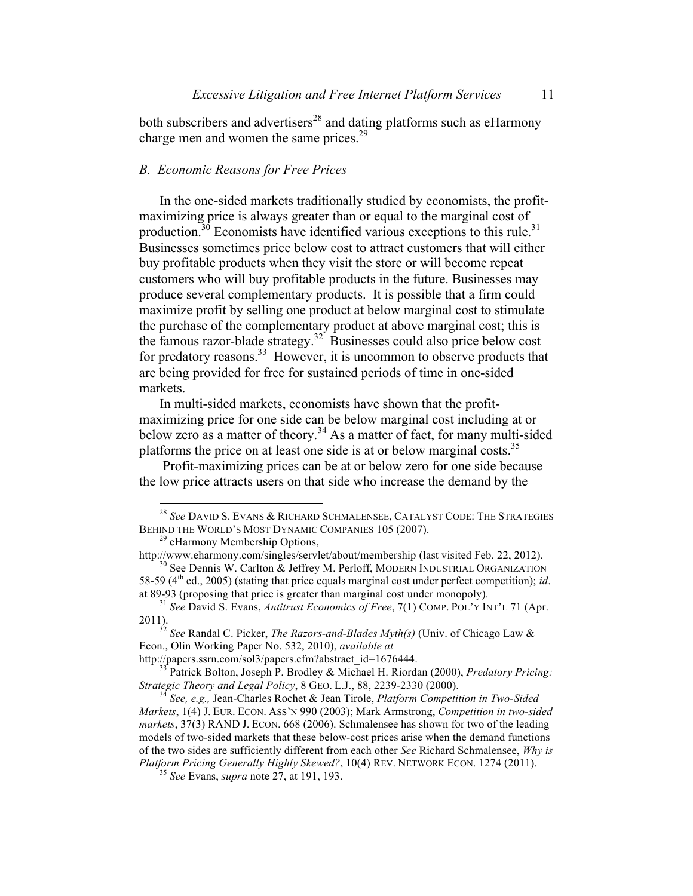both subscribers and advertisers<sup>28</sup> and dating platforms such as eHarmony charge men and women the same prices. $29$ 

# *B. Economic Reasons for Free Prices*

In the one-sided markets traditionally studied by economists, the profitmaximizing price is always greater than or equal to the marginal cost of production.<sup>30</sup> Economists have identified various exceptions to this rule.<sup>31</sup> Businesses sometimes price below cost to attract customers that will either buy profitable products when they visit the store or will become repeat customers who will buy profitable products in the future. Businesses may produce several complementary products. It is possible that a firm could maximize profit by selling one product at below marginal cost to stimulate the purchase of the complementary product at above marginal cost; this is the famous razor-blade strategy.32 Businesses could also price below cost for predatory reasons.<sup>33</sup> However, it is uncommon to observe products that are being provided for free for sustained periods of time in one-sided markets.

In multi-sided markets, economists have shown that the profitmaximizing price for one side can be below marginal cost including at or below zero as a matter of theory. <sup>34</sup> As a matter of fact, for many multi-sided platforms the price on at least one side is at or below marginal costs.<sup>35</sup>

Profit-maximizing prices can be at or below zero for one side because the low price attracts users on that side who increase the demand by the

http://papers.ssrn.com/sol3/papers.cfm?abstract\_id=1676444.<br><sup>33</sup> Patrick Bolton, Joseph P. Brodley & Michael H. Riordan (2000), *Predatory Pricing: Strategic Theory and Legal Policy*, 8 GEO. L.J., 88, 2239-2330 (2000).

 <sup>28</sup> *See* DAVID S. EVANS & RICHARD SCHMALENSEE, CATALYST CODE: THE STRATEGIES BEHIND THE WORLD'S MOST DYNAMIC COMPANIES 105 (2007).<br><sup>29</sup> eHarmony Membership Options,<br>http://www.eharmony.com/singles/servlet/about/membership (last visited Feb. 22, 2012).

 $10$ <sup>30</sup> See Dennis W. Carlton & Jeffrey M. Perloff, MODERN INDUSTRIAL ORGANIZATION 58-59 (4th ed., 2005) (stating that price equals marginal cost under perfect competition); *id*. at 89-93 (proposing that price is greater than marginal cost under monopoly).

<sup>31</sup> *See* David S. Evans, *Antitrust Economics of Free*, 7(1) COMP. POL'Y INT'L 71 (Apr.

<sup>2011).</sup> <sup>32</sup> *See* Randal C. Picker, *The Razors-and-Blades Myth(s)* (Univ. of Chicago Law & Econ., Olin Working Paper No. 532, 2010), *available at* 

*Strategic Theory and Legal Policy*, 8 GEO. L.J., 88, 2239-2330 (2000). <sup>34</sup> *See, e.g.,* Jean-Charles Rochet & Jean Tirole, *Platform Competition in Two-Sided Markets*, 1(4) J. EUR. ECON. ASS'N 990 (2003); Mark Armstrong, *Competition in two-sided markets*, 37(3) RAND J. ECON. 668 (2006). Schmalensee has shown for two of the leading models of two-sided markets that these below-cost prices arise when the demand functions of the two sides are sufficiently different from each other *See* Richard Schmalensee, *Why is Platform Pricing Generally Highly Skewed?*, 10(4) REV. NETWORK ECON. 1274 (2011). <sup>35</sup> *See* Evans, *supra* note 27, at 191, 193.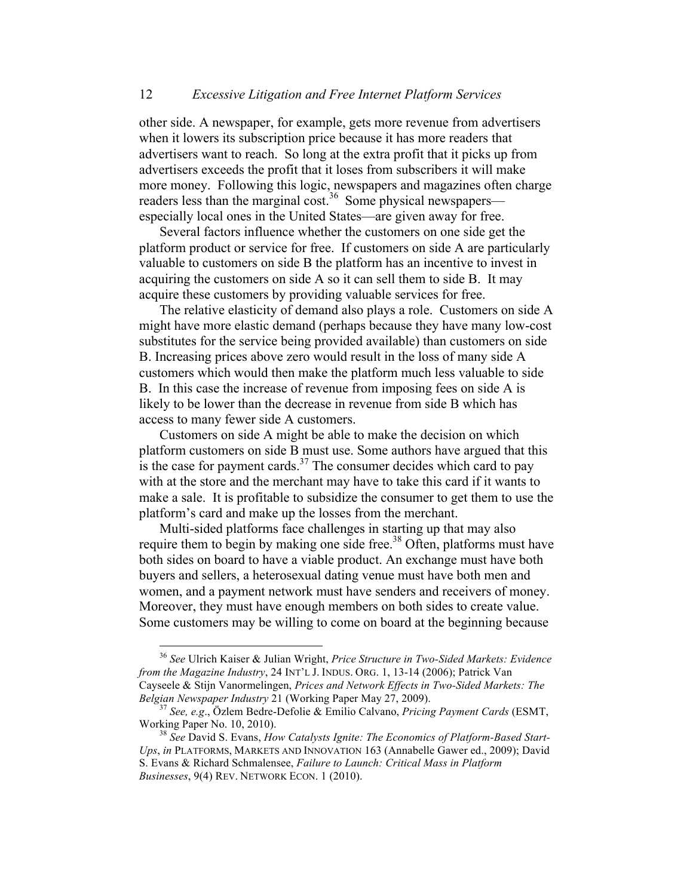other side. A newspaper, for example, gets more revenue from advertisers when it lowers its subscription price because it has more readers that advertisers want to reach. So long at the extra profit that it picks up from advertisers exceeds the profit that it loses from subscribers it will make more money. Following this logic, newspapers and magazines often charge readers less than the marginal cost.<sup>36</sup> Some physical newspapers especially local ones in the United States—are given away for free.

Several factors influence whether the customers on one side get the platform product or service for free. If customers on side A are particularly valuable to customers on side B the platform has an incentive to invest in acquiring the customers on side A so it can sell them to side B. It may acquire these customers by providing valuable services for free.

The relative elasticity of demand also plays a role. Customers on side A might have more elastic demand (perhaps because they have many low-cost substitutes for the service being provided available) than customers on side B. Increasing prices above zero would result in the loss of many side A customers which would then make the platform much less valuable to side B. In this case the increase of revenue from imposing fees on side A is likely to be lower than the decrease in revenue from side B which has access to many fewer side A customers.

Customers on side A might be able to make the decision on which platform customers on side B must use. Some authors have argued that this is the case for payment cards. $37$  The consumer decides which card to pay with at the store and the merchant may have to take this card if it wants to make a sale. It is profitable to subsidize the consumer to get them to use the platform's card and make up the losses from the merchant.

Multi-sided platforms face challenges in starting up that may also require them to begin by making one side free.<sup>38</sup> Often, platforms must have both sides on board to have a viable product. An exchange must have both buyers and sellers, a heterosexual dating venue must have both men and women, and a payment network must have senders and receivers of money. Moreover, they must have enough members on both sides to create value. Some customers may be willing to come on board at the beginning because

 <sup>36</sup> *See* Ulrich Kaiser & Julian Wright, *Price Structure in Two-Sided Markets: Evidence from the Magazine Industry*, 24 INT'L J. INDUS. ORG. 1, 13-14 (2006); Patrick Van Cayseele & Stijn Vanormelingen, *Prices and Network Effects in Two-Sided Markets: The* 

*Belgian Newspaper Industry* 21 (Working Paper May 27, 2009).<br><sup>37</sup> *See, e.g.*, Özlem Bedre-Defolie & Emilio Calvano, *Pricing Payment Cards* (ESMT, Working Paper No. 10, 2010).

<sup>&</sup>lt;sup>38</sup> See David S. Evans, *How Catalysts Ignite: The Economics of Platform-Based Start-Ups*, *in* PLATFORMS, MARKETS AND INNOVATION 163 (Annabelle Gawer ed., 2009); David S. Evans & Richard Schmalensee, *Failure to Launch: Critical Mass in Platform Businesses*, 9(4) REV. NETWORK ECON. 1 (2010).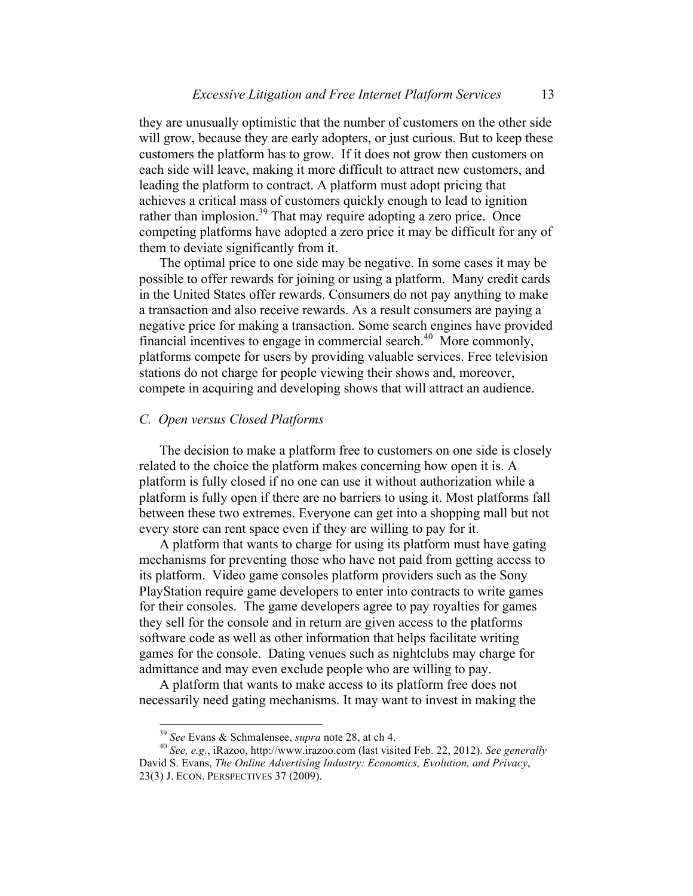they are unusually optimistic that the number of customers on the other side will grow, because they are early adopters, or just curious. But to keep these customers the platform has to grow. If it does not grow then customers on each side will leave, making it more difficult to attract new customers, and leading the platform to contract. A platform must adopt pricing that achieves a critical mass of customers quickly enough to lead to ignition rather than implosion.<sup>39</sup> That may require adopting a zero price. Once competing platforms have adopted a zero price it may be difficult for any of them to deviate significantly from it.

The optimal price to one side may be negative. In some cases it may be possible to offer rewards for joining or using a platform. Many credit cards in the United States offer rewards. Consumers do not pay anything to make a transaction and also receive rewards. As a result consumers are paying a negative price for making a transaction. Some search engines have provided financial incentives to engage in commercial search.<sup>40</sup> More commonly, platforms compete for users by providing valuable services. Free television stations do not charge for people viewing their shows and, moreover, compete in acquiring and developing shows that will attract an audience.

## *C. Open versus Closed Platforms*

The decision to make a platform free to customers on one side is closely related to the choice the platform makes concerning how open it is. A platform is fully closed if no one can use it without authorization while a platform is fully open if there are no barriers to using it. Most platforms fall between these two extremes. Everyone can get into a shopping mall but not every store can rent space even if they are willing to pay for it.

A platform that wants to charge for using its platform must have gating mechanisms for preventing those who have not paid from getting access to its platform. Video game consoles platform providers such as the Sony PlayStation require game developers to enter into contracts to write games for their consoles. The game developers agree to pay royalties for games they sell for the console and in return are given access to the platforms software code as well as other information that helps facilitate writing games for the console. Dating venues such as nightclubs may charge for admittance and may even exclude people who are willing to pay.

A platform that wants to make access to its platform free does not necessarily need gating mechanisms. It may want to invest in making the

<sup>39</sup> *See* Evans & Schmalensee, *supra* note 28, at ch 4. <sup>40</sup> *See, e.g.*, iRazoo, http://www.irazoo.com (last visited Feb. 22, 2012). *See generally* David S. Evans, *The Online Advertising Industry: Economics, Evolution, and Privacy*, 23(3) J. ECON. PERSPECTIVES 37 (2009).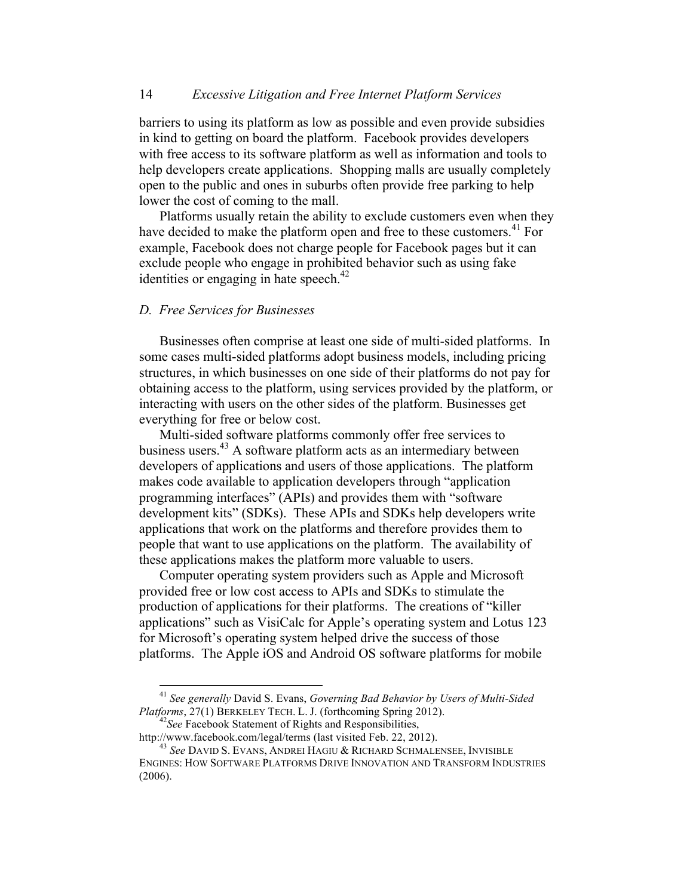barriers to using its platform as low as possible and even provide subsidies in kind to getting on board the platform. Facebook provides developers with free access to its software platform as well as information and tools to help developers create applications. Shopping malls are usually completely open to the public and ones in suburbs often provide free parking to help lower the cost of coming to the mall.

Platforms usually retain the ability to exclude customers even when they have decided to make the platform open and free to these customers.<sup>41</sup> For example, Facebook does not charge people for Facebook pages but it can exclude people who engage in prohibited behavior such as using fake identities or engaging in hate speech. $42$ 

# *D. Free Services for Businesses*

Businesses often comprise at least one side of multi-sided platforms. In some cases multi-sided platforms adopt business models, including pricing structures, in which businesses on one side of their platforms do not pay for obtaining access to the platform, using services provided by the platform, or interacting with users on the other sides of the platform. Businesses get everything for free or below cost.

Multi-sided software platforms commonly offer free services to business users.<sup>43</sup> A software platform acts as an intermediary between developers of applications and users of those applications. The platform makes code available to application developers through "application programming interfaces" (APIs) and provides them with "software development kits" (SDKs). These APIs and SDKs help developers write applications that work on the platforms and therefore provides them to people that want to use applications on the platform. The availability of these applications makes the platform more valuable to users.

Computer operating system providers such as Apple and Microsoft provided free or low cost access to APIs and SDKs to stimulate the production of applications for their platforms. The creations of "killer applications" such as VisiCalc for Apple's operating system and Lotus 123 for Microsoft's operating system helped drive the success of those platforms. The Apple iOS and Android OS software platforms for mobile

 <sup>41</sup> *See generally* David S. Evans, *Governing Bad Behavior by Users of Multi-Sided Platforms*, 27(1) BERKELEY TECH. L. J. (forthcoming Spring 2012).<br><sup>42</sup>*See* Facebook Statement of Rights and Responsibilities,<br>http://www.facebook.com/legal/terms (last visited Feb. 22, 2012).

<sup>&</sup>lt;sup>43</sup> See DAVID S. EVANS, ANDREI HAGIU & RICHARD SCHMALENSEE, INVISIBLE ENGINES: HOW SOFTWARE PLATFORMS DRIVE INNOVATION AND TRANSFORM INDUSTRIES (2006).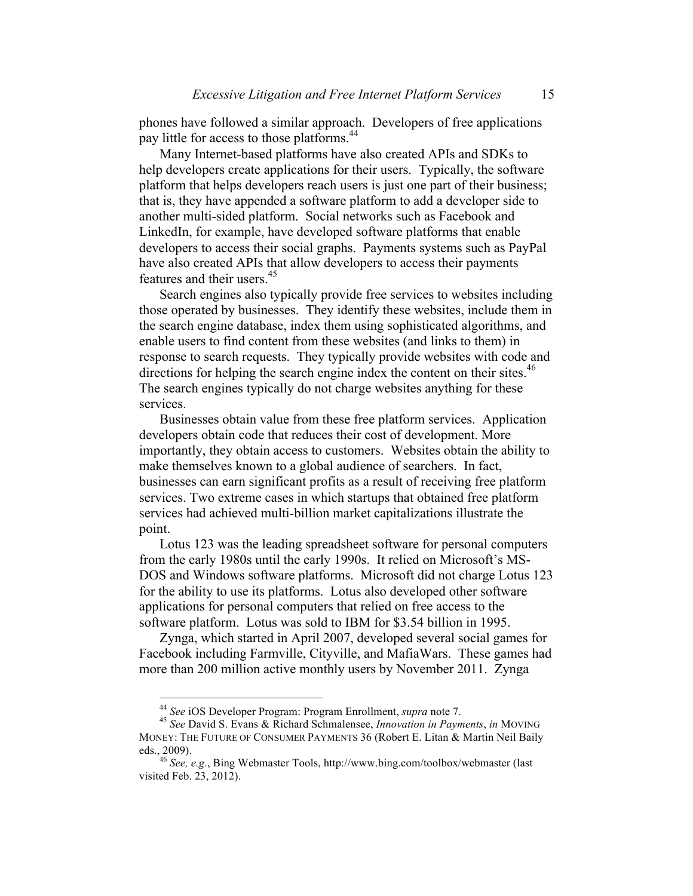phones have followed a similar approach. Developers of free applications pay little for access to those platforms.<sup>44</sup>

Many Internet-based platforms have also created APIs and SDKs to help developers create applications for their users. Typically, the software platform that helps developers reach users is just one part of their business; that is, they have appended a software platform to add a developer side to another multi-sided platform. Social networks such as Facebook and LinkedIn, for example, have developed software platforms that enable developers to access their social graphs. Payments systems such as PayPal have also created APIs that allow developers to access their payments features and their users.<sup>45</sup>

Search engines also typically provide free services to websites including those operated by businesses. They identify these websites, include them in the search engine database, index them using sophisticated algorithms, and enable users to find content from these websites (and links to them) in response to search requests. They typically provide websites with code and directions for helping the search engine index the content on their sites.<sup>46</sup> The search engines typically do not charge websites anything for these services.

Businesses obtain value from these free platform services. Application developers obtain code that reduces their cost of development. More importantly, they obtain access to customers. Websites obtain the ability to make themselves known to a global audience of searchers. In fact, businesses can earn significant profits as a result of receiving free platform services. Two extreme cases in which startups that obtained free platform services had achieved multi-billion market capitalizations illustrate the point.

Lotus 123 was the leading spreadsheet software for personal computers from the early 1980s until the early 1990s. It relied on Microsoft's MS-DOS and Windows software platforms. Microsoft did not charge Lotus 123 for the ability to use its platforms. Lotus also developed other software applications for personal computers that relied on free access to the software platform. Lotus was sold to IBM for \$3.54 billion in 1995.

Zynga, which started in April 2007, developed several social games for Facebook including Farmville, Cityville, and MafiaWars. These games had more than 200 million active monthly users by November 2011. Zynga

<sup>44</sup> *See* iOS Developer Program: Program Enrollment, *supra* note 7. <sup>45</sup> *See* David S. Evans & Richard Schmalensee, *Innovation in Payments*, *in* MOVING MONEY: THE FUTURE OF CONSUMER PAYMENTS 36 (Robert E. Litan & Martin Neil Baily eds., 2009).

<sup>46</sup> *See, e.g.*, Bing Webmaster Tools, http://www.bing.com/toolbox/webmaster (last visited Feb. 23, 2012).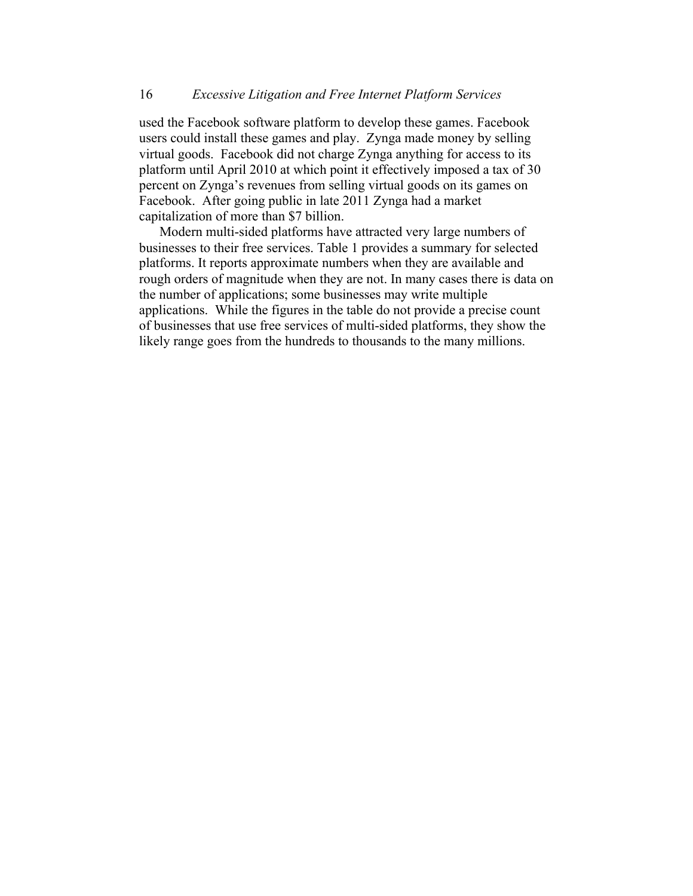used the Facebook software platform to develop these games. Facebook users could install these games and play. Zynga made money by selling virtual goods. Facebook did not charge Zynga anything for access to its platform until April 2010 at which point it effectively imposed a tax of 30 percent on Zynga's revenues from selling virtual goods on its games on Facebook. After going public in late 2011 Zynga had a market capitalization of more than \$7 billion.

Modern multi-sided platforms have attracted very large numbers of businesses to their free services. Table 1 provides a summary for selected platforms. It reports approximate numbers when they are available and rough orders of magnitude when they are not. In many cases there is data on the number of applications; some businesses may write multiple applications. While the figures in the table do not provide a precise count of businesses that use free services of multi-sided platforms, they show the likely range goes from the hundreds to thousands to the many millions.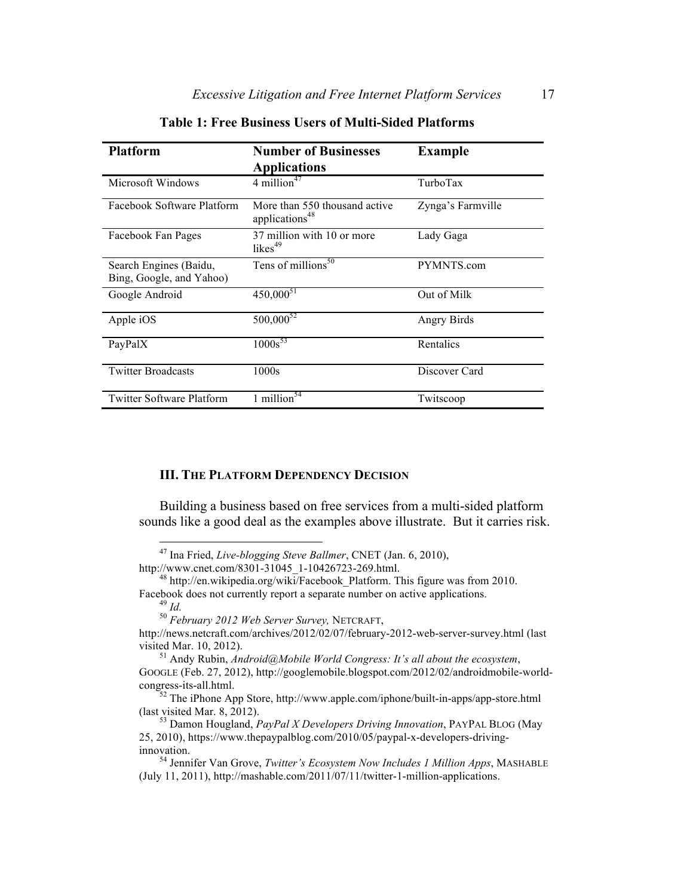| <b>Platform</b>                                    | <b>Number of Businesses</b><br><b>Applications</b>          | <b>Example</b>    |
|----------------------------------------------------|-------------------------------------------------------------|-------------------|
| Microsoft Windows                                  | 4 million <sup>47</sup>                                     | TurboTax          |
| Facebook Software Platform                         | More than 550 thousand active<br>applications <sup>48</sup> | Zynga's Farmville |
| Facebook Fan Pages                                 | 37 million with 10 or more<br>likes $49$                    | Lady Gaga         |
| Search Engines (Baidu,<br>Bing, Google, and Yahoo) | Tens of millions <sup>50</sup>                              | PYMNTS.com        |
| Google Android                                     | $450,000^{51}$                                              | Out of Milk       |
| Apple iOS                                          | $500,000^{52}$                                              | Angry Birds       |
| PayPalX                                            | $1000s^{53}$                                                | Rentalics         |
| <b>Twitter Broadcasts</b>                          | 1000s                                                       | Discover Card     |
| <b>Twitter Software Platform</b>                   | 1 million <sup>5<math>\overline{4}</math></sup>             | Twitscoop         |

**Table 1: Free Business Users of Multi-Sided Platforms**

#### **III. THE PLATFORM DEPENDENCY DECISION**

Building a business based on free services from a multi-sided platform sounds like a good deal as the examples above illustrate. But it carries risk.

 <sup>47</sup> Ina Fried, *Live-blogging Steve Ballmer*, CNET (Jan. 6, 2010),

http://www.cnet.com/8301-31045\_1-10426723-269.html.<br>
<sup>48</sup> http://en.wikipedia.org/wiki/Facebook\_Platform. This figure was from 2010.<br>
Facebook does not currently report a separate number on active applications.

Facebook does not currently report a separate number on active applications. <sup>49</sup> *Id.* <sup>50</sup> *February 2012 Web Server Survey,* NETCRAFT,

http://news.netcraft.com/archives/2012/02/07/february-2012-web-server-survey.html (last visited Mar. 10, 2012). <sup>51</sup> Andy Rubin, *Android@Mobile World Congress: It's all about the ecosystem*,

GOOGLE (Feb. 27, 2012), http://googlemobile.blogspot.com/2012/02/androidmobile-worldcongress-its-all.html. <sup>52</sup> The iPhone App Store, http://www.apple.com/iphone/built-in-apps/app-store.html

<sup>(</sup>last visited Mar. 8, 2012). <sup>53</sup> Damon Hougland, *PayPal X Developers Driving Innovation*, PAYPAL BLOG (May

<sup>25, 2010),</sup> https://www.thepaypalblog.com/2010/05/paypal-x-developers-drivinginnovation. <sup>54</sup> Jennifer Van Grove, *Twitter's Ecosystem Now Includes 1 Million Apps*, MASHABLE

<sup>(</sup>July 11, 2011), http://mashable.com/2011/07/11/twitter-1-million-applications.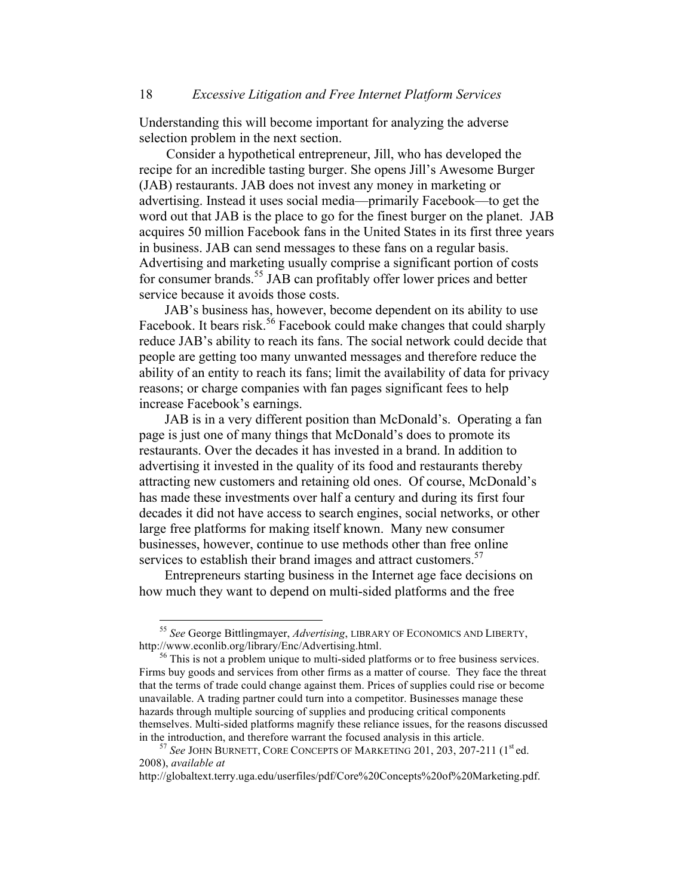Understanding this will become important for analyzing the adverse selection problem in the next section.

 Consider a hypothetical entrepreneur, Jill, who has developed the recipe for an incredible tasting burger. She opens Jill's Awesome Burger (JAB) restaurants. JAB does not invest any money in marketing or advertising. Instead it uses social media—primarily Facebook—to get the word out that JAB is the place to go for the finest burger on the planet. JAB acquires 50 million Facebook fans in the United States in its first three years in business. JAB can send messages to these fans on a regular basis. Advertising and marketing usually comprise a significant portion of costs for consumer brands.<sup>55</sup> JAB can profitably offer lower prices and better service because it avoids those costs.

JAB's business has, however, become dependent on its ability to use Facebook. It bears risk.<sup>56</sup> Facebook could make changes that could sharply reduce JAB's ability to reach its fans. The social network could decide that people are getting too many unwanted messages and therefore reduce the ability of an entity to reach its fans; limit the availability of data for privacy reasons; or charge companies with fan pages significant fees to help increase Facebook's earnings.

JAB is in a very different position than McDonald's. Operating a fan page is just one of many things that McDonald's does to promote its restaurants. Over the decades it has invested in a brand. In addition to advertising it invested in the quality of its food and restaurants thereby attracting new customers and retaining old ones. Of course, McDonald's has made these investments over half a century and during its first four decades it did not have access to search engines, social networks, or other large free platforms for making itself known. Many new consumer businesses, however, continue to use methods other than free online services to establish their brand images and attract customers.<sup>57</sup>

Entrepreneurs starting business in the Internet age face decisions on how much they want to depend on multi-sided platforms and the free

http://globaltext.terry.uga.edu/userfiles/pdf/Core%20Concepts%20of%20Marketing.pdf.

 <sup>55</sup> *See* George Bittlingmayer, *Advertising*, LIBRARY OF ECONOMICS AND LIBERTY, http://www.econlib.org/library/Enc/Advertising.html.<br><sup>56</sup> This is not a problem unique to multi-sided platforms or to free business services.

Firms buy goods and services from other firms as a matter of course. They face the threat that the terms of trade could change against them. Prices of supplies could rise or become unavailable. A trading partner could turn into a competitor. Businesses manage these hazards through multiple sourcing of supplies and producing critical components themselves. Multi-sided platforms magnify these reliance issues, for the reasons discussed in the introduction, and therefore warrant the focused analysis in this article.<br><sup>57</sup> *See* JOHN BURNETT, CORE CONCEPTS OF MARKETING 201, 203, 207-211 (1<sup>st</sup> ed.

<sup>2008),</sup> *available at*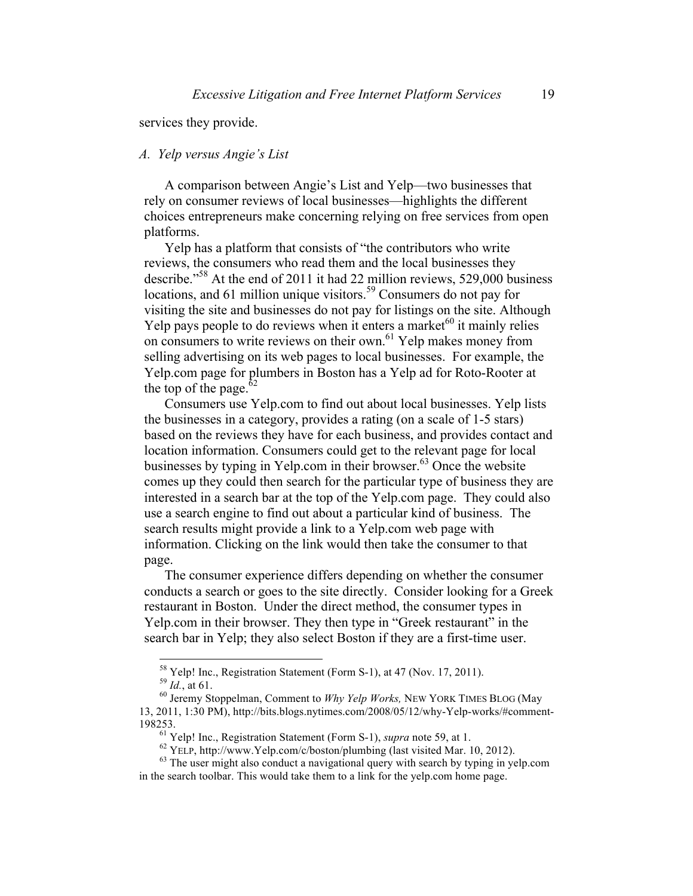services they provide.

#### *A. Yelp versus Angie's List*

A comparison between Angie's List and Yelp—two businesses that rely on consumer reviews of local businesses—highlights the different choices entrepreneurs make concerning relying on free services from open platforms.

Yelp has a platform that consists of "the contributors who write reviews, the consumers who read them and the local businesses they describe."58 At the end of 2011 it had 22 million reviews, 529,000 business locations, and 61 million unique visitors.<sup>59</sup> Consumers do not pay for visiting the site and businesses do not pay for listings on the site. Although Yelp pays people to do reviews when it enters a market $60$  it mainly relies on consumers to write reviews on their own.<sup>61</sup> Yelp makes money from selling advertising on its web pages to local businesses. For example, the Yelp.com page for plumbers in Boston has a Yelp ad for Roto-Rooter at the top of the page. $62$ 

Consumers use Yelp.com to find out about local businesses. Yelp lists the businesses in a category, provides a rating (on a scale of 1-5 stars) based on the reviews they have for each business, and provides contact and location information. Consumers could get to the relevant page for local businesses by typing in Yelp.com in their browser.<sup>63</sup> Once the website comes up they could then search for the particular type of business they are interested in a search bar at the top of the Yelp.com page. They could also use a search engine to find out about a particular kind of business. The search results might provide a link to a Yelp.com web page with information. Clicking on the link would then take the consumer to that page.

The consumer experience differs depending on whether the consumer conducts a search or goes to the site directly. Consider looking for a Greek restaurant in Boston. Under the direct method, the consumer types in Yelp.com in their browser. They then type in "Greek restaurant" in the search bar in Yelp; they also select Boston if they are a first-time user.

<sup>&</sup>lt;sup>58</sup> Yelp! Inc., Registration Statement (Form S-1), at 47 (Nov. 17, 2011).<br><sup>59</sup> *Id.*, at 61.<br><sup>60</sup> Jeremy Stoppelman, Comment to *Why Yelp Works*, NEW YORK TIMES BLOG (May

<sup>13, 2011, 1:30</sup> PM), http://bits.blogs.nytimes.com/2008/05/12/why-Yelp-works/#comment-198253.<br><sup>61</sup> Yelp! Inc., Registration Statement (Form S-1), *supra* note 59, at 1.<br><sup>62</sup> YELP, http://www.Yelp.com/c/boston/plumbing (last visited Mar. 10, 2012).<br><sup>63</sup> The user might also conduct a navigational query with

in the search toolbar. This would take them to a link for the yelp.com home page.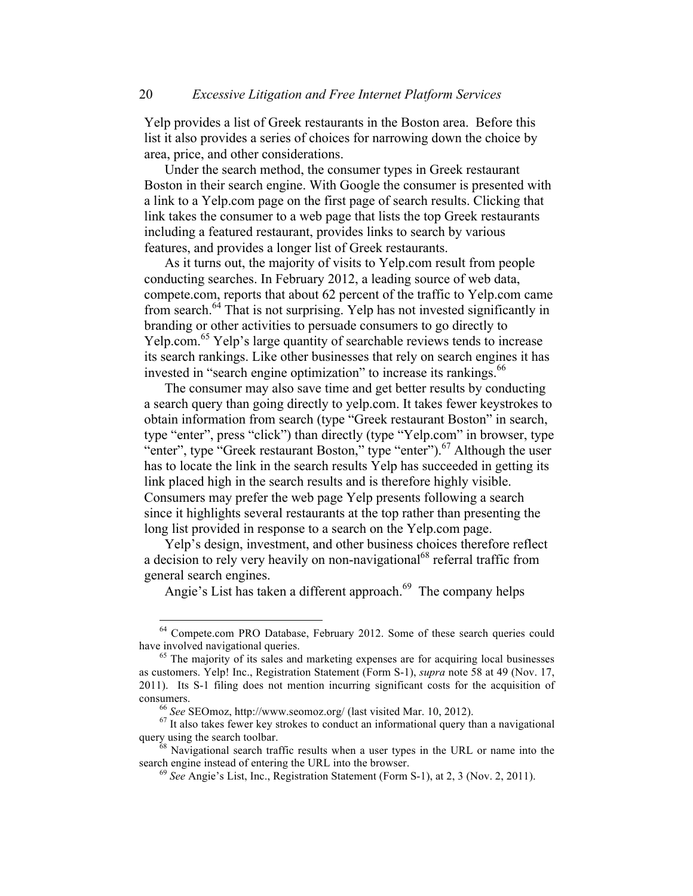Yelp provides a list of Greek restaurants in the Boston area. Before this list it also provides a series of choices for narrowing down the choice by area, price, and other considerations.

Under the search method, the consumer types in Greek restaurant Boston in their search engine. With Google the consumer is presented with a link to a Yelp.com page on the first page of search results. Clicking that link takes the consumer to a web page that lists the top Greek restaurants including a featured restaurant, provides links to search by various features, and provides a longer list of Greek restaurants.

As it turns out, the majority of visits to Yelp.com result from people conducting searches. In February 2012, a leading source of web data, compete.com, reports that about 62 percent of the traffic to Yelp.com came from search.<sup>64</sup> That is not surprising. Yelp has not invested significantly in branding or other activities to persuade consumers to go directly to Yelp.com.<sup>65</sup> Yelp's large quantity of searchable reviews tends to increase its search rankings. Like other businesses that rely on search engines it has invested in "search engine optimization" to increase its rankings.<sup>66</sup>

The consumer may also save time and get better results by conducting a search query than going directly to yelp.com. It takes fewer keystrokes to obtain information from search (type "Greek restaurant Boston" in search, type "enter", press "click") than directly (type "Yelp.com" in browser, type "enter", type "Greek restaurant Boston," type "enter").<sup>67</sup> Although the user has to locate the link in the search results Yelp has succeeded in getting its link placed high in the search results and is therefore highly visible. Consumers may prefer the web page Yelp presents following a search since it highlights several restaurants at the top rather than presenting the long list provided in response to a search on the Yelp.com page.

Yelp's design, investment, and other business choices therefore reflect a decision to rely very heavily on non-navigational<sup>68</sup> referral traffic from general search engines.

Angie's List has taken a different approach.<sup>69</sup> The company helps

 $<sup>64</sup>$  Compete.com PRO Database, February 2012. Some of these search queries could have involved navigational queries.</sup>

 $65$  The majority of its sales and marketing expenses are for acquiring local businesses as customers. Yelp! Inc., Registration Statement (Form S-1), *supra* note 58 at 49 (Nov. 17, 2011). Its S-1 filing does not mention incurring significant costs for the acquisition of consumers. 66 *See* SEOmoz, http://www.seomoz.org/ (last visited Mar. 10, 2012). <sup>67</sup> It also takes fewer key strokes to conduct an informational query than a navigational

query using the search toolbar.<br><sup>68</sup> Navigational search traffic results when a user types in the URL or name into the search engine instead of entering the URL into the browser.

<sup>&</sup>lt;sup>69</sup> See Angie's List, Inc., Registration Statement (Form S-1), at 2, 3 (Nov. 2, 2011).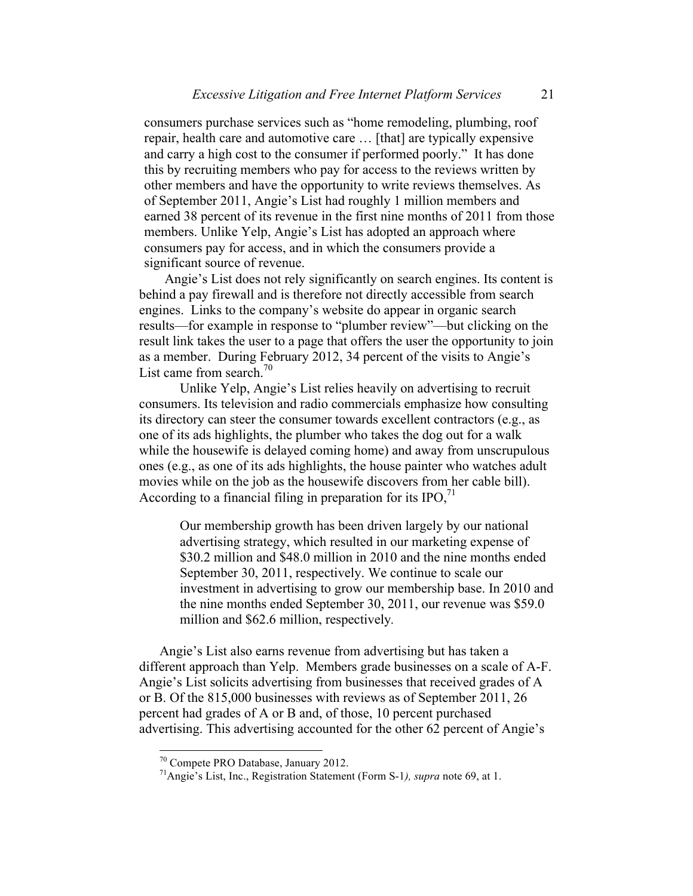consumers purchase services such as "home remodeling, plumbing, roof repair, health care and automotive care … [that] are typically expensive and carry a high cost to the consumer if performed poorly." It has done this by recruiting members who pay for access to the reviews written by other members and have the opportunity to write reviews themselves. As of September 2011, Angie's List had roughly 1 million members and earned 38 percent of its revenue in the first nine months of 2011 from those members. Unlike Yelp, Angie's List has adopted an approach where consumers pay for access, and in which the consumers provide a significant source of revenue.

Angie's List does not rely significantly on search engines. Its content is behind a pay firewall and is therefore not directly accessible from search engines. Links to the company's website do appear in organic search results—for example in response to "plumber review"—but clicking on the result link takes the user to a page that offers the user the opportunity to join as a member. During February 2012, 34 percent of the visits to Angie's List came from search.<sup>70</sup>

Unlike Yelp, Angie's List relies heavily on advertising to recruit consumers. Its television and radio commercials emphasize how consulting its directory can steer the consumer towards excellent contractors (e.g., as one of its ads highlights, the plumber who takes the dog out for a walk while the housewife is delayed coming home) and away from unscrupulous ones (e.g., as one of its ads highlights, the house painter who watches adult movies while on the job as the housewife discovers from her cable bill). According to a financial filing in preparation for its  $IPO<sub>1</sub>$ <sup>71</sup>

Our membership growth has been driven largely by our national advertising strategy, which resulted in our marketing expense of \$30.2 million and \$48.0 million in 2010 and the nine months ended September 30, 2011, respectively. We continue to scale our investment in advertising to grow our membership base. In 2010 and the nine months ended September 30, 2011, our revenue was \$59.0 million and \$62.6 million, respectively*.*

Angie's List also earns revenue from advertising but has taken a different approach than Yelp. Members grade businesses on a scale of A-F. Angie's List solicits advertising from businesses that received grades of A or B. Of the 815,000 businesses with reviews as of September 2011, 26 percent had grades of A or B and, of those, 10 percent purchased advertising. This advertising accounted for the other 62 percent of Angie's

<sup>70</sup> Compete PRO Database, January 2012. 71Angie's List, Inc., Registration Statement (Form S-1*), supra* note 69, at 1.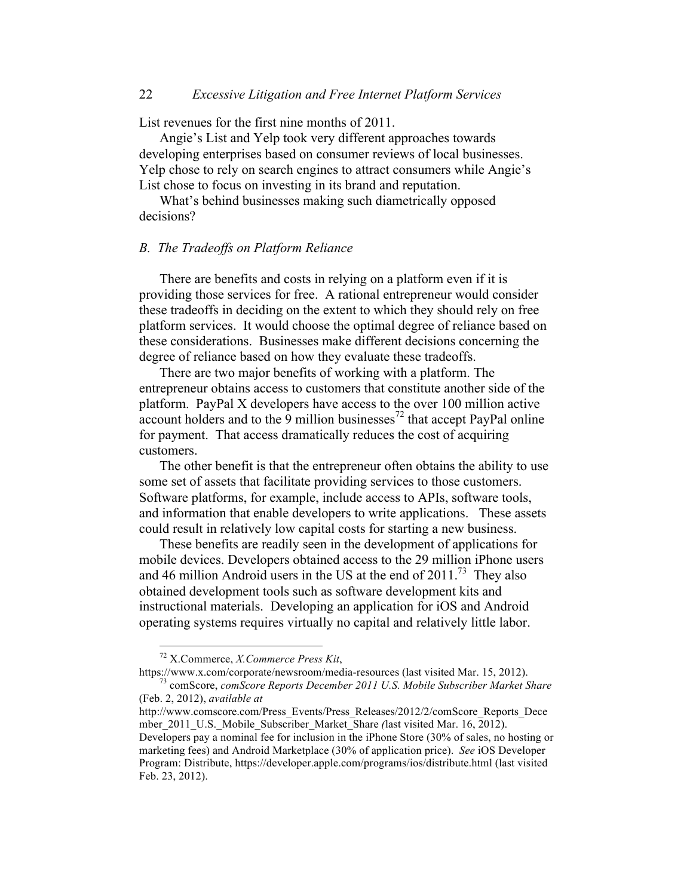# 22 *Excessive Litigation and Free Internet Platform Services*

List revenues for the first nine months of 2011.

Angie's List and Yelp took very different approaches towards developing enterprises based on consumer reviews of local businesses. Yelp chose to rely on search engines to attract consumers while Angie's List chose to focus on investing in its brand and reputation.

What's behind businesses making such diametrically opposed decisions?

#### *B. The Tradeoffs on Platform Reliance*

There are benefits and costs in relying on a platform even if it is providing those services for free. A rational entrepreneur would consider these tradeoffs in deciding on the extent to which they should rely on free platform services. It would choose the optimal degree of reliance based on these considerations. Businesses make different decisions concerning the degree of reliance based on how they evaluate these tradeoffs.

There are two major benefits of working with a platform. The entrepreneur obtains access to customers that constitute another side of the platform. PayPal X developers have access to the over 100 million active account holders and to the  $\overline{9}$  million businesses<sup>72</sup> that accept PayPal online for payment. That access dramatically reduces the cost of acquiring customers.

The other benefit is that the entrepreneur often obtains the ability to use some set of assets that facilitate providing services to those customers. Software platforms, for example, include access to APIs, software tools, and information that enable developers to write applications. These assets could result in relatively low capital costs for starting a new business.

These benefits are readily seen in the development of applications for mobile devices. Developers obtained access to the 29 million iPhone users and 46 million Android users in the US at the end of  $2011$ .<sup>73</sup> They also obtained development tools such as software development kits and instructional materials. Developing an application for iOS and Android operating systems requires virtually no capital and relatively little labor.

 <sup>72</sup> X.Commerce, *X.Commerce Press Kit*,

https://www.x.com/corporate/newsroom/media-resources (last visited Mar. 15, 2012). <sup>73</sup> comScore, *comScore Reports December 2011 U.S. Mobile Subscriber Market Share*

<sup>(</sup>Feb. 2, 2012), *available at* 

http://www.comscore.com/Press\_Events/Press\_Releases/2012/2/comScore\_Reports\_Dece mber\_2011\_U.S.\_Mobile\_Subscriber\_Market\_Share *(*last visited Mar. 16, 2012). Developers pay a nominal fee for inclusion in the iPhone Store (30% of sales, no hosting or marketing fees) and Android Marketplace (30% of application price). *See* iOS Developer Program: Distribute, https://developer.apple.com/programs/ios/distribute.html (last visited Feb. 23, 2012).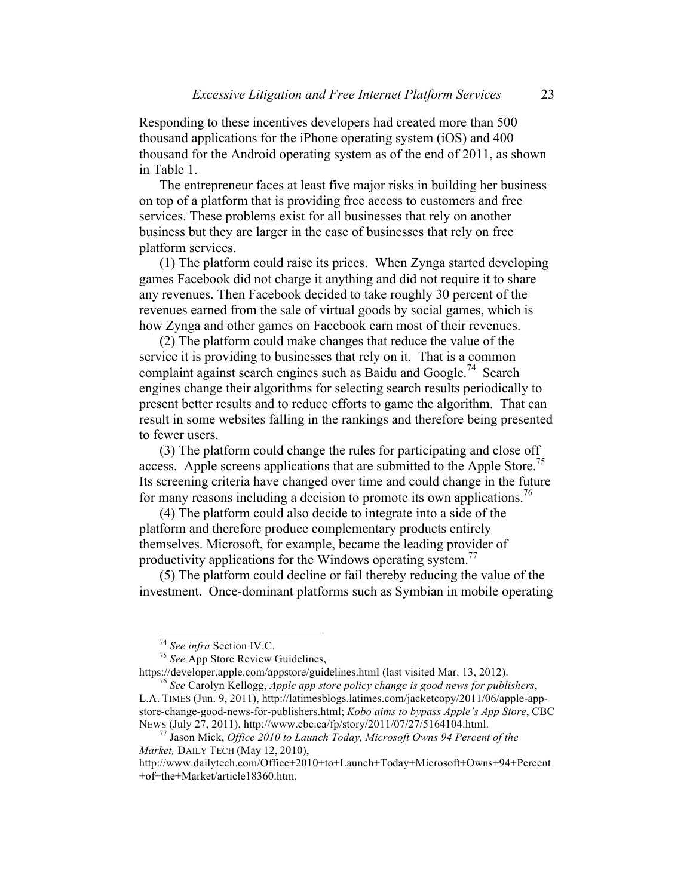Responding to these incentives developers had created more than 500 thousand applications for the iPhone operating system (iOS) and 400 thousand for the Android operating system as of the end of 2011, as shown in Table 1.

The entrepreneur faces at least five major risks in building her business on top of a platform that is providing free access to customers and free services. These problems exist for all businesses that rely on another business but they are larger in the case of businesses that rely on free platform services.

(1) The platform could raise its prices. When Zynga started developing games Facebook did not charge it anything and did not require it to share any revenues. Then Facebook decided to take roughly 30 percent of the revenues earned from the sale of virtual goods by social games, which is how Zynga and other games on Facebook earn most of their revenues.

(2) The platform could make changes that reduce the value of the service it is providing to businesses that rely on it. That is a common complaint against search engines such as Baidu and Google.<sup>74</sup> Search engines change their algorithms for selecting search results periodically to present better results and to reduce efforts to game the algorithm. That can result in some websites falling in the rankings and therefore being presented to fewer users.

(3) The platform could change the rules for participating and close off access. Apple screens applications that are submitted to the Apple Store.<sup>75</sup> Its screening criteria have changed over time and could change in the future for many reasons including a decision to promote its own applications. 76

(4) The platform could also decide to integrate into a side of the platform and therefore produce complementary products entirely themselves. Microsoft, for example, became the leading provider of productivity applications for the Windows operating system.<sup>77</sup>

(5) The platform could decline or fail thereby reducing the value of the investment. Once-dominant platforms such as Symbian in mobile operating

https://developer.apple.com/appstore/guidelines.html (last visited Mar. 13, 2012). <sup>76</sup> *See* Carolyn Kellogg, *Apple app store policy change is good news for publishers*,

L.A. TIMES (Jun. 9, 2011), http://latimesblogs.latimes.com/jacketcopy/2011/06/apple-appstore-change-good-news-for-publishers.html; *Kobo aims to bypass Apple's App Store*, CBC NEWS (July 27, 2011), http://www.cbc.ca/fp/story/2011/07/27/5164104.html. <sup>77</sup> Jason Mick, *Office 2010 to Launch Today, Microsoft Owns 94 Percent of the* 

<sup>74</sup> *See infra* Section IV.C. <sup>75</sup> *See* App Store Review Guidelines,

*Market,* DAILY TECH (May 12, 2010),

http://www.dailytech.com/Office+2010+to+Launch+Today+Microsoft+Owns+94+Percent +of+the+Market/article18360.htm.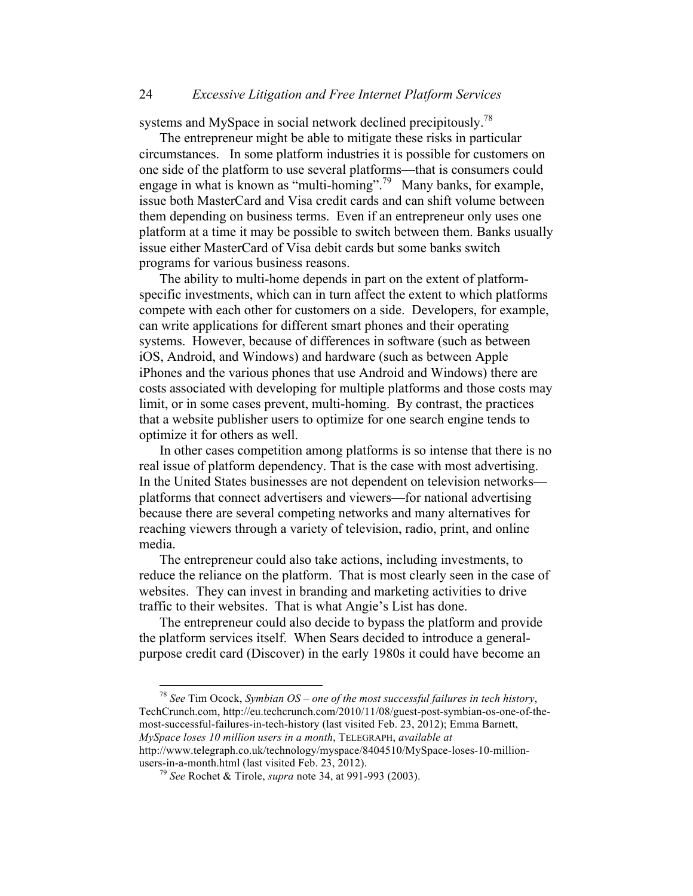# 24 *Excessive Litigation and Free Internet Platform Services*

systems and MySpace in social network declined precipitously.<sup>78</sup>

The entrepreneur might be able to mitigate these risks in particular circumstances. In some platform industries it is possible for customers on one side of the platform to use several platforms—that is consumers could engage in what is known as "multi-homing".<sup>79</sup> Many banks, for example, issue both MasterCard and Visa credit cards and can shift volume between them depending on business terms. Even if an entrepreneur only uses one platform at a time it may be possible to switch between them. Banks usually issue either MasterCard of Visa debit cards but some banks switch programs for various business reasons.

The ability to multi-home depends in part on the extent of platformspecific investments, which can in turn affect the extent to which platforms compete with each other for customers on a side. Developers, for example, can write applications for different smart phones and their operating systems. However, because of differences in software (such as between iOS, Android, and Windows) and hardware (such as between Apple iPhones and the various phones that use Android and Windows) there are costs associated with developing for multiple platforms and those costs may limit, or in some cases prevent, multi-homing. By contrast, the practices that a website publisher users to optimize for one search engine tends to optimize it for others as well.

In other cases competition among platforms is so intense that there is no real issue of platform dependency. That is the case with most advertising. In the United States businesses are not dependent on television networks platforms that connect advertisers and viewers—for national advertising because there are several competing networks and many alternatives for reaching viewers through a variety of television, radio, print, and online media.

The entrepreneur could also take actions, including investments, to reduce the reliance on the platform. That is most clearly seen in the case of websites. They can invest in branding and marketing activities to drive traffic to their websites. That is what Angie's List has done.

The entrepreneur could also decide to bypass the platform and provide the platform services itself. When Sears decided to introduce a generalpurpose credit card (Discover) in the early 1980s it could have become an

 78 *See* Tim Ocock, *Symbian OS – one of the most successful failures in tech history*, TechCrunch.com, http://eu.techcrunch.com/2010/11/08/guest-post-symbian-os-one-of-themost-successful-failures-in-tech-history (last visited Feb. 23, 2012); Emma Barnett, *MySpace loses 10 million users in a month*, TELEGRAPH, *available at*  http://www.telegraph.co.uk/technology/myspace/8404510/MySpace-loses-10-million-

users-in-a-month.html (last visited Feb. 23, 2012). <sup>79</sup> *See* Rochet & Tirole, *supra* note 34, at 991-993 (2003).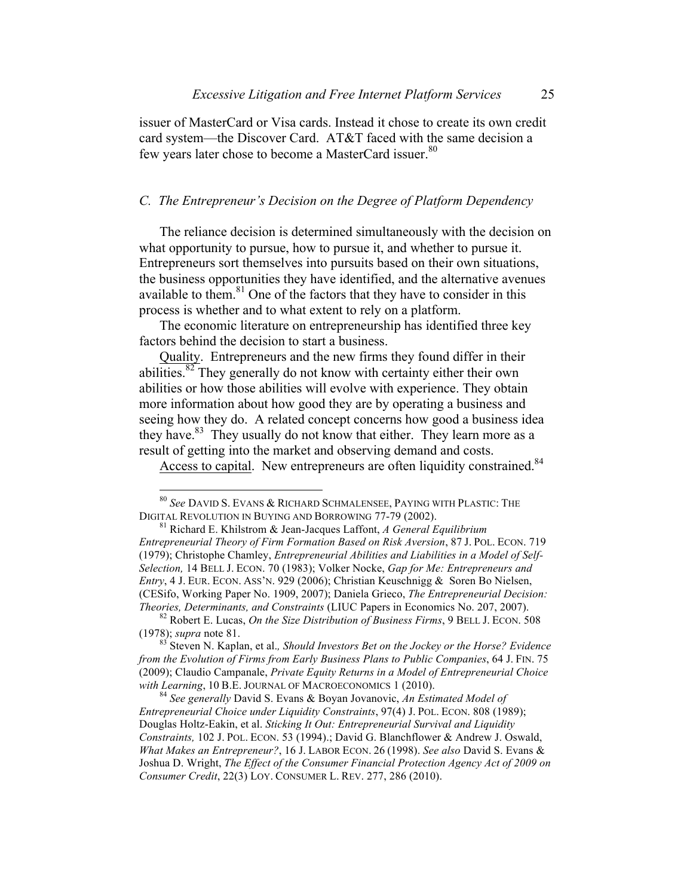issuer of MasterCard or Visa cards. Instead it chose to create its own credit card system—the Discover Card. AT&T faced with the same decision a few years later chose to become a MasterCard issuer.<sup>80</sup>

# *C. The Entrepreneur's Decision on the Degree of Platform Dependency*

The reliance decision is determined simultaneously with the decision on what opportunity to pursue, how to pursue it, and whether to pursue it. Entrepreneurs sort themselves into pursuits based on their own situations, the business opportunities they have identified, and the alternative avenues available to them. $81$  One of the factors that they have to consider in this process is whether and to what extent to rely on a platform.

The economic literature on entrepreneurship has identified three key factors behind the decision to start a business.

Quality. Entrepreneurs and the new firms they found differ in their abilities.<sup>82</sup> They generally do not know with certainty either their own abilities or how those abilities will evolve with experience. They obtain more information about how good they are by operating a business and seeing how they do. A related concept concerns how good a business idea they have.<sup>83</sup> They usually do not know that either. They learn more as a result of getting into the market and observing demand and costs.

Access to capital. New entrepreneurs are often liquidity constrained.<sup>84</sup>

 <sup>80</sup> *See* DAVID S. EVANS & RICHARD SCHMALENSEE, PAYING WITH PLASTIC: THE DIGITAL REVOLUTION IN BUYING AND BORROWING 77-79 (2002). 81 Richard E. Khilstrom & Jean-Jacques Laffont, *A General Equilibrium* 

*Entrepreneurial Theory of Firm Formation Based on Risk Aversion*, 87 J. POL. ECON. 719 (1979); Christophe Chamley, *Entrepreneurial Abilities and Liabilities in a Model of Self-Selection,* 14 BELL J. ECON. 70 (1983); Volker Nocke, *Gap for Me: Entrepreneurs and Entry*, 4 J. EUR. ECON. ASS'N. 929 (2006); Christian Keuschnigg & Soren Bo Nielsen, (CESifo, Working Paper No. 1909, 2007); Daniela Grieco, *The Entrepreneurial Decision: Theories, Determinants, and Constraints* (LIUC Papers in Economics No. 207, 2007).<br><sup>82</sup> Robert E. Lucas, *On the Size Distribution of Business Firms*, 9 BELL J. ECON. 508

<sup>(1978);</sup> *supra* note 81.<br><sup>83</sup> Steven N. Kaplan, et al., *Should Investors Bet on the Jockey or the Horse? Evidence* 

*from the Evolution of Firms from Early Business Plans to Public Companies*, 64 J. FIN. 75 (2009); Claudio Campanale, *Private Equity Returns in a Model of Entrepreneurial Choice with Learning*, <sup>10</sup> B.E. JOURNAL OF MACROECONOMICS 1 (2010). <sup>84</sup> *See generally* David S. Evans & Boyan Jovanovic, *An Estimated Model of* 

*Entrepreneurial Choice under Liquidity Constraints*, 97(4) J. POL. ECON. 808 (1989); Douglas Holtz-Eakin, et al. *Sticking It Out: Entrepreneurial Survival and Liquidity Constraints,* 102 J. POL. ECON. 53 (1994).; David G. Blanchflower & Andrew J. Oswald, *What Makes an Entrepreneur?*, 16 J. LABOR ECON. 26 (1998). *See also* David S. Evans & Joshua D. Wright, *The Effect of the Consumer Financial Protection Agency Act of 2009 on Consumer Credit*, 22(3) LOY. CONSUMER L. REV. 277, 286 (2010).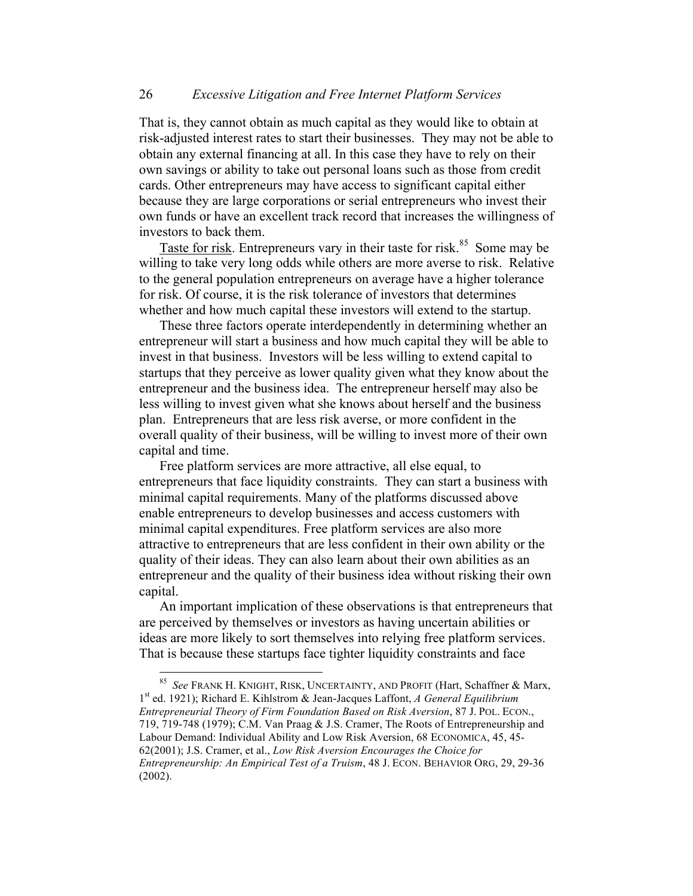That is, they cannot obtain as much capital as they would like to obtain at risk-adjusted interest rates to start their businesses. They may not be able to obtain any external financing at all. In this case they have to rely on their own savings or ability to take out personal loans such as those from credit cards. Other entrepreneurs may have access to significant capital either because they are large corporations or serial entrepreneurs who invest their own funds or have an excellent track record that increases the willingness of investors to back them.

Taste for risk. Entrepreneurs vary in their taste for risk.<sup>85</sup> Some may be willing to take very long odds while others are more averse to risk. Relative to the general population entrepreneurs on average have a higher tolerance for risk. Of course, it is the risk tolerance of investors that determines whether and how much capital these investors will extend to the startup.

These three factors operate interdependently in determining whether an entrepreneur will start a business and how much capital they will be able to invest in that business. Investors will be less willing to extend capital to startups that they perceive as lower quality given what they know about the entrepreneur and the business idea. The entrepreneur herself may also be less willing to invest given what she knows about herself and the business plan. Entrepreneurs that are less risk averse, or more confident in the overall quality of their business, will be willing to invest more of their own capital and time.

Free platform services are more attractive, all else equal, to entrepreneurs that face liquidity constraints. They can start a business with minimal capital requirements. Many of the platforms discussed above enable entrepreneurs to develop businesses and access customers with minimal capital expenditures. Free platform services are also more attractive to entrepreneurs that are less confident in their own ability or the quality of their ideas. They can also learn about their own abilities as an entrepreneur and the quality of their business idea without risking their own capital.

An important implication of these observations is that entrepreneurs that are perceived by themselves or investors as having uncertain abilities or ideas are more likely to sort themselves into relying free platform services. That is because these startups face tighter liquidity constraints and face

 <sup>85</sup> *See* FRANK H. KNIGHT, RISK, UNCERTAINTY, AND PROFIT (Hart, Schaffner & Marx, 1st ed. 1921); Richard E. Kihlstrom & Jean-Jacques Laffont, *A General Equilibrium Entrepreneurial Theory of Firm Foundation Based on Risk Aversion*, 87 J. POL. ECON., 719, 719-748 (1979); C.M. Van Praag & J.S. Cramer, The Roots of Entrepreneurship and Labour Demand: Individual Ability and Low Risk Aversion, 68 ECONOMICA, 45, 45- 62(2001); J.S. Cramer, et al., *Low Risk Aversion Encourages the Choice for Entrepreneurship: An Empirical Test of a Truism*, 48 J. ECON. BEHAVIOR ORG, 29, 29-36 (2002).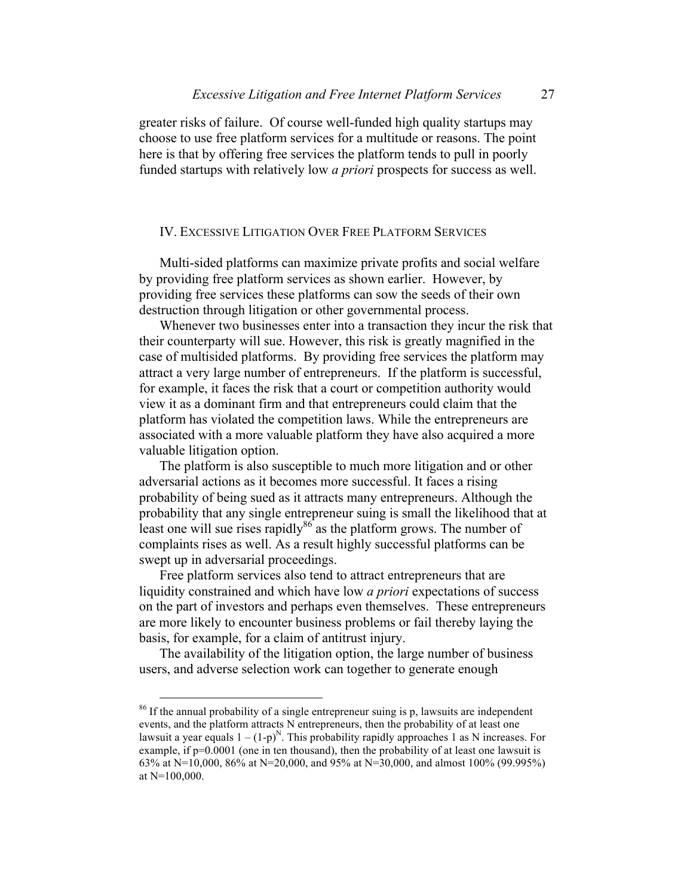greater risks of failure. Of course well-funded high quality startups may choose to use free platform services for a multitude or reasons. The point here is that by offering free services the platform tends to pull in poorly funded startups with relatively low *a priori* prospects for success as well.

## IV. EXCESSIVE LITIGATION OVER FREE PLATFORM SERVICES

Multi-sided platforms can maximize private profits and social welfare by providing free platform services as shown earlier. However, by providing free services these platforms can sow the seeds of their own destruction through litigation or other governmental process.

Whenever two businesses enter into a transaction they incur the risk that their counterparty will sue. However, this risk is greatly magnified in the case of multisided platforms. By providing free services the platform may attract a very large number of entrepreneurs. If the platform is successful, for example, it faces the risk that a court or competition authority would view it as a dominant firm and that entrepreneurs could claim that the platform has violated the competition laws. While the entrepreneurs are associated with a more valuable platform they have also acquired a more valuable litigation option.

The platform is also susceptible to much more litigation and or other adversarial actions as it becomes more successful. It faces a rising probability of being sued as it attracts many entrepreneurs. Although the probability that any single entrepreneur suing is small the likelihood that at least one will sue rises rapidly $86$  as the platform grows. The number of complaints rises as well. As a result highly successful platforms can be swept up in adversarial proceedings.

Free platform services also tend to attract entrepreneurs that are liquidity constrained and which have low *a priori* expectations of success on the part of investors and perhaps even themselves. These entrepreneurs are more likely to encounter business problems or fail thereby laying the basis, for example, for a claim of antitrust injury.

The availability of the litigation option, the large number of business users, and adverse selection work can together to generate enough

<sup>&</sup>lt;sup>86</sup> If the annual probability of a single entrepreneur suing is p, lawsuits are independent events, and the platform attracts N entrepreneurs, then the probability of at least one lawsuit a year equals  $1 - (1-p)^N$ . This probability rapidly approaches 1 as N increases. For example, if  $p=0.0001$  (one in ten thousand), then the probability of at least one lawsuit is 63% at N=10,000, 86% at N=20,000, and 95% at N=30,000, and almost 100% (99.995%) at N=100,000.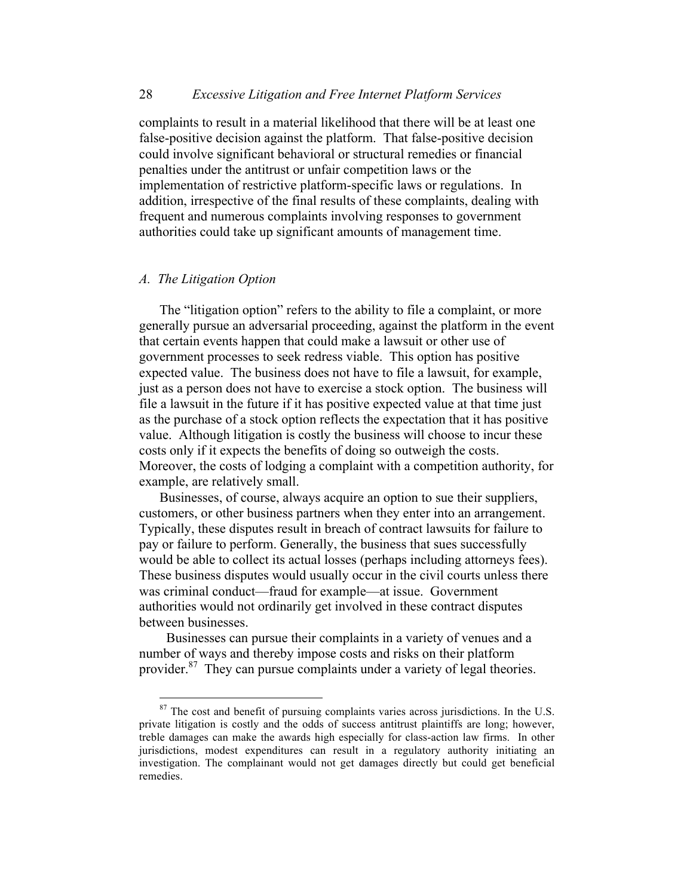complaints to result in a material likelihood that there will be at least one false-positive decision against the platform. That false-positive decision could involve significant behavioral or structural remedies or financial penalties under the antitrust or unfair competition laws or the implementation of restrictive platform-specific laws or regulations. In addition, irrespective of the final results of these complaints, dealing with frequent and numerous complaints involving responses to government authorities could take up significant amounts of management time.

# *A. The Litigation Option*

The "litigation option" refers to the ability to file a complaint, or more generally pursue an adversarial proceeding, against the platform in the event that certain events happen that could make a lawsuit or other use of government processes to seek redress viable. This option has positive expected value. The business does not have to file a lawsuit, for example, just as a person does not have to exercise a stock option. The business will file a lawsuit in the future if it has positive expected value at that time just as the purchase of a stock option reflects the expectation that it has positive value. Although litigation is costly the business will choose to incur these costs only if it expects the benefits of doing so outweigh the costs. Moreover, the costs of lodging a complaint with a competition authority, for example, are relatively small.

Businesses, of course, always acquire an option to sue their suppliers, customers, or other business partners when they enter into an arrangement. Typically, these disputes result in breach of contract lawsuits for failure to pay or failure to perform. Generally, the business that sues successfully would be able to collect its actual losses (perhaps including attorneys fees). These business disputes would usually occur in the civil courts unless there was criminal conduct—fraud for example—at issue. Government authorities would not ordinarily get involved in these contract disputes between businesses.

Businesses can pursue their complaints in a variety of venues and a number of ways and thereby impose costs and risks on their platform provider.87 They can pursue complaints under a variety of legal theories.

<sup>&</sup>lt;sup>87</sup> The cost and benefit of pursuing complaints varies across jurisdictions. In the U.S. private litigation is costly and the odds of success antitrust plaintiffs are long; however, treble damages can make the awards high especially for class-action law firms. In other jurisdictions, modest expenditures can result in a regulatory authority initiating an investigation. The complainant would not get damages directly but could get beneficial remedies.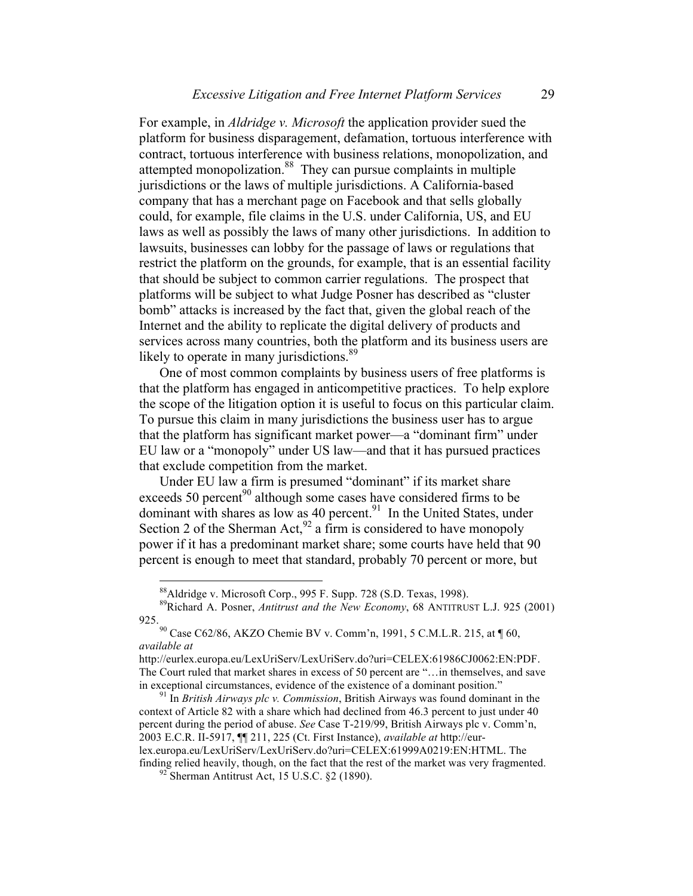For example, in *Aldridge v. Microsoft* the application provider sued the platform for business disparagement, defamation, tortuous interference with contract, tortuous interference with business relations, monopolization, and attempted monopolization.<sup>88</sup> They can pursue complaints in multiple jurisdictions or the laws of multiple jurisdictions. A California-based company that has a merchant page on Facebook and that sells globally could, for example, file claims in the U.S. under California, US, and EU laws as well as possibly the laws of many other jurisdictions. In addition to lawsuits, businesses can lobby for the passage of laws or regulations that restrict the platform on the grounds, for example, that is an essential facility that should be subject to common carrier regulations. The prospect that platforms will be subject to what Judge Posner has described as "cluster bomb" attacks is increased by the fact that, given the global reach of the Internet and the ability to replicate the digital delivery of products and services across many countries, both the platform and its business users are likely to operate in many jurisdictions.<sup>89</sup>

One of most common complaints by business users of free platforms is that the platform has engaged in anticompetitive practices. To help explore the scope of the litigation option it is useful to focus on this particular claim. To pursue this claim in many jurisdictions the business user has to argue that the platform has significant market power—a "dominant firm" under EU law or a "monopoly" under US law—and that it has pursued practices that exclude competition from the market.

Under EU law a firm is presumed "dominant" if its market share exceeds 50 percent<sup>90</sup> although some cases have considered firms to be dominant with shares as low as 40 percent.<sup>91</sup> In the United States, under Section 2 of the Sherman Act,  $92$  a firm is considered to have monopoly power if it has a predominant market share; some courts have held that 90 percent is enough to meet that standard, probably 70 percent or more, but

 <sup>88</sup>Aldridge v. Microsoft Corp., 995 F. Supp. 728 (S.D. Texas, 1998).

<sup>89</sup>Richard A. Posner, *Antitrust and the New Economy*, 68 ANTITRUST L.J. 925 (2001) 925.<br><sup>90</sup> Case C62/86, AKZO Chemie BV v. Comm'n, 1991, 5 C.M.L.R. 215, at ¶ 60,

*available at*

http://eurlex.europa.eu/LexUriServ/LexUriServ.do?uri=CELEX:61986CJ0062:EN:PDF. The Court ruled that market shares in excess of 50 percent are "…in themselves, and save in exceptional circumstances, evidence of the existence of a dominant position." <sup>91</sup> In *British Airways plc v. Commission*, British Airways was found dominant in the

context of Article 82 with a share which had declined from 46.3 percent to just under 40 percent during the period of abuse. *See* Case T-219/99, British Airways plc v. Comm'n, 2003 E.C.R. II-5917, ¶¶ 211, 225 (Ct. First Instance), *available at* http://eurlex.europa.eu/LexUriServ/LexUriServ.do?uri=CELEX:61999A0219:EN:HTML. The finding relied heavily, though, on the fact that the rest of the market was very fragmented. <sup>92</sup> Sherman Antitrust Act, 15 U.S.C. §2 (1890).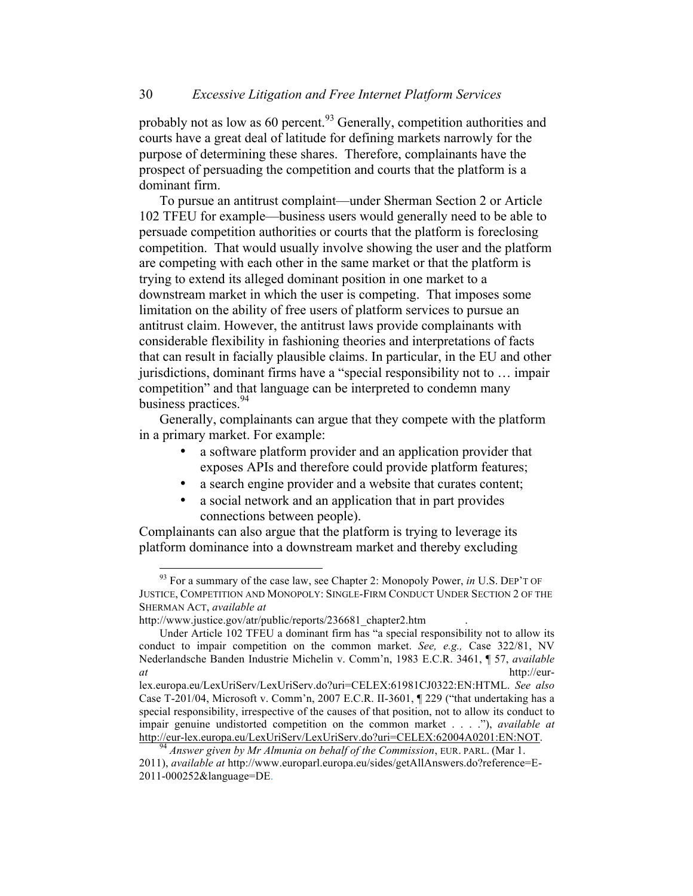probably not as low as 60 percent.<sup>93</sup> Generally, competition authorities and courts have a great deal of latitude for defining markets narrowly for the purpose of determining these shares. Therefore, complainants have the prospect of persuading the competition and courts that the platform is a dominant firm.

To pursue an antitrust complaint—under Sherman Section 2 or Article 102 TFEU for example—business users would generally need to be able to persuade competition authorities or courts that the platform is foreclosing competition. That would usually involve showing the user and the platform are competing with each other in the same market or that the platform is trying to extend its alleged dominant position in one market to a downstream market in which the user is competing. That imposes some limitation on the ability of free users of platform services to pursue an antitrust claim. However, the antitrust laws provide complainants with considerable flexibility in fashioning theories and interpretations of facts that can result in facially plausible claims. In particular, in the EU and other jurisdictions, dominant firms have a "special responsibility not to … impair competition" and that language can be interpreted to condemn many business practices.<sup>94</sup>

Generally, complainants can argue that they compete with the platform in a primary market. For example:

- a software platform provider and an application provider that exposes APIs and therefore could provide platform features;
- a search engine provider and a website that curates content;
- a social network and an application that in part provides connections between people).

Complainants can also argue that the platform is trying to leverage its platform dominance into a downstream market and thereby excluding

 <sup>93</sup> For a summary of the case law, see Chapter 2: Monopoly Power, *in* U.S. DEP'T OF JUSTICE, COMPETITION AND MONOPOLY: SINGLE-FIRM CONDUCT UNDER SECTION 2 OF THE SHERMAN ACT, *available at* 

http://www.justice.gov/atr/public/reports/236681\_chapter2.htm

Under Article 102 TFEU a dominant firm has "a special responsibility not to allow its conduct to impair competition on the common market. *See, e.g.,* Case 322/81, NV Nederlandsche Banden Industrie Michelin v. Comm'n, 1983 E.C.R. 3461, ¶ 57, *available at* http://eur-

lex.europa.eu/LexUriServ/LexUriServ.do?uri=CELEX:61981CJ0322:EN:HTML. *See also*  Case T-201/04, Microsoft v. Comm'n, 2007 E.C.R. II-3601, ¶ 229 ("that undertaking has a special responsibility, irrespective of the causes of that position, not to allow its conduct to impair genuine undistorted competition on the common market . . . ."), *available at*  http://eur-lex.europa.eu/LexUriServ/LexUriServ.do?uri=CELEX:62004A0201:EN:NOT. <sup>94</sup> *Answer given by Mr Almunia on behalf of the Commission*, EUR. PARL. (Mar 1.

<sup>2011),</sup> *available at* http://www.europarl.europa.eu/sides/getAllAnswers.do?reference=E-2011-000252&language=DE.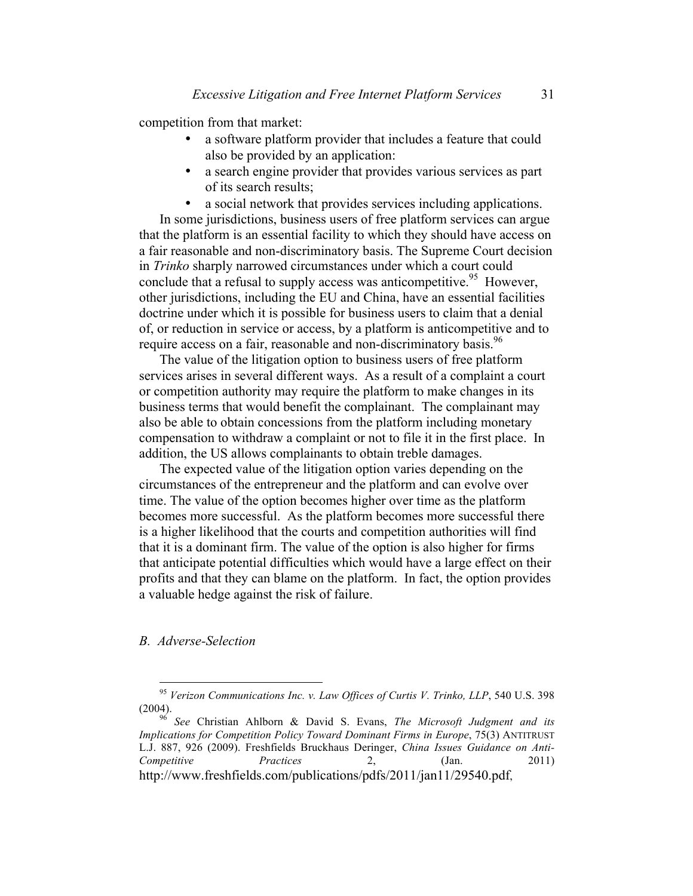competition from that market:

- a software platform provider that includes a feature that could also be provided by an application:
- a search engine provider that provides various services as part of its search results;
- a social network that provides services including applications.

In some jurisdictions, business users of free platform services can argue that the platform is an essential facility to which they should have access on a fair reasonable and non-discriminatory basis. The Supreme Court decision in *Trinko* sharply narrowed circumstances under which a court could conclude that a refusal to supply access was anticompetitive. <sup>95</sup> However, other jurisdictions, including the EU and China, have an essential facilities doctrine under which it is possible for business users to claim that a denial of, or reduction in service or access, by a platform is anticompetitive and to require access on a fair, reasonable and non-discriminatory basis.<sup>96</sup>

The value of the litigation option to business users of free platform services arises in several different ways. As a result of a complaint a court or competition authority may require the platform to make changes in its business terms that would benefit the complainant. The complainant may also be able to obtain concessions from the platform including monetary compensation to withdraw a complaint or not to file it in the first place. In addition, the US allows complainants to obtain treble damages.

The expected value of the litigation option varies depending on the circumstances of the entrepreneur and the platform and can evolve over time. The value of the option becomes higher over time as the platform becomes more successful. As the platform becomes more successful there is a higher likelihood that the courts and competition authorities will find that it is a dominant firm. The value of the option is also higher for firms that anticipate potential difficulties which would have a large effect on their profits and that they can blame on the platform. In fact, the option provides a valuable hedge against the risk of failure.

### *B. Adverse-Selection*

 <sup>95</sup> *Verizon Communications Inc. v. Law Offices of Curtis V. Trinko, LLP*, 540 U.S. 398 (2004). <sup>96</sup> *See* Christian Ahlborn & David S. Evans, *The Microsoft Judgment and its* 

*Implications for Competition Policy Toward Dominant Firms in Europe*, 75(3) ANTITRUST L.J. 887, 926 (2009). Freshfields Bruckhaus Deringer, *China Issues Guidance on Anti-Competitive Practices* 2, (Jan. 2011) http://www.freshfields.com/publications/pdfs/2011/jan11/29540.pdf,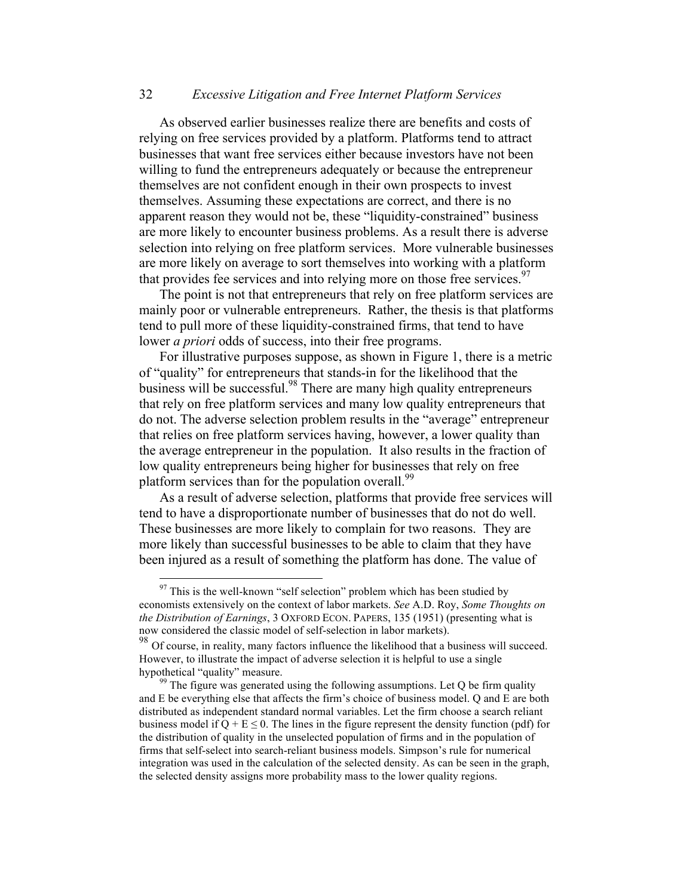# 32 *Excessive Litigation and Free Internet Platform Services*

As observed earlier businesses realize there are benefits and costs of relying on free services provided by a platform. Platforms tend to attract businesses that want free services either because investors have not been willing to fund the entrepreneurs adequately or because the entrepreneur themselves are not confident enough in their own prospects to invest themselves. Assuming these expectations are correct, and there is no apparent reason they would not be, these "liquidity-constrained" business are more likely to encounter business problems. As a result there is adverse selection into relying on free platform services. More vulnerable businesses are more likely on average to sort themselves into working with a platform that provides fee services and into relying more on those free services.  $97$ 

The point is not that entrepreneurs that rely on free platform services are mainly poor or vulnerable entrepreneurs. Rather, the thesis is that platforms tend to pull more of these liquidity-constrained firms, that tend to have lower *a priori* odds of success, into their free programs.

For illustrative purposes suppose, as shown in Figure 1, there is a metric of "quality" for entrepreneurs that stands-in for the likelihood that the business will be successful.<sup>98</sup> There are many high quality entrepreneurs that rely on free platform services and many low quality entrepreneurs that do not. The adverse selection problem results in the "average" entrepreneur that relies on free platform services having, however, a lower quality than the average entrepreneur in the population. It also results in the fraction of low quality entrepreneurs being higher for businesses that rely on free platform services than for the population overall.<sup>99</sup>

As a result of adverse selection, platforms that provide free services will tend to have a disproportionate number of businesses that do not do well. These businesses are more likely to complain for two reasons. They are more likely than successful businesses to be able to claim that they have been injured as a result of something the platform has done. The value of

 $97$  This is the well-known "self selection" problem which has been studied by economists extensively on the context of labor markets. *See* A.D. Roy, *Some Thoughts on the Distribution of Earnings*, 3 OXFORD ECON. PAPERS, 135 (1951) (presenting what is now considered the classic model of self-selection in labor markets).

<sup>&</sup>lt;sup>98</sup> Of course, in reality, many factors influence the likelihood that a business will succeed. However, to illustrate the impact of adverse selection it is helpful to use a single hypothetical "quality" measure.<br><sup>99</sup> The figure was generated using the following assumptions. Let Q be firm quality

and E be everything else that affects the firm's choice of business model. Q and E are both distributed as independent standard normal variables. Let the firm choose a search reliant business model if  $Q + E \le 0$ . The lines in the figure represent the density function (pdf) for the distribution of quality in the unselected population of firms and in the population of firms that self-select into search-reliant business models. Simpson's rule for numerical integration was used in the calculation of the selected density. As can be seen in the graph, the selected density assigns more probability mass to the lower quality regions.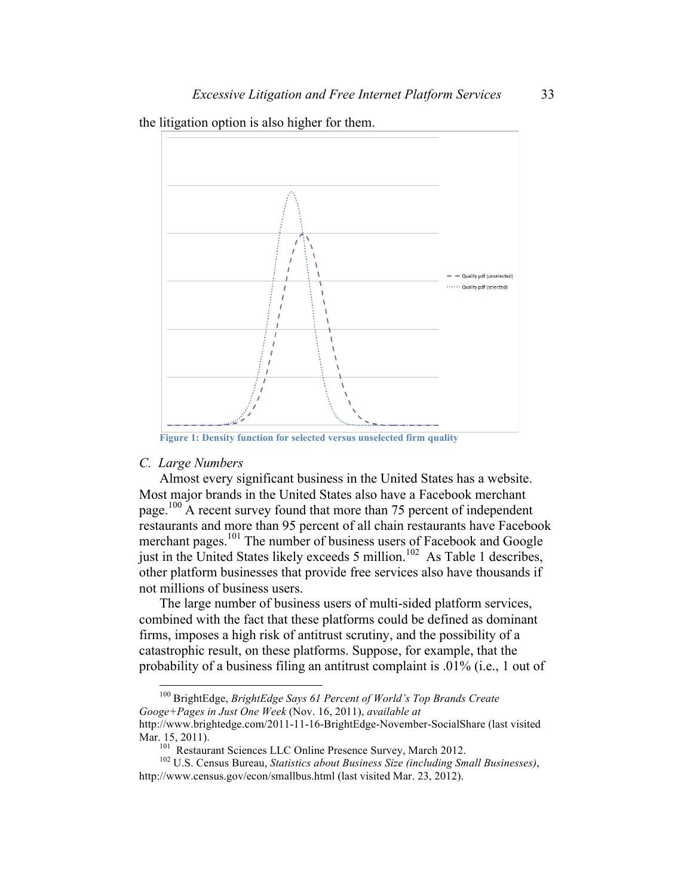the litigation option is also higher for them.



**Figure 1: Density function for selected versus unselected firm quality**

# *C. Large Numbers*

Almost every significant business in the United States has a website. Most major brands in the United States also have a Facebook merchant page.<sup>100</sup> A recent survey found that more than 75 percent of independent restaurants and more than 95 percent of all chain restaurants have Facebook merchant pages.<sup>101</sup> The number of business users of Facebook and Google just in the United States likely exceeds 5 million.<sup>102</sup> As Table 1 describes, other platform businesses that provide free services also have thousands if not millions of business users.

The large number of business users of multi-sided platform services, combined with the fact that these platforms could be defined as dominant firms, imposes a high risk of antitrust scrutiny, and the possibility of a catastrophic result, on these platforms. Suppose, for example, that the probability of a business filing an antitrust complaint is .01% (i.e., 1 out of

 100 BrightEdge, *BrightEdge Says 61 Percent of World's Top Brands Create Googe+Pages in Just One Week* (Nov. 16, 2011), *available at* http://www.brightedge.com/2011-11-16-BrightEdge-November-SocialShare (last visited

Mar. 15, 2011).<br><sup>101</sup> Restaurant Sciences LLC Online Presence Survey, March 2012.<br><sup>102</sup> U.S. Census Bureau, *Statistics about Business Size (including Small Businesses)*, http://www.census.gov/econ/smallbus.html (last visited Mar. 23, 2012).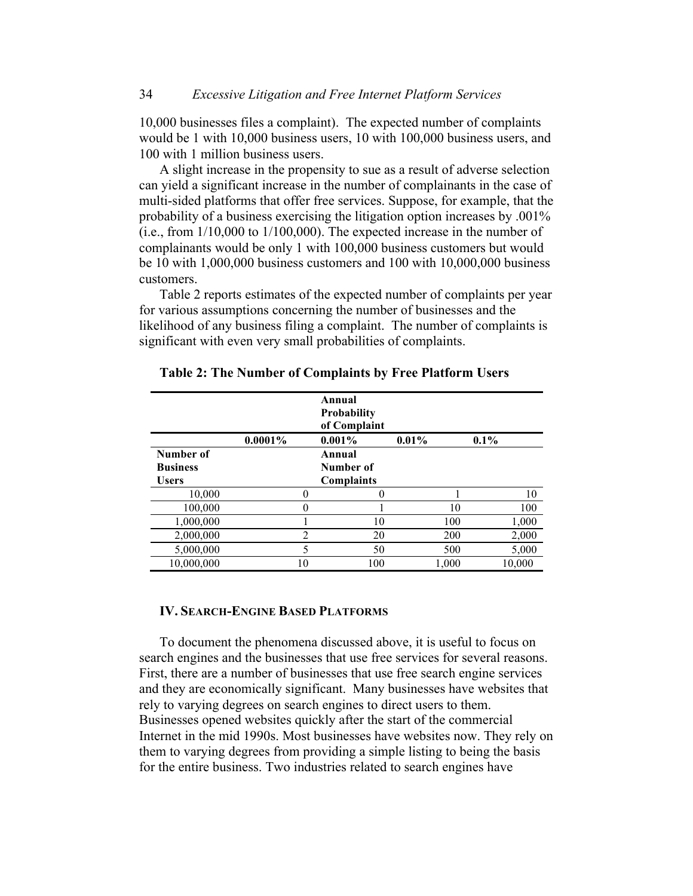10,000 businesses files a complaint). The expected number of complaints would be 1 with 10,000 business users, 10 with 100,000 business users, and 100 with 1 million business users.

A slight increase in the propensity to sue as a result of adverse selection can yield a significant increase in the number of complainants in the case of multi-sided platforms that offer free services. Suppose, for example, that the probability of a business exercising the litigation option increases by .001% (i.e., from 1/10,000 to 1/100,000). The expected increase in the number of complainants would be only 1 with 100,000 business customers but would be 10 with 1,000,000 business customers and 100 with 10,000,000 business customers.

Table 2 reports estimates of the expected number of complaints per year for various assumptions concerning the number of businesses and the likelihood of any business filing a complaint. The number of complaints is significant with even very small probabilities of complaints.

|                 |                | Annual<br><b>Probability</b><br>of Complaint |          |         |
|-----------------|----------------|----------------------------------------------|----------|---------|
|                 | $0.0001\%$     | $0.001\%$                                    | $0.01\%$ | $0.1\%$ |
| Number of       |                | Annual                                       |          |         |
| <b>Business</b> |                | Number of                                    |          |         |
| <b>Users</b>    |                | <b>Complaints</b>                            |          |         |
| 10,000          |                | 0                                            |          | 10      |
| 100,000         | 0              |                                              | 10       | 100     |
| 1,000,000       |                | 10                                           | 100      | 1,000   |
| 2,000,000       | $\mathfrak{D}$ | 20                                           | 200      | 2,000   |
| 5,000,000       | 5              | 50                                           | 500      | 5,000   |
| 10,000,000      | 10             | 100                                          | 1,000    | 10,000  |

**Table 2: The Number of Complaints by Free Platform Users**

#### **IV. SEARCH-ENGINE BASED PLATFORMS**

To document the phenomena discussed above, it is useful to focus on search engines and the businesses that use free services for several reasons. First, there are a number of businesses that use free search engine services and they are economically significant. Many businesses have websites that rely to varying degrees on search engines to direct users to them. Businesses opened websites quickly after the start of the commercial Internet in the mid 1990s. Most businesses have websites now. They rely on them to varying degrees from providing a simple listing to being the basis for the entire business. Two industries related to search engines have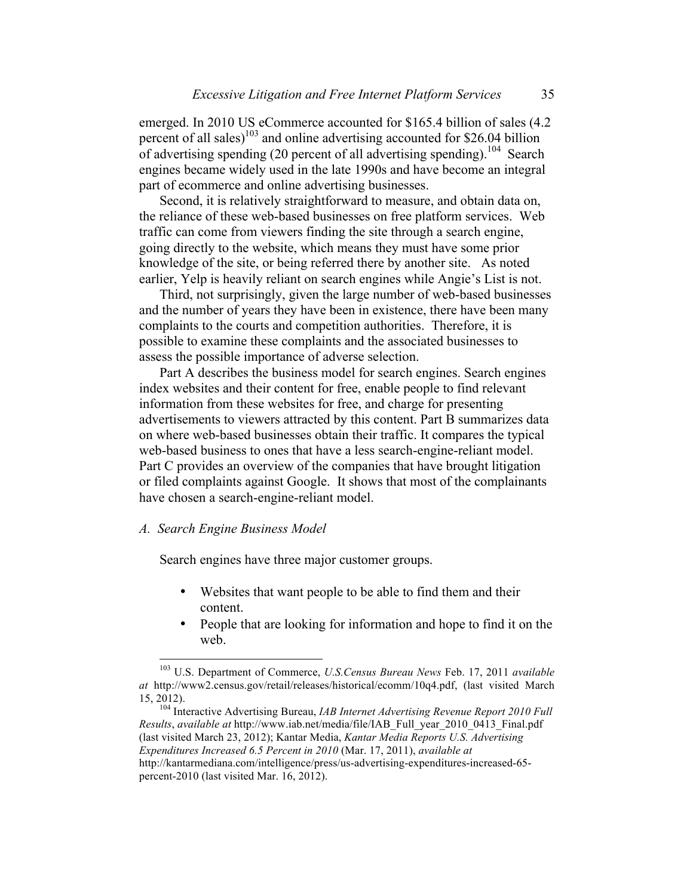emerged. In 2010 US eCommerce accounted for \$165.4 billion of sales (4.2 percent of all sales)<sup>103</sup> and online advertising accounted for \$26.04 billion of advertising spending (20 percent of all advertising spending).<sup>104</sup> Search engines became widely used in the late 1990s and have become an integral part of ecommerce and online advertising businesses.

Second, it is relatively straightforward to measure, and obtain data on, the reliance of these web-based businesses on free platform services. Web traffic can come from viewers finding the site through a search engine, going directly to the website, which means they must have some prior knowledge of the site, or being referred there by another site. As noted earlier, Yelp is heavily reliant on search engines while Angie's List is not.

Third, not surprisingly, given the large number of web-based businesses and the number of years they have been in existence, there have been many complaints to the courts and competition authorities. Therefore, it is possible to examine these complaints and the associated businesses to assess the possible importance of adverse selection.

Part A describes the business model for search engines. Search engines index websites and their content for free, enable people to find relevant information from these websites for free, and charge for presenting advertisements to viewers attracted by this content. Part B summarizes data on where web-based businesses obtain their traffic. It compares the typical web-based business to ones that have a less search-engine-reliant model. Part C provides an overview of the companies that have brought litigation or filed complaints against Google. It shows that most of the complainants have chosen a search-engine-reliant model.

### *A. Search Engine Business Model*

Search engines have three major customer groups.

- Websites that want people to be able to find them and their content.
- People that are looking for information and hope to find it on the web.

 <sup>103</sup> U.S. Department of Commerce, *U.S.Census Bureau News* Feb. 17, 2011 *available at* http://www2.census.gov/retail/releases/historical/ecomm/10q4.pdf, (last visited March 15, 2012). <sup>104</sup> Interactive Advertising Bureau, *IAB Internet Advertising Revenue Report 2010 Full* 

*Results*, *available at* http://www.iab.net/media/file/IAB\_Full\_year\_2010\_0413\_Final.pdf (last visited March 23, 2012); Kantar Media, *Kantar Media Reports U.S. Advertising Expenditures Increased 6.5 Percent in 2010* (Mar. 17, 2011), *available at*  http://kantarmediana.com/intelligence/press/us-advertising-expenditures-increased-65 percent-2010 (last visited Mar. 16, 2012).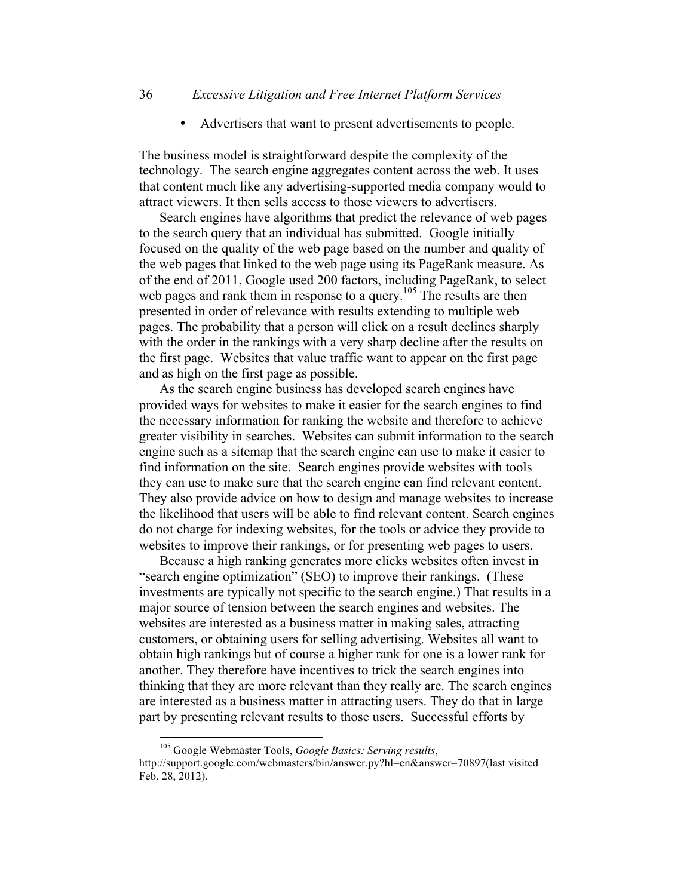• Advertisers that want to present advertisements to people.

The business model is straightforward despite the complexity of the technology. The search engine aggregates content across the web. It uses that content much like any advertising-supported media company would to attract viewers. It then sells access to those viewers to advertisers.

Search engines have algorithms that predict the relevance of web pages to the search query that an individual has submitted. Google initially focused on the quality of the web page based on the number and quality of the web pages that linked to the web page using its PageRank measure. As of the end of 2011, Google used 200 factors, including PageRank, to select web pages and rank them in response to a query.<sup>105</sup> The results are then presented in order of relevance with results extending to multiple web pages. The probability that a person will click on a result declines sharply with the order in the rankings with a very sharp decline after the results on the first page. Websites that value traffic want to appear on the first page and as high on the first page as possible.

As the search engine business has developed search engines have provided ways for websites to make it easier for the search engines to find the necessary information for ranking the website and therefore to achieve greater visibility in searches. Websites can submit information to the search engine such as a sitemap that the search engine can use to make it easier to find information on the site. Search engines provide websites with tools they can use to make sure that the search engine can find relevant content. They also provide advice on how to design and manage websites to increase the likelihood that users will be able to find relevant content. Search engines do not charge for indexing websites, for the tools or advice they provide to websites to improve their rankings, or for presenting web pages to users.

Because a high ranking generates more clicks websites often invest in "search engine optimization" (SEO) to improve their rankings. (These investments are typically not specific to the search engine.) That results in a major source of tension between the search engines and websites. The websites are interested as a business matter in making sales, attracting customers, or obtaining users for selling advertising. Websites all want to obtain high rankings but of course a higher rank for one is a lower rank for another. They therefore have incentives to trick the search engines into thinking that they are more relevant than they really are. The search engines are interested as a business matter in attracting users. They do that in large part by presenting relevant results to those users. Successful efforts by

 <sup>105</sup> Google Webmaster Tools, *Google Basics: Serving results*, http://support.google.com/webmasters/bin/answer.py?hl=en&answer=70897(last visited Feb. 28, 2012).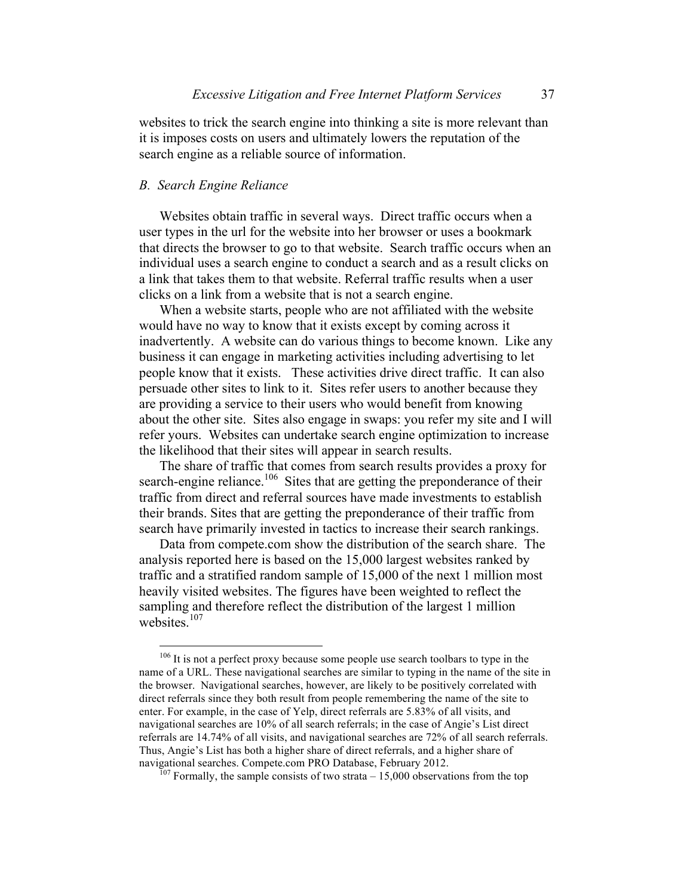websites to trick the search engine into thinking a site is more relevant than it is imposes costs on users and ultimately lowers the reputation of the search engine as a reliable source of information.

#### *B. Search Engine Reliance*

Websites obtain traffic in several ways. Direct traffic occurs when a user types in the url for the website into her browser or uses a bookmark that directs the browser to go to that website. Search traffic occurs when an individual uses a search engine to conduct a search and as a result clicks on a link that takes them to that website. Referral traffic results when a user clicks on a link from a website that is not a search engine.

When a website starts, people who are not affiliated with the website would have no way to know that it exists except by coming across it inadvertently. A website can do various things to become known. Like any business it can engage in marketing activities including advertising to let people know that it exists. These activities drive direct traffic. It can also persuade other sites to link to it. Sites refer users to another because they are providing a service to their users who would benefit from knowing about the other site. Sites also engage in swaps: you refer my site and I will refer yours. Websites can undertake search engine optimization to increase the likelihood that their sites will appear in search results.

The share of traffic that comes from search results provides a proxy for search-engine reliance.<sup>106</sup> Sites that are getting the preponderance of their traffic from direct and referral sources have made investments to establish their brands. Sites that are getting the preponderance of their traffic from search have primarily invested in tactics to increase their search rankings.

Data from compete.com show the distribution of the search share. The analysis reported here is based on the 15,000 largest websites ranked by traffic and a stratified random sample of 15,000 of the next 1 million most heavily visited websites. The figures have been weighted to reflect the sampling and therefore reflect the distribution of the largest 1 million websites.<sup>107</sup>

<sup>&</sup>lt;sup>106</sup> It is not a perfect proxy because some people use search toolbars to type in the name of a URL. These navigational searches are similar to typing in the name of the site in the browser. Navigational searches, however, are likely to be positively correlated with direct referrals since they both result from people remembering the name of the site to enter. For example, in the case of Yelp, direct referrals are 5.83% of all visits, and navigational searches are 10% of all search referrals; in the case of Angie's List direct referrals are 14.74% of all visits, and navigational searches are 72% of all search referrals. Thus, Angie's List has both a higher share of direct referrals, and a higher share of

 $\frac{a_{107}}{207}$  Formally, the sample consists of two strata – 15,000 observations from the top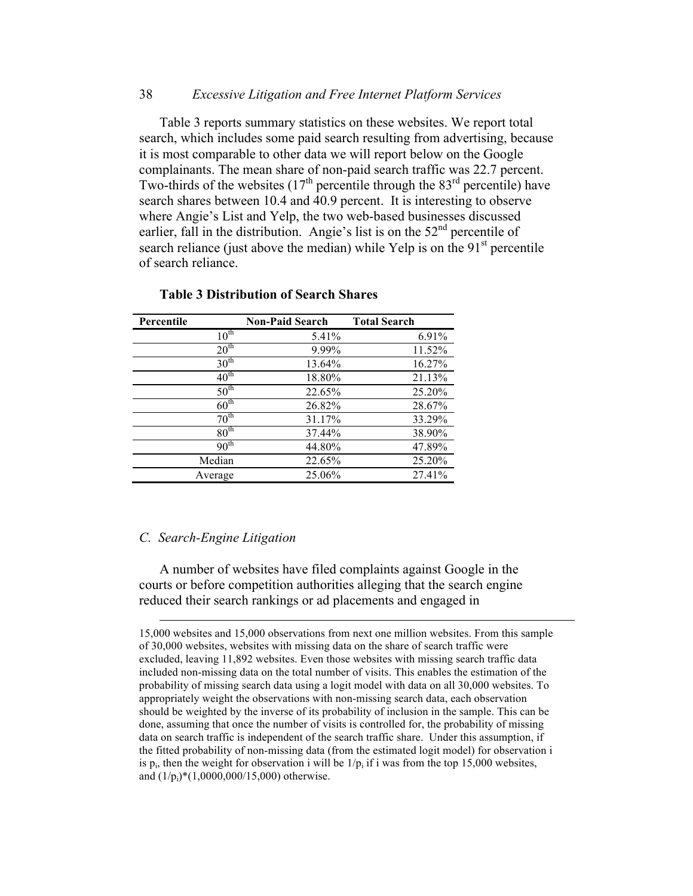#### 38 *Excessive Litigation and Free Internet Platform Services*

Table 3 reports summary statistics on these websites. We report total search, which includes some paid search resulting from advertising, because it is most comparable to other data we will report below on the Google complainants. The mean share of non-paid search traffic was 22.7 percent. Two-thirds of the websites  $(17<sup>th</sup>$  percentile through the 83<sup>rd</sup> percentile) have search shares between 10.4 and 40.9 percent. It is interesting to observe where Angie's List and Yelp, the two web-based businesses discussed earlier, fall in the distribution. Angie's list is on the  $52<sup>nd</sup>$  percentile of search reliance (just above the median) while Yelp is on the  $91<sup>st</sup>$  percentile of search reliance.

| Percentile       | <b>Non-Paid Search</b> | <b>Total Search</b> |
|------------------|------------------------|---------------------|
| $10^{\text{th}}$ | 5.41%                  | 6.91%               |
| 20 <sup>th</sup> | 9.99%                  | 11.52%              |
| $30^{\text{th}}$ | 13.64%                 | 16.27%              |
| $40^{\text{th}}$ | 18.80%                 | 21.13%              |
| $50^{\text{th}}$ | 22.65%                 | 25.20%              |
| $60^{\text{th}}$ | 26.82%                 | 28.67%              |
| $70^{\text{th}}$ | 31.17%                 | 33.29%              |
| 80 <sup>th</sup> | 37.44%                 | 38.90%              |
| 90 <sup>th</sup> | 44.80%                 | 47.89%              |
| Median           | 22.65%                 | 25.20%              |
| Average          | 25.06%                 | 27.41%              |

## **Table 3 Distribution of Search Shares**

#### *C. Search-Engine Litigation*

A number of websites have filed complaints against Google in the courts or before competition authorities alleging that the search engine reduced their search rankings or ad placements and engaged in

 <sup>15,000</sup> websites and 15,000 observations from next one million websites. From this sample of 30,000 websites, websites with missing data on the share of search traffic were excluded, leaving 11,892 websites. Even those websites with missing search traffic data included non-missing data on the total number of visits. This enables the estimation of the probability of missing search data using a logit model with data on all 30,000 websites. To appropriately weight the observations with non-missing search data, each observation should be weighted by the inverse of its probability of inclusion in the sample. This can be done, assuming that once the number of visits is controlled for, the probability of missing data on search traffic is independent of the search traffic share. Under this assumption, if the fitted probability of non-missing data (from the estimated logit model) for observation i is  $p_i$ , then the weight for observation i will be  $1/p_i$  if i was from the top 15,000 websites, and  $(1/p_i)^*(1,0000,000/15,000)$  otherwise.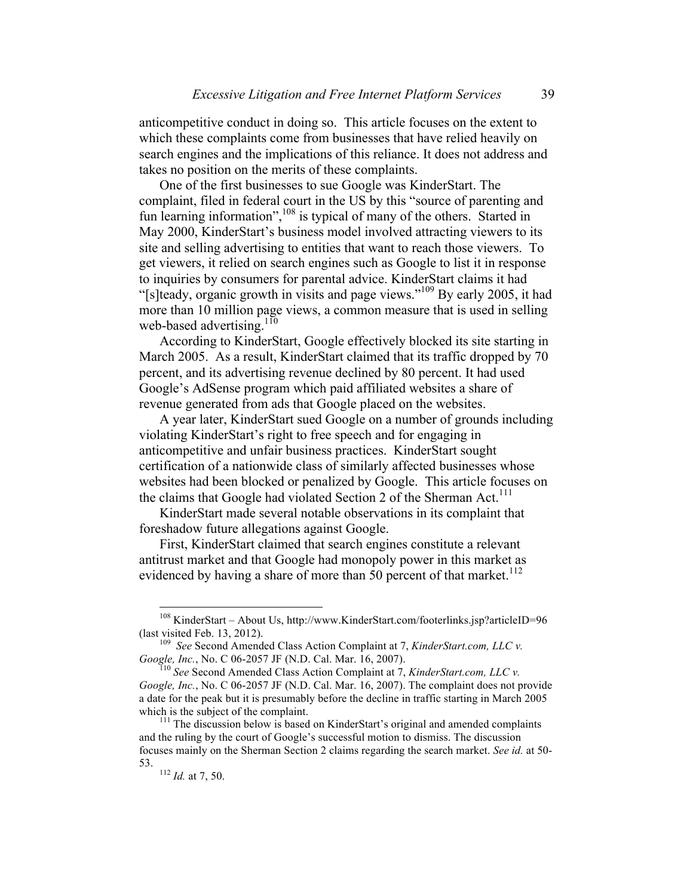anticompetitive conduct in doing so. This article focuses on the extent to which these complaints come from businesses that have relied heavily on search engines and the implications of this reliance. It does not address and takes no position on the merits of these complaints.

One of the first businesses to sue Google was KinderStart. The complaint, filed in federal court in the US by this "source of parenting and fun learning information",<sup>108</sup> is typical of many of the others. Started in May 2000, KinderStart's business model involved attracting viewers to its site and selling advertising to entities that want to reach those viewers. To get viewers, it relied on search engines such as Google to list it in response to inquiries by consumers for parental advice. KinderStart claims it had "[s]teady, organic growth in visits and page views."109 By early 2005, it had more than 10 million page views, a common measure that is used in selling web-based advertising. $110$ 

According to KinderStart, Google effectively blocked its site starting in March 2005. As a result, KinderStart claimed that its traffic dropped by 70 percent, and its advertising revenue declined by 80 percent. It had used Google's AdSense program which paid affiliated websites a share of revenue generated from ads that Google placed on the websites.

A year later, KinderStart sued Google on a number of grounds including violating KinderStart's right to free speech and for engaging in anticompetitive and unfair business practices. KinderStart sought certification of a nationwide class of similarly affected businesses whose websites had been blocked or penalized by Google. This article focuses on the claims that Google had violated Section 2 of the Sherman Act.<sup>111</sup>

KinderStart made several notable observations in its complaint that foreshadow future allegations against Google.

First, KinderStart claimed that search engines constitute a relevant antitrust market and that Google had monopoly power in this market as evidenced by having a share of more than  $50$  percent of that market.<sup>112</sup>

 <sup>108</sup> KinderStart – About Us, http://www.KinderStart.com/footerlinks.jsp?articleID=96

<sup>(</sup>last visited Feb. 13, 2012).<br><sup>109</sup> *See* Second Amended Class Action Complaint at 7, *KinderStart.com, LLC v. Google, Inc.*, No. C 06-2057 JF (N.D. Cal. Mar. 16, 2007).

*Google, Inc.*, No. C 06-2057 JF (N.D. Cal. Mar. 16, 2007). <sup>110</sup> *See* Second Amended Class Action Complaint at 7, *KinderStart.com, LLC v. Google, Inc.*, No. C 06-2057 JF (N.D. Cal. Mar. 16, 2007). The complaint does not provide a date for the peak but it is presumably before the decline in traffic starting in March 2005 which is the subject of the complaint.<br><sup>111</sup> The discussion below is based on KinderStart's original and amended complaints

and the ruling by the court of Google's successful motion to dismiss. The discussion focuses mainly on the Sherman Section 2 claims regarding the search market. *See id.* at 50- 53. <sup>112</sup> *Id.* at 7, 50.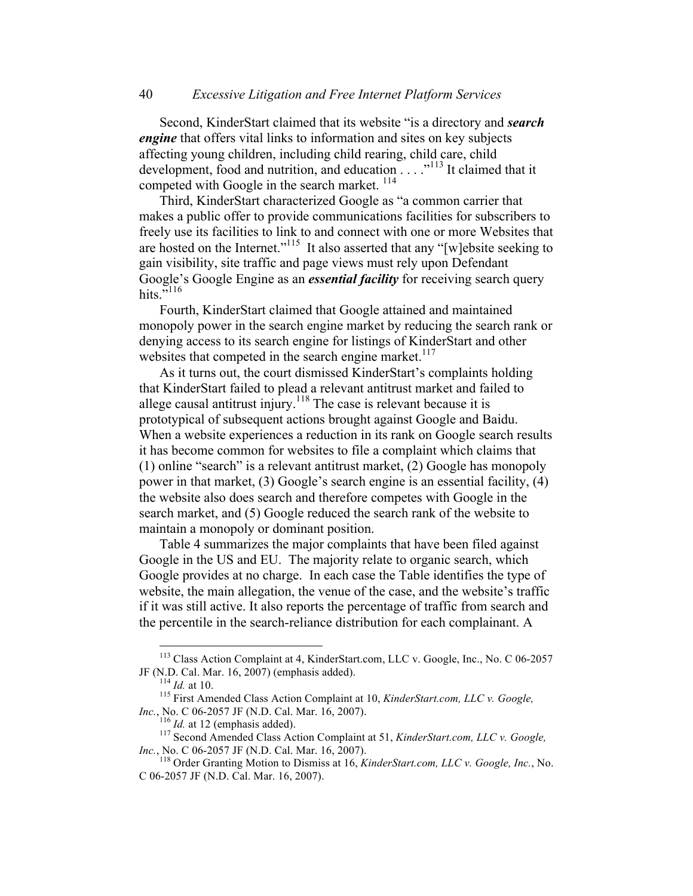Second, KinderStart claimed that its website "is a directory and *search engine* that offers vital links to information and sites on key subjects affecting young children, including child rearing, child care, child development, food and nutrition, and education . . . ." <sup>113</sup> It claimed that it competed with Google in the search market.<sup>114</sup>

Third, KinderStart characterized Google as "a common carrier that makes a public offer to provide communications facilities for subscribers to freely use its facilities to link to and connect with one or more Websites that are hosted on the Internet."115 It also asserted that any "[w]ebsite seeking to gain visibility, site traffic and page views must rely upon Defendant Google's Google Engine as an *essential facility* for receiving search query hits $\frac{15}{116}$ 

Fourth, KinderStart claimed that Google attained and maintained monopoly power in the search engine market by reducing the search rank or denying access to its search engine for listings of KinderStart and other websites that competed in the search engine market.<sup>117</sup>

As it turns out, the court dismissed KinderStart's complaints holding that KinderStart failed to plead a relevant antitrust market and failed to allege causal antitrust injury.<sup>118</sup> The case is relevant because it is prototypical of subsequent actions brought against Google and Baidu. When a website experiences a reduction in its rank on Google search results it has become common for websites to file a complaint which claims that (1) online "search" is a relevant antitrust market, (2) Google has monopoly power in that market, (3) Google's search engine is an essential facility, (4) the website also does search and therefore competes with Google in the search market, and (5) Google reduced the search rank of the website to maintain a monopoly or dominant position.

Table 4 summarizes the major complaints that have been filed against Google in the US and EU. The majority relate to organic search, which Google provides at no charge. In each case the Table identifies the type of website, the main allegation, the venue of the case, and the website's traffic if it was still active. It also reports the percentage of traffic from search and the percentile in the search-reliance distribution for each complainant. A

 <sup>113</sup> Class Action Complaint at 4, KinderStart.com, LLC v. Google, Inc., No. C 06-2057

JF (N.D. Cal. Mar. 16, 2007) (emphasis added).<br><sup>114</sup> *Id.* at 10.<br><sup>115</sup> First Amended Class Action Complaint at 10, *KinderStart.com, LLC v. Google, Inc.*, No. C 06-2057 JF (N.D. Cal. Mar. 16, 2007).

<sup>&</sup>lt;sup>116</sup> *Id.* at 12 (emphasis added). <sup>117</sup> Second Amended Class Action Complaint at 51, *KinderStart.com, LLC v. Google, Inc.*, No. C 06-2057 JF (N.D. Cal. Mar. 16, 2007).<br><sup>118</sup> Order Granting Motion to Dismiss at 16, *KinderStart.com, LLC v. Google, Inc.*, No.

C 06-2057 JF (N.D. Cal. Mar. 16, 2007).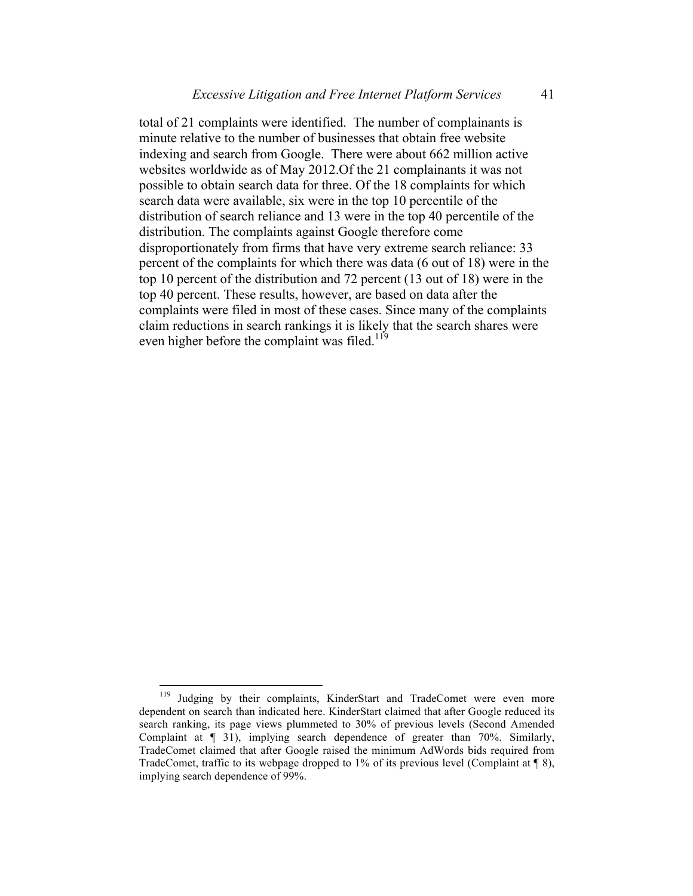total of 21 complaints were identified. The number of complainants is minute relative to the number of businesses that obtain free website indexing and search from Google. There were about 662 million active websites worldwide as of May 2012.Of the 21 complainants it was not possible to obtain search data for three. Of the 18 complaints for which search data were available, six were in the top 10 percentile of the distribution of search reliance and 13 were in the top 40 percentile of the distribution. The complaints against Google therefore come disproportionately from firms that have very extreme search reliance: 33 percent of the complaints for which there was data (6 out of 18) were in the top 10 percent of the distribution and 72 percent (13 out of 18) were in the top 40 percent. These results, however, are based on data after the complaints were filed in most of these cases. Since many of the complaints claim reductions in search rankings it is likely that the search shares were even higher before the complaint was filed.<sup>119</sup>

<sup>&</sup>lt;sup>119</sup> Judging by their complaints, KinderStart and TradeComet were even more dependent on search than indicated here. KinderStart claimed that after Google reduced its search ranking, its page views plummeted to 30% of previous levels (Second Amended Complaint at ¶ 31), implying search dependence of greater than 70%. Similarly, TradeComet claimed that after Google raised the minimum AdWords bids required from TradeComet, traffic to its webpage dropped to 1% of its previous level (Complaint at  $\llbracket \varnothing \rangle$ ), implying search dependence of 99%.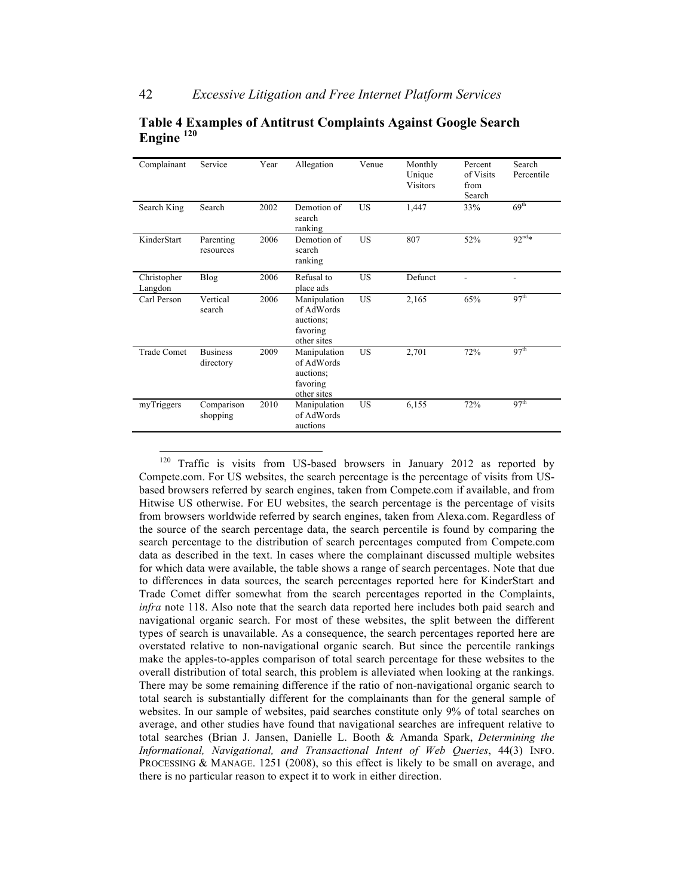| Complainant            | Service                      | Year | Allegation                                                         | Venue     | Monthly<br>Unique<br><b>Visitors</b> | Percent<br>of Visits<br>from<br>Search | Search<br>Percentile |
|------------------------|------------------------------|------|--------------------------------------------------------------------|-----------|--------------------------------------|----------------------------------------|----------------------|
| Search King            | Search                       | 2002 | Demotion of<br>search<br>ranking                                   | <b>US</b> | 1,447                                | 33%                                    | 69 <sup>th</sup>     |
| KinderStart            | Parenting<br>resources       | 2006 | Demotion of<br>search<br>ranking                                   | <b>US</b> | 807                                  | 52%                                    | $92^{nd*}$           |
| Christopher<br>Langdon | <b>Blog</b>                  | 2006 | Refusal to<br>place ads                                            | <b>US</b> | Defunct                              |                                        |                      |
| Carl Person            | Vertical<br>search           | 2006 | Manipulation<br>of AdWords<br>auctions:<br>favoring<br>other sites | <b>US</b> | 2,165                                | 65%                                    | 97 <sup>th</sup>     |
| <b>Trade Comet</b>     | <b>Business</b><br>directory | 2009 | Manipulation<br>of AdWords<br>auctions;<br>favoring<br>other sites | <b>US</b> | 2,701                                | 72%                                    | 97 <sup>th</sup>     |
| myTriggers             | Comparison<br>shopping       | 2010 | Manipulation<br>of AdWords<br>auctions                             | US        | 6,155                                | 72%                                    | 97 <sup>th</sup>     |

#### **Table 4 Examples of Antitrust Complaints Against Google Search Engine <sup>120</sup>**

Traffic is visits from US-based browsers in January 2012 as reported by Compete.com. For US websites, the search percentage is the percentage of visits from USbased browsers referred by search engines, taken from Compete.com if available, and from Hitwise US otherwise. For EU websites, the search percentage is the percentage of visits from browsers worldwide referred by search engines, taken from Alexa.com. Regardless of the source of the search percentage data, the search percentile is found by comparing the search percentage to the distribution of search percentages computed from Compete.com data as described in the text. In cases where the complainant discussed multiple websites for which data were available, the table shows a range of search percentages. Note that due to differences in data sources, the search percentages reported here for KinderStart and Trade Comet differ somewhat from the search percentages reported in the Complaints, *infra* note 118. Also note that the search data reported here includes both paid search and navigational organic search. For most of these websites, the split between the different types of search is unavailable. As a consequence, the search percentages reported here are overstated relative to non-navigational organic search. But since the percentile rankings make the apples-to-apples comparison of total search percentage for these websites to the overall distribution of total search, this problem is alleviated when looking at the rankings. There may be some remaining difference if the ratio of non-navigational organic search to total search is substantially different for the complainants than for the general sample of websites. In our sample of websites, paid searches constitute only 9% of total searches on average, and other studies have found that navigational searches are infrequent relative to total searches (Brian J. Jansen, Danielle L. Booth & Amanda Spark, *Determining the Informational, Navigational, and Transactional Intent of Web Queries*, 44(3) INFO. PROCESSING & MANAGE. 1251 (2008), so this effect is likely to be small on average, and there is no particular reason to expect it to work in either direction.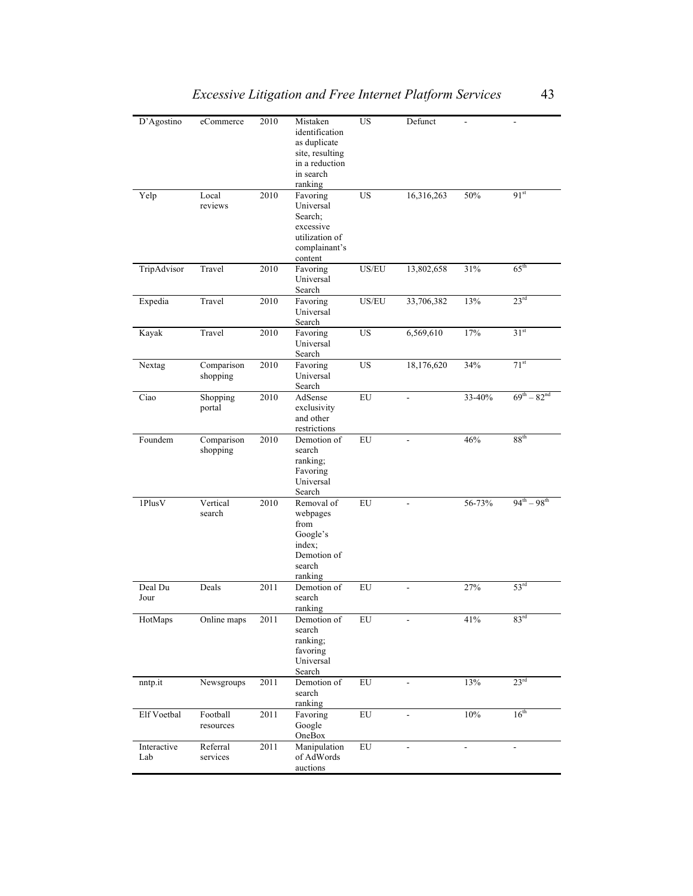| D'Agostino         | eCommerce              | 2010 | Mistaken<br>identification<br>as duplicate<br>site, resulting<br>in a reduction<br>in search<br>ranking | US.        | Defunct                  |                |                     |
|--------------------|------------------------|------|---------------------------------------------------------------------------------------------------------|------------|--------------------------|----------------|---------------------|
| Yelp               | Local<br>reviews       | 2010 | Favoring<br>Universal<br>Search;<br>excessive<br>utilization of<br>complainant's<br>content             | <b>US</b>  | 16,316,263               | 50%            | 91 <sup>st</sup>    |
| TripAdvisor        | Travel                 | 2010 | Favoring<br>Universal<br>Search                                                                         | US/EU      | 13,802,658               | 31%            | $65^{\text{th}}$    |
| Expedia            | Travel                 | 2010 | Favoring<br>Universal<br>Search                                                                         | US/EU      | 33,706,382               | 13%            | 23 <sup>rd</sup>    |
| Kayak              | Travel                 | 2010 | Favoring<br>Universal<br>Search                                                                         | <b>US</b>  | 6,569,610                | 17%            | 31 <sup>st</sup>    |
| Nextag             | Comparison<br>shopping | 2010 | Favoring<br>Universal<br>Search                                                                         | <b>US</b>  | 18,176,620               | 34%            | $71^{st}$           |
| Ciao               | Shopping<br>portal     | 2010 | AdSense<br>exclusivity<br>and other<br>restrictions                                                     | ${\rm EU}$ | ÷,                       | 33-40%         | $69^{th} - 82^{nd}$ |
| Foundem            | Comparison<br>shopping | 2010 | Demotion of<br>search<br>ranking;<br>Favoring<br>Universal<br>Search                                    | ${\rm EU}$ |                          | 46%            | 88 <sup>th</sup>    |
| 1PlusV             | Vertical<br>search     | 2010 | Removal of<br>webpages<br>from<br>Google's<br>index;<br>Demotion of<br>search<br>ranking                | EU         | $\overline{\phantom{a}}$ | 56-73%         | $94^{th} - 98^{th}$ |
| Deal Du<br>Jour    | Deals                  | 2011 | Demotion of<br>search<br>ranking                                                                        | ${\rm EU}$ | $\overline{a}$           | 27%            | 53 <sup>rd</sup>    |
| HotMaps            | Online maps            | 2011 | Demotion of<br>search<br>ranking;<br>favoring<br>Universal<br>Search                                    | EU         |                          | 41%            | 83 <sup>rd</sup>    |
| nntp.it            | Newsgroups             | 2011 | Demotion of<br>search<br>ranking                                                                        | ${\rm EU}$ | $\overline{\phantom{0}}$ | 13%            | 23 <sup>rd</sup>    |
| Elf Voetbal        | Football<br>resources  | 2011 | Favoring<br>Google<br>OneBox                                                                            | ${\rm EU}$ |                          | $10\%$         | $16^{\text{th}}$    |
| Interactive<br>Lab | Referral<br>services   | 2011 | Manipulation<br>of AdWords<br>auctions                                                                  | ${\rm EU}$ |                          | $\overline{a}$ |                     |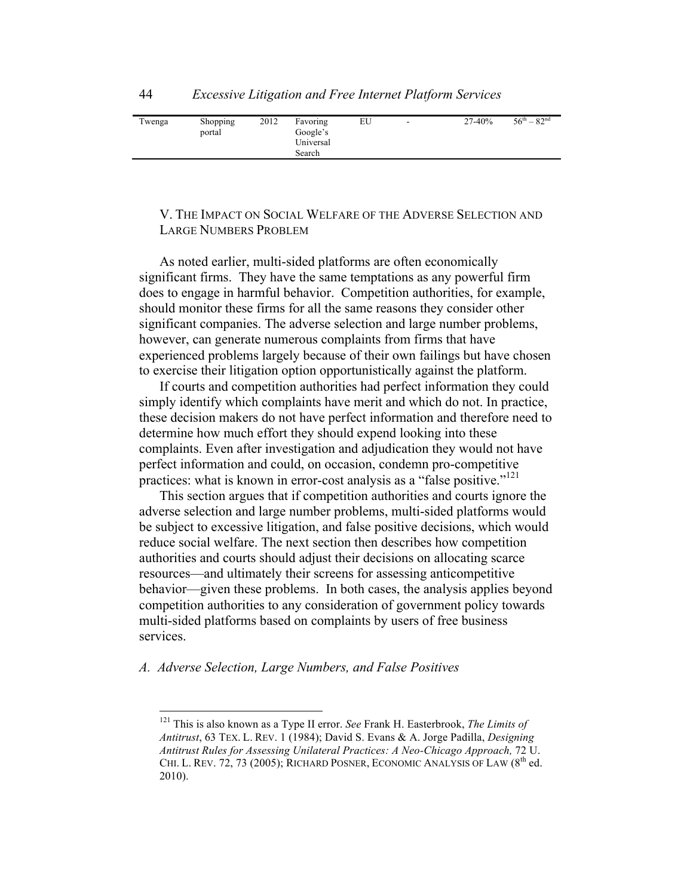| Twenga | Shopping | 2012 | Favoring  | EU | ۰. | 27-40% | $56^{\text{th}} - 82^{\text{nd}}$ |
|--------|----------|------|-----------|----|----|--------|-----------------------------------|
|        | portal   |      | Google's  |    |    |        |                                   |
|        |          |      | Universal |    |    |        |                                   |
|        |          |      | Search    |    |    |        |                                   |

# V. THE IMPACT ON SOCIAL WELFARE OF THE ADVERSE SELECTION AND LARGE NUMBERS PROBLEM

As noted earlier, multi-sided platforms are often economically significant firms. They have the same temptations as any powerful firm does to engage in harmful behavior. Competition authorities, for example, should monitor these firms for all the same reasons they consider other significant companies. The adverse selection and large number problems, however, can generate numerous complaints from firms that have experienced problems largely because of their own failings but have chosen to exercise their litigation option opportunistically against the platform.

If courts and competition authorities had perfect information they could simply identify which complaints have merit and which do not. In practice, these decision makers do not have perfect information and therefore need to determine how much effort they should expend looking into these complaints. Even after investigation and adjudication they would not have perfect information and could, on occasion, condemn pro-competitive practices: what is known in error-cost analysis as a "false positive."<sup>121</sup>

This section argues that if competition authorities and courts ignore the adverse selection and large number problems, multi-sided platforms would be subject to excessive litigation, and false positive decisions, which would reduce social welfare. The next section then describes how competition authorities and courts should adjust their decisions on allocating scarce resources—and ultimately their screens for assessing anticompetitive behavior—given these problems. In both cases, the analysis applies beyond competition authorities to any consideration of government policy towards multi-sided platforms based on complaints by users of free business services.

# *A. Adverse Selection, Large Numbers, and False Positives*

 <sup>121</sup> This is also known as a Type II error. *See* Frank H. Easterbrook, *The Limits of Antitrust*, 63 TEX. L. REV. 1 (1984); David S. Evans & A. Jorge Padilla, *Designing Antitrust Rules for Assessing Unilateral Practices: A Neo-Chicago Approach,* 72 U. CHI. L. REV. 72, 73 (2005); RICHARD POSNER, ECONOMIC ANALYSIS OF LAW  $(8^{th}$  ed. 2010).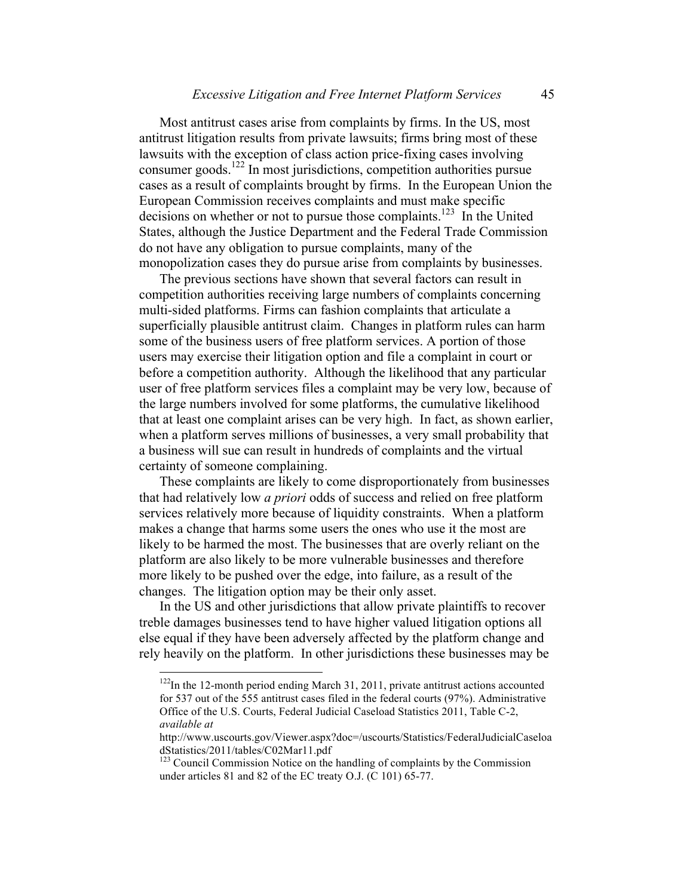Most antitrust cases arise from complaints by firms. In the US, most antitrust litigation results from private lawsuits; firms bring most of these lawsuits with the exception of class action price-fixing cases involving consumer goods.<sup>122</sup> In most jurisdictions, competition authorities pursue cases as a result of complaints brought by firms. In the European Union the European Commission receives complaints and must make specific decisions on whether or not to pursue those complaints.<sup>123</sup> In the United States, although the Justice Department and the Federal Trade Commission do not have any obligation to pursue complaints, many of the monopolization cases they do pursue arise from complaints by businesses.

The previous sections have shown that several factors can result in competition authorities receiving large numbers of complaints concerning multi-sided platforms. Firms can fashion complaints that articulate a superficially plausible antitrust claim. Changes in platform rules can harm some of the business users of free platform services. A portion of those users may exercise their litigation option and file a complaint in court or before a competition authority. Although the likelihood that any particular user of free platform services files a complaint may be very low, because of the large numbers involved for some platforms, the cumulative likelihood that at least one complaint arises can be very high. In fact, as shown earlier, when a platform serves millions of businesses, a very small probability that a business will sue can result in hundreds of complaints and the virtual certainty of someone complaining.

These complaints are likely to come disproportionately from businesses that had relatively low *a priori* odds of success and relied on free platform services relatively more because of liquidity constraints. When a platform makes a change that harms some users the ones who use it the most are likely to be harmed the most. The businesses that are overly reliant on the platform are also likely to be more vulnerable businesses and therefore more likely to be pushed over the edge, into failure, as a result of the changes. The litigation option may be their only asset.

In the US and other jurisdictions that allow private plaintiffs to recover treble damages businesses tend to have higher valued litigation options all else equal if they have been adversely affected by the platform change and rely heavily on the platform. In other jurisdictions these businesses may be

<sup>&</sup>lt;sup>122</sup>In the 12-month period ending March 31, 2011, private antitrust actions accounted for 537 out of the 555 antitrust cases filed in the federal courts (97%). Administrative Office of the U.S. Courts, Federal Judicial Caseload Statistics 2011, Table C-2, *available at*

http://www.uscourts.gov/Viewer.aspx?doc=/uscourts/Statistics/FederalJudicialCaseloa dStatistics/2011/tables/C02Mar11.pdf<br><sup>123</sup> Council Commission Notice on the handling of complaints by the Commission

under articles 81 and 82 of the EC treaty O.J. (C 101) 65-77.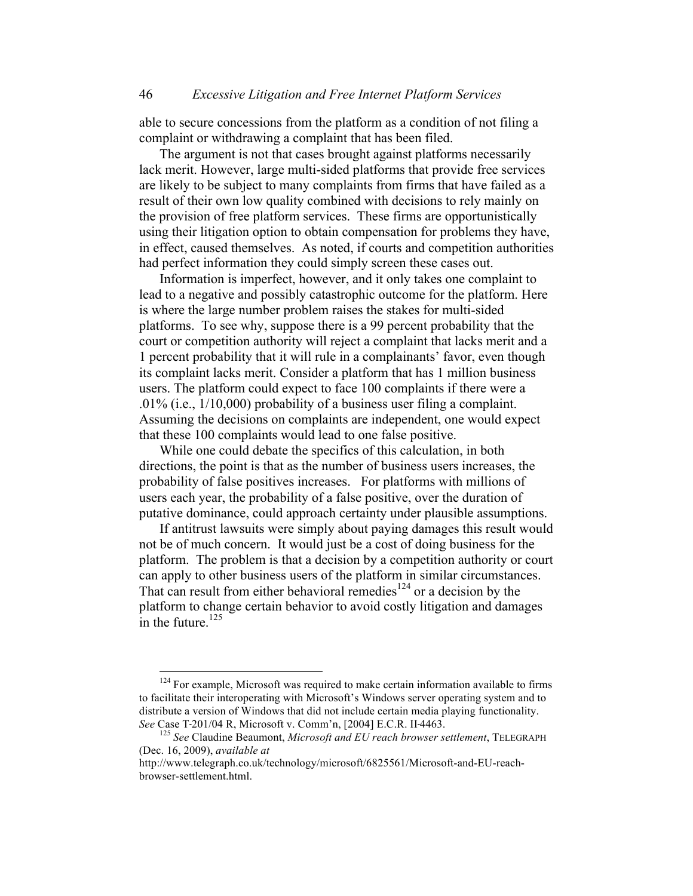able to secure concessions from the platform as a condition of not filing a complaint or withdrawing a complaint that has been filed.

The argument is not that cases brought against platforms necessarily lack merit. However, large multi-sided platforms that provide free services are likely to be subject to many complaints from firms that have failed as a result of their own low quality combined with decisions to rely mainly on the provision of free platform services. These firms are opportunistically using their litigation option to obtain compensation for problems they have, in effect, caused themselves. As noted, if courts and competition authorities had perfect information they could simply screen these cases out.

Information is imperfect, however, and it only takes one complaint to lead to a negative and possibly catastrophic outcome for the platform. Here is where the large number problem raises the stakes for multi-sided platforms. To see why, suppose there is a 99 percent probability that the court or competition authority will reject a complaint that lacks merit and a 1 percent probability that it will rule in a complainants' favor, even though its complaint lacks merit. Consider a platform that has 1 million business users. The platform could expect to face 100 complaints if there were a .01% (i.e., 1/10,000) probability of a business user filing a complaint. Assuming the decisions on complaints are independent, one would expect that these 100 complaints would lead to one false positive.

While one could debate the specifics of this calculation, in both directions, the point is that as the number of business users increases, the probability of false positives increases. For platforms with millions of users each year, the probability of a false positive, over the duration of putative dominance, could approach certainty under plausible assumptions.

If antitrust lawsuits were simply about paying damages this result would not be of much concern. It would just be a cost of doing business for the platform. The problem is that a decision by a competition authority or court can apply to other business users of the platform in similar circumstances. That can result from either behavioral remedies<sup>124</sup> or a decision by the platform to change certain behavior to avoid costly litigation and damages in the future. $125$ 

<sup>&</sup>lt;sup>124</sup> For example, Microsoft was required to make certain information available to firms to facilitate their interoperating with Microsoft's Windows server operating system and to distribute a version of Windows that did not include certain media playing functionality. *See* Case T-201/04 R, Microsoft v. Comm'n, [2004] E.C.R. II-4463.<br><sup>125</sup> *See* Claudine Beaumont, *Microsoft and EU reach browser settlement*, TELEGRAPH

<sup>(</sup>Dec. 16, 2009), *available at* 

http://www.telegraph.co.uk/technology/microsoft/6825561/Microsoft-and-EU-reachbrowser-settlement.html.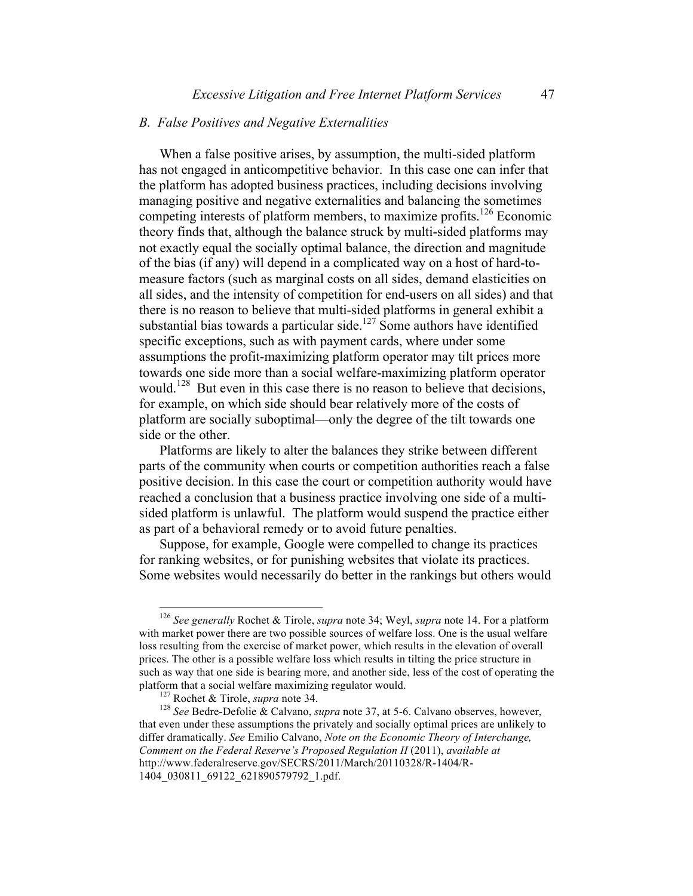# *B. False Positives and Negative Externalities*

When a false positive arises, by assumption, the multi-sided platform has not engaged in anticompetitive behavior. In this case one can infer that the platform has adopted business practices, including decisions involving managing positive and negative externalities and balancing the sometimes competing interests of platform members, to maximize profits.<sup>126</sup> Economic theory finds that, although the balance struck by multi-sided platforms may not exactly equal the socially optimal balance, the direction and magnitude of the bias (if any) will depend in a complicated way on a host of hard-tomeasure factors (such as marginal costs on all sides, demand elasticities on all sides, and the intensity of competition for end-users on all sides) and that there is no reason to believe that multi-sided platforms in general exhibit a substantial bias towards a particular side.<sup>127</sup> Some authors have identified specific exceptions, such as with payment cards, where under some assumptions the profit-maximizing platform operator may tilt prices more towards one side more than a social welfare-maximizing platform operator would.<sup>128</sup> But even in this case there is no reason to believe that decisions, for example, on which side should bear relatively more of the costs of platform are socially suboptimal—only the degree of the tilt towards one side or the other.

Platforms are likely to alter the balances they strike between different parts of the community when courts or competition authorities reach a false positive decision. In this case the court or competition authority would have reached a conclusion that a business practice involving one side of a multisided platform is unlawful. The platform would suspend the practice either as part of a behavioral remedy or to avoid future penalties.

Suppose, for example, Google were compelled to change its practices for ranking websites, or for punishing websites that violate its practices. Some websites would necessarily do better in the rankings but others would

 <sup>126</sup> *See generally* Rochet & Tirole, *supra* note 34; Weyl, *supra* note 14. For a platform with market power there are two possible sources of welfare loss. One is the usual welfare loss resulting from the exercise of market power, which results in the elevation of overall prices. The other is a possible welfare loss which results in tilting the price structure in such as way that one side is bearing more, and another side, less of the cost of operating the platform that a social welfare maximizing regulator would.<br><sup>127</sup> Rochet & Tirole, *supra* note 34.<br><sup>128</sup> *See* Bedre-Defolie & Calvano, *supra* note 37, at 5-6. Calvano observes, however,

that even under these assumptions the privately and socially optimal prices are unlikely to differ dramatically. *See* Emilio Calvano, *Note on the Economic Theory of Interchange, Comment on the Federal Reserve's Proposed Regulation II* (2011), *available at*  http://www.federalreserve.gov/SECRS/2011/March/20110328/R-1404/R-1404\_030811\_69122\_621890579792\_1.pdf.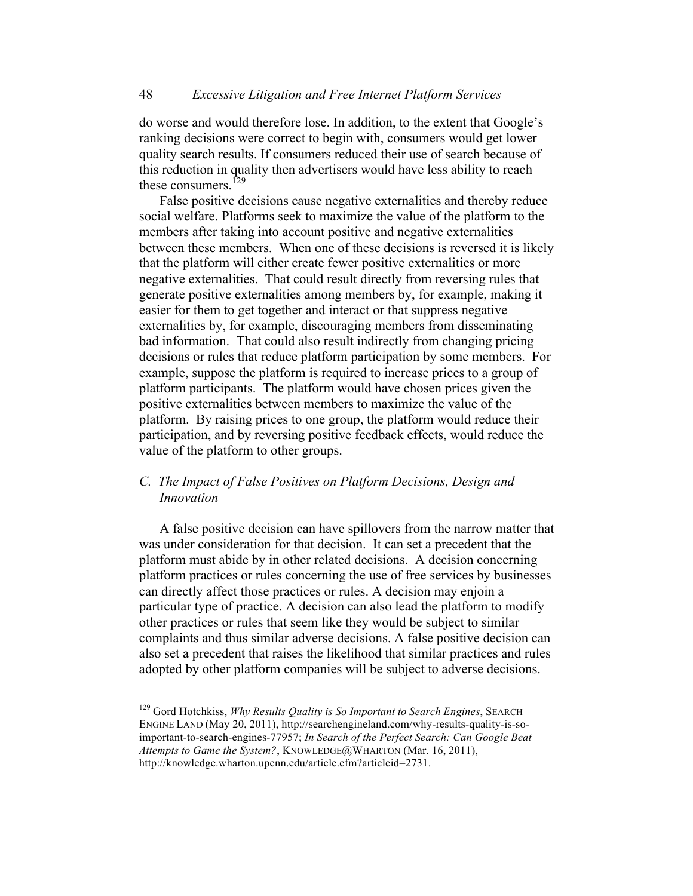do worse and would therefore lose. In addition, to the extent that Google's ranking decisions were correct to begin with, consumers would get lower quality search results. If consumers reduced their use of search because of this reduction in quality then advertisers would have less ability to reach these consumers.<sup>129</sup>

False positive decisions cause negative externalities and thereby reduce social welfare. Platforms seek to maximize the value of the platform to the members after taking into account positive and negative externalities between these members. When one of these decisions is reversed it is likely that the platform will either create fewer positive externalities or more negative externalities. That could result directly from reversing rules that generate positive externalities among members by, for example, making it easier for them to get together and interact or that suppress negative externalities by, for example, discouraging members from disseminating bad information. That could also result indirectly from changing pricing decisions or rules that reduce platform participation by some members. For example, suppose the platform is required to increase prices to a group of platform participants. The platform would have chosen prices given the positive externalities between members to maximize the value of the platform. By raising prices to one group, the platform would reduce their participation, and by reversing positive feedback effects, would reduce the value of the platform to other groups.

# *C. The Impact of False Positives on Platform Decisions, Design and Innovation*

A false positive decision can have spillovers from the narrow matter that was under consideration for that decision. It can set a precedent that the platform must abide by in other related decisions. A decision concerning platform practices or rules concerning the use of free services by businesses can directly affect those practices or rules. A decision may enjoin a particular type of practice. A decision can also lead the platform to modify other practices or rules that seem like they would be subject to similar complaints and thus similar adverse decisions. A false positive decision can also set a precedent that raises the likelihood that similar practices and rules adopted by other platform companies will be subject to adverse decisions.

 <sup>129</sup> Gord Hotchkiss, *Why Results Quality is So Important to Search Engines*, SEARCH ENGINE LAND (May 20, 2011), http://searchengineland.com/why-results-quality-is-soimportant-to-search-engines-77957; *In Search of the Perfect Search: Can Google Beat Attempts to Game the System?*, KNOWLEDGE@WHARTON (Mar. 16, 2011), http://knowledge.wharton.upenn.edu/article.cfm?articleid=2731.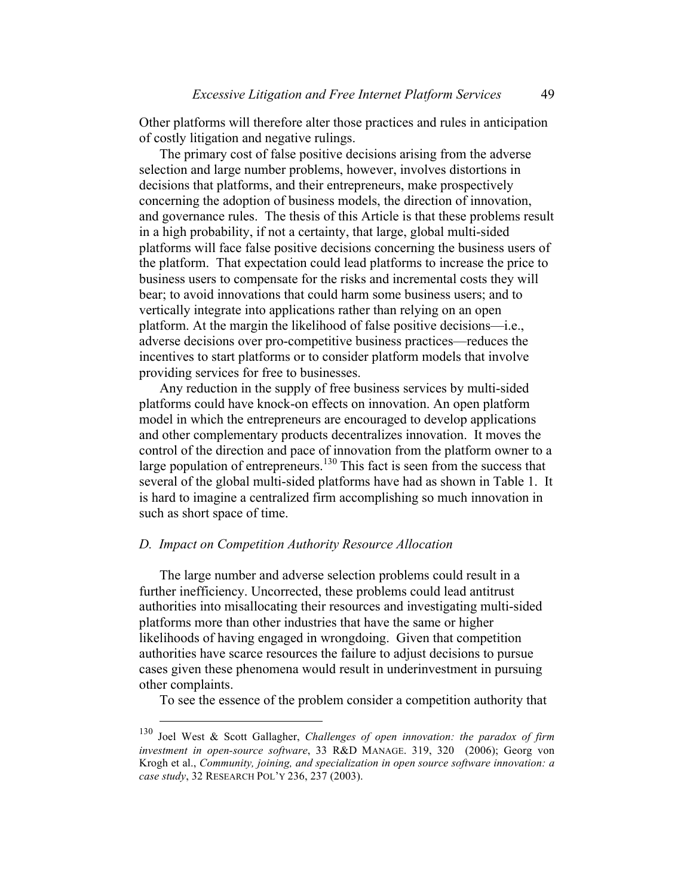Other platforms will therefore alter those practices and rules in anticipation of costly litigation and negative rulings.

The primary cost of false positive decisions arising from the adverse selection and large number problems, however, involves distortions in decisions that platforms, and their entrepreneurs, make prospectively concerning the adoption of business models, the direction of innovation, and governance rules. The thesis of this Article is that these problems result in a high probability, if not a certainty, that large, global multi-sided platforms will face false positive decisions concerning the business users of the platform. That expectation could lead platforms to increase the price to business users to compensate for the risks and incremental costs they will bear; to avoid innovations that could harm some business users; and to vertically integrate into applications rather than relying on an open platform. At the margin the likelihood of false positive decisions—i.e., adverse decisions over pro-competitive business practices—reduces the incentives to start platforms or to consider platform models that involve providing services for free to businesses.

Any reduction in the supply of free business services by multi-sided platforms could have knock-on effects on innovation. An open platform model in which the entrepreneurs are encouraged to develop applications and other complementary products decentralizes innovation. It moves the control of the direction and pace of innovation from the platform owner to a large population of entrepreneurs.<sup>130</sup> This fact is seen from the success that several of the global multi-sided platforms have had as shown in Table 1. It is hard to imagine a centralized firm accomplishing so much innovation in such as short space of time.

## *D. Impact on Competition Authority Resource Allocation*

The large number and adverse selection problems could result in a further inefficiency. Uncorrected, these problems could lead antitrust authorities into misallocating their resources and investigating multi-sided platforms more than other industries that have the same or higher likelihoods of having engaged in wrongdoing. Given that competition authorities have scarce resources the failure to adjust decisions to pursue cases given these phenomena would result in underinvestment in pursuing other complaints.

To see the essence of the problem consider a competition authority that

 <sup>130</sup> Joel West & Scott Gallagher, *Challenges of open innovation: the paradox of firm investment in open-source software*, 33 R&D MANAGE. 319, 320 (2006); Georg von Krogh et al., *Community, joining, and specialization in open source software innovation: a case study*, 32 RESEARCH POL'Y 236, 237 (2003).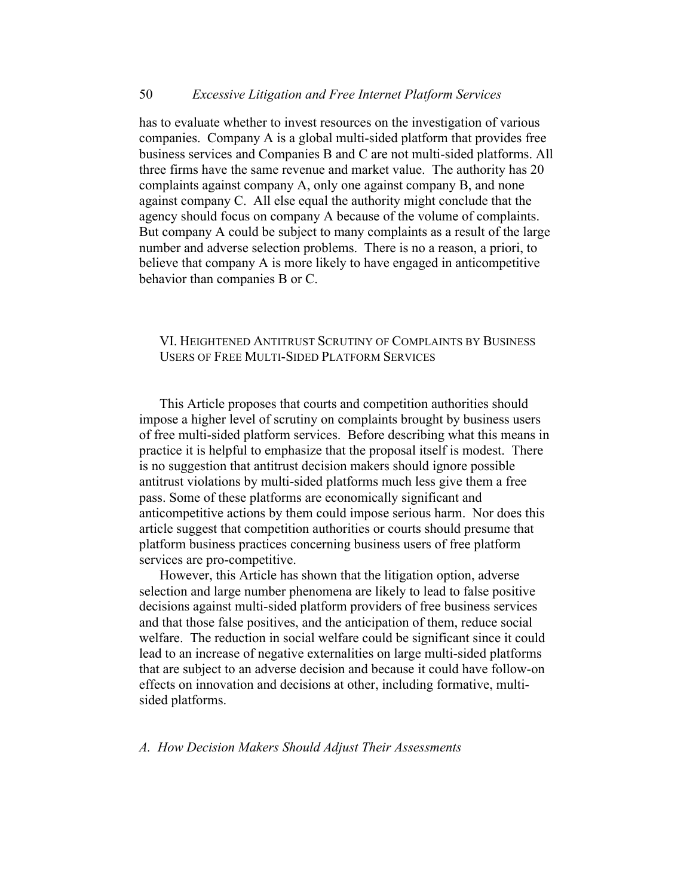has to evaluate whether to invest resources on the investigation of various companies. Company A is a global multi-sided platform that provides free business services and Companies B and C are not multi-sided platforms. All three firms have the same revenue and market value. The authority has 20 complaints against company A, only one against company B, and none against company C. All else equal the authority might conclude that the agency should focus on company A because of the volume of complaints. But company A could be subject to many complaints as a result of the large number and adverse selection problems. There is no a reason, a priori, to believe that company A is more likely to have engaged in anticompetitive behavior than companies B or C.

# VI. HEIGHTENED ANTITRUST SCRUTINY OF COMPLAINTS BY BUSINESS USERS OF FREE MULTI-SIDED PLATFORM SERVICES

This Article proposes that courts and competition authorities should impose a higher level of scrutiny on complaints brought by business users of free multi-sided platform services. Before describing what this means in practice it is helpful to emphasize that the proposal itself is modest. There is no suggestion that antitrust decision makers should ignore possible antitrust violations by multi-sided platforms much less give them a free pass. Some of these platforms are economically significant and anticompetitive actions by them could impose serious harm. Nor does this article suggest that competition authorities or courts should presume that platform business practices concerning business users of free platform services are pro-competitive.

However, this Article has shown that the litigation option, adverse selection and large number phenomena are likely to lead to false positive decisions against multi-sided platform providers of free business services and that those false positives, and the anticipation of them, reduce social welfare. The reduction in social welfare could be significant since it could lead to an increase of negative externalities on large multi-sided platforms that are subject to an adverse decision and because it could have follow-on effects on innovation and decisions at other, including formative, multisided platforms.

*A. How Decision Makers Should Adjust Their Assessments*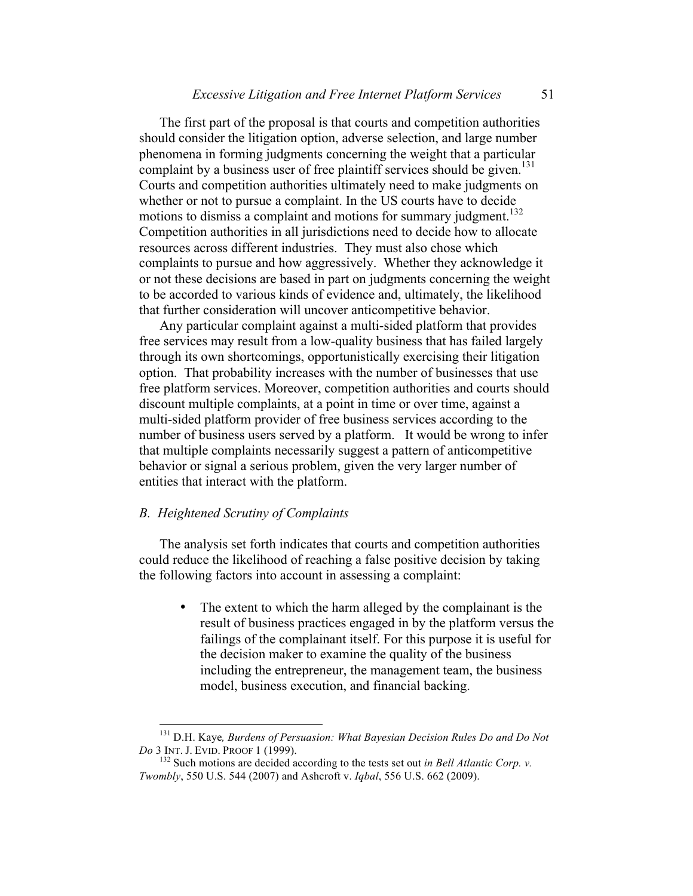The first part of the proposal is that courts and competition authorities should consider the litigation option, adverse selection, and large number phenomena in forming judgments concerning the weight that a particular complaint by a business user of free plaintiff services should be given.<sup>131</sup> Courts and competition authorities ultimately need to make judgments on whether or not to pursue a complaint. In the US courts have to decide motions to dismiss a complaint and motions for summary judgment.<sup>132</sup> Competition authorities in all jurisdictions need to decide how to allocate resources across different industries. They must also chose which complaints to pursue and how aggressively. Whether they acknowledge it or not these decisions are based in part on judgments concerning the weight to be accorded to various kinds of evidence and, ultimately, the likelihood that further consideration will uncover anticompetitive behavior.

Any particular complaint against a multi-sided platform that provides free services may result from a low-quality business that has failed largely through its own shortcomings, opportunistically exercising their litigation option. That probability increases with the number of businesses that use free platform services. Moreover, competition authorities and courts should discount multiple complaints, at a point in time or over time, against a multi-sided platform provider of free business services according to the number of business users served by a platform. It would be wrong to infer that multiple complaints necessarily suggest a pattern of anticompetitive behavior or signal a serious problem, given the very larger number of entities that interact with the platform.

#### *B. Heightened Scrutiny of Complaints*

The analysis set forth indicates that courts and competition authorities could reduce the likelihood of reaching a false positive decision by taking the following factors into account in assessing a complaint:

> • The extent to which the harm alleged by the complainant is the result of business practices engaged in by the platform versus the failings of the complainant itself. For this purpose it is useful for the decision maker to examine the quality of the business including the entrepreneur, the management team, the business model, business execution, and financial backing.

<sup>&</sup>lt;sup>131</sup> D.H. Kaye, *Burdens of Persuasion: What Bayesian Decision Rules Do and Do Not Do 3* INT. J. EVID. PROOF 1 (1999).

<sup>&</sup>lt;sup>132</sup> Such motions are decided according to the tests set out *in Bell Atlantic Corp. v. Twombly*, 550 U.S. 544 (2007) and Ashcroft v. *Iqbal*, 556 U.S. 662 (2009).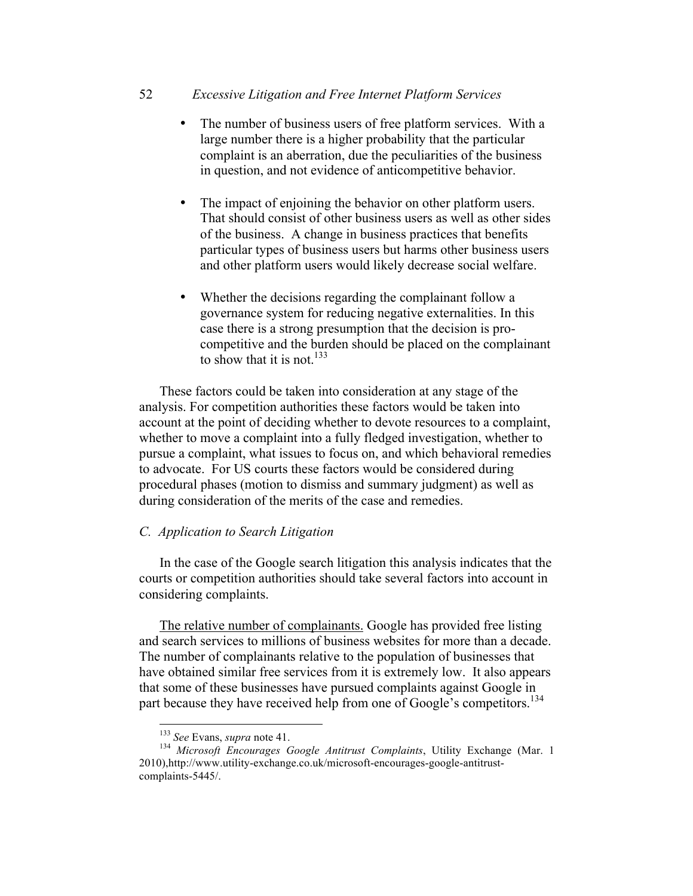# 52 *Excessive Litigation and Free Internet Platform Services*

- The number of business users of free platform services. With a large number there is a higher probability that the particular complaint is an aberration, due the peculiarities of the business in question, and not evidence of anticompetitive behavior.
- The impact of enjoining the behavior on other platform users. That should consist of other business users as well as other sides of the business. A change in business practices that benefits particular types of business users but harms other business users and other platform users would likely decrease social welfare.
- Whether the decisions regarding the complainant follow a governance system for reducing negative externalities. In this case there is a strong presumption that the decision is procompetitive and the burden should be placed on the complainant to show that it is not.<sup>133</sup>

These factors could be taken into consideration at any stage of the analysis. For competition authorities these factors would be taken into account at the point of deciding whether to devote resources to a complaint, whether to move a complaint into a fully fledged investigation, whether to pursue a complaint, what issues to focus on, and which behavioral remedies to advocate. For US courts these factors would be considered during procedural phases (motion to dismiss and summary judgment) as well as during consideration of the merits of the case and remedies.

# *C. Application to Search Litigation*

In the case of the Google search litigation this analysis indicates that the courts or competition authorities should take several factors into account in considering complaints.

The relative number of complainants. Google has provided free listing and search services to millions of business websites for more than a decade. The number of complainants relative to the population of businesses that have obtained similar free services from it is extremely low. It also appears that some of these businesses have pursued complaints against Google in part because they have received help from one of Google's competitors.<sup>134</sup>

<sup>&</sup>lt;sup>133</sup> *See* Evans, *supra* note 41.<br><sup>134</sup> *Microsoft Encourages Google Antitrust Complaints*, Utility Exchange (Mar. 1 2010),http://www.utility-exchange.co.uk/microsoft-encourages-google-antitrustcomplaints-5445/.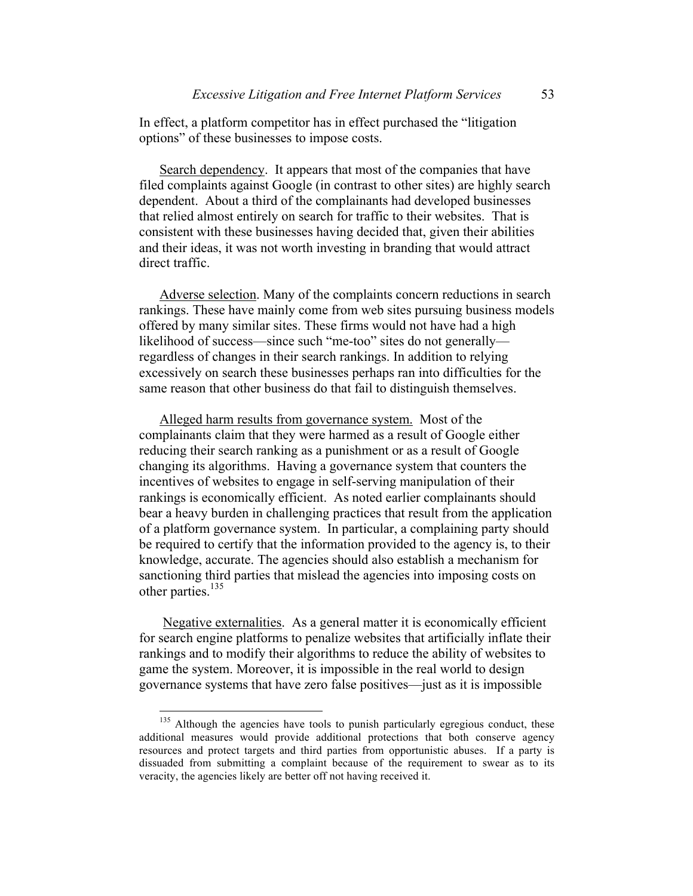In effect, a platform competitor has in effect purchased the "litigation options" of these businesses to impose costs.

Search dependency. It appears that most of the companies that have filed complaints against Google (in contrast to other sites) are highly search dependent. About a third of the complainants had developed businesses that relied almost entirely on search for traffic to their websites. That is consistent with these businesses having decided that, given their abilities and their ideas, it was not worth investing in branding that would attract direct traffic.

Adverse selection. Many of the complaints concern reductions in search rankings. These have mainly come from web sites pursuing business models offered by many similar sites. These firms would not have had a high likelihood of success—since such "me-too" sites do not generally regardless of changes in their search rankings. In addition to relying excessively on search these businesses perhaps ran into difficulties for the same reason that other business do that fail to distinguish themselves.

Alleged harm results from governance system. Most of the complainants claim that they were harmed as a result of Google either reducing their search ranking as a punishment or as a result of Google changing its algorithms. Having a governance system that counters the incentives of websites to engage in self-serving manipulation of their rankings is economically efficient. As noted earlier complainants should bear a heavy burden in challenging practices that result from the application of a platform governance system. In particular, a complaining party should be required to certify that the information provided to the agency is, to their knowledge, accurate. The agencies should also establish a mechanism for sanctioning third parties that mislead the agencies into imposing costs on other parties. $135$ 

Negative externalities. As a general matter it is economically efficient for search engine platforms to penalize websites that artificially inflate their rankings and to modify their algorithms to reduce the ability of websites to game the system. Moreover, it is impossible in the real world to design governance systems that have zero false positives—just as it is impossible

<sup>&</sup>lt;sup>135</sup> Although the agencies have tools to punish particularly egregious conduct, these additional measures would provide additional protections that both conserve agency resources and protect targets and third parties from opportunistic abuses. If a party is dissuaded from submitting a complaint because of the requirement to swear as to its veracity, the agencies likely are better off not having received it.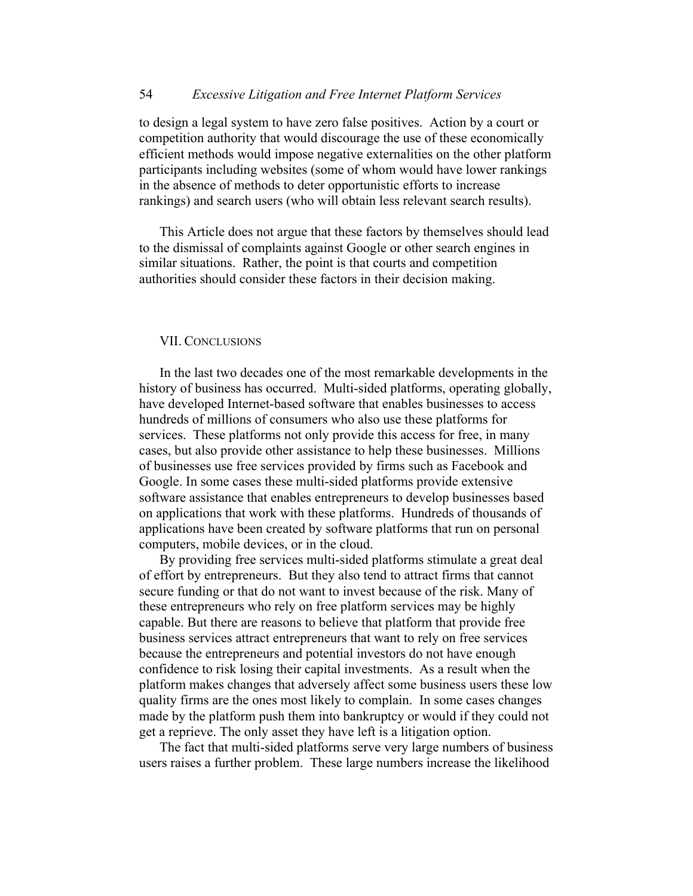to design a legal system to have zero false positives. Action by a court or competition authority that would discourage the use of these economically efficient methods would impose negative externalities on the other platform participants including websites (some of whom would have lower rankings in the absence of methods to deter opportunistic efforts to increase rankings) and search users (who will obtain less relevant search results).

This Article does not argue that these factors by themselves should lead to the dismissal of complaints against Google or other search engines in similar situations. Rather, the point is that courts and competition authorities should consider these factors in their decision making.

#### VII. CONCLUSIONS

In the last two decades one of the most remarkable developments in the history of business has occurred. Multi-sided platforms, operating globally, have developed Internet-based software that enables businesses to access hundreds of millions of consumers who also use these platforms for services. These platforms not only provide this access for free, in many cases, but also provide other assistance to help these businesses. Millions of businesses use free services provided by firms such as Facebook and Google. In some cases these multi-sided platforms provide extensive software assistance that enables entrepreneurs to develop businesses based on applications that work with these platforms. Hundreds of thousands of applications have been created by software platforms that run on personal computers, mobile devices, or in the cloud.

By providing free services multi-sided platforms stimulate a great deal of effort by entrepreneurs. But they also tend to attract firms that cannot secure funding or that do not want to invest because of the risk. Many of these entrepreneurs who rely on free platform services may be highly capable. But there are reasons to believe that platform that provide free business services attract entrepreneurs that want to rely on free services because the entrepreneurs and potential investors do not have enough confidence to risk losing their capital investments. As a result when the platform makes changes that adversely affect some business users these low quality firms are the ones most likely to complain. In some cases changes made by the platform push them into bankruptcy or would if they could not get a reprieve. The only asset they have left is a litigation option.

The fact that multi-sided platforms serve very large numbers of business users raises a further problem. These large numbers increase the likelihood